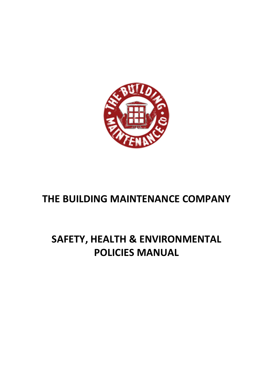

# **THE BUILDING MAINTENANCE COMPANY**

# **SAFETY, HEALTH & ENVIRONMENTAL POLICIES MANUAL**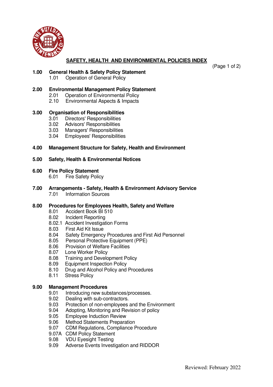

# **SAFETY, HEALTH AND ENVIRONMENTAL POLICIES INDEX**

(Page 1 of 2)

## **1.00 General Health & Safety Policy Statement**

1.01 Operation of General Policy

## **2.00 Environmental Management Policy Statement**

- 2.01 Operation of Environmental Policy
- 2.10 Environmental Aspects & Impacts

## **3.00 Organisation of Responsibilities**

- 3.01 Directors' Responsibilities
- 3.02 Advisors' Responsibilities
- 3.03 Managers' Responsibilities
- 3.04 Employees' Responsibilities

# **4.00 Management Structure for Safety, Health and Environment**

## **5.00 Safety, Health & Environmental Notices**

## **6.00 Fire Policy Statement**

- 6.01 Fire Safety Policy
- **7.00 Arrangements Safety, Health & Environment Advisory Service Information Sources**

# **8.00 Procedures for Employees Health, Safety and Welfare**

- 8.01 Accident Book BI 510
- 8.02 Incident Reporting
- 8.02.1 Accident Investigation Forms<br>8.03 First Aid Kit Issue
- **First Aid Kit Issue**
- 8.04 Safety Emergency Procedures and First Aid Personnel
- 8.05 Personal Protective Equipment (PPE)
- 8.06 Provision of Welfare Facilities
- 8.07 Lone Worker Policy
- 8.08 Training and Development Policy
- 8.09 Equipment Inspection Policy
- 8.10 Drug and Alcohol Policy and Procedures
- 8.11 Stress Policy

# **9.00 Management Procedures**

- 9.01 Introducing new substances/processes.
- 9.02 Dealing with sub-contractors.
- 9.03 Protection of non-employees and the Environment
- 9.04 Adopting, Monitoring and Revision of policy
- 9.05 Employee Induction Review
- 9.06 Method Statements Preparation
- 9.07 CDM Regulations, Compliance Procedure
- 9.07A CDM Policy Statement
- 9.08 VDU Eyesight Testing
- 9.09 Adverse Events Investigation and RIDDOR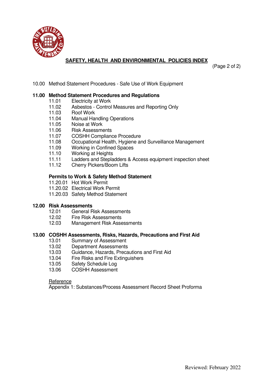

# **SAFETY, HEALTH AND ENVIRONMENTAL POLICIES INDEX**

(Page 2 of 2)

10.00 Method Statement Procedures - Safe Use of Work Equipment

## **11.00 Method Statement Procedures and Regulations**

- 11.01 Electricity at Work
- 11.02 Asbestos Control Measures and Reporting Only
- 11.03 Roof Work
- 11.04 Manual Handling Operations
- 11.05 Noise at Work
- 11.06 Risk Assessments
- 11.07 COSHH Compliance Procedure
- 11.08 Occupational Health, Hygiene and Surveillance Management
- 11.09 Working in Confined Spaces
- 11.10 Working at Heights
- 11.11 Ladders and Stepladders & Access equipment inspection sheet
- 11.12 Cherry Pickers/Boom Lifts

## **Permits to Work & Safety Method Statement**

- 11.20.01 Hot Work Permit
- 11.20.02 Electrical Work Permit
- 11.20.03 Safety Method Statement

## **12.00 Risk Assessments**

- 12.01 General Risk Assessments
- 12.02 Fire Risk Assessments
- 12.03 Management Risk Assessments

## **13.00 COSHH Assessments, Risks, Hazards, Precautions and First Aid**

- 13.01 Summary of Assessment
- 13.02 Department Assessments
- 13.03 Guidance, Hazards, Precautions and First Aid
- 13.04 Fire Risks and Fire Extinguishers<br>13.05 Safety Schedule Log
- Safety Schedule Log
- 13.06 COSHH Assessment

### **Reference**

Appendix 1: Substances/Process Assessment Record Sheet Proforma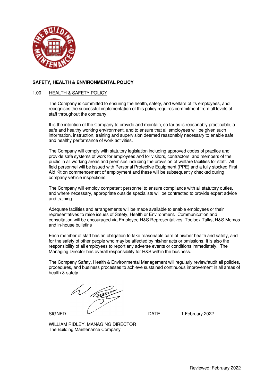

#### 1.00 HEALTH & SAFETY POLICY

The Company is committed to ensuring the health, safety, and welfare of its employees, and recognises the successful implementation of this policy requires commitment from all levels of staff throughout the company.

It is the intention of the Company to provide and maintain, so far as is reasonably practicable, a safe and healthy working environment, and to ensure that all employees will be given such information, instruction, training and supervision deemed reasonably necessary to enable safe and healthy performance of work activities.

The Company will comply with statutory legislation including approved codes of practice and provide safe systems of work for employees and for visitors, contractors, and members of the public in all working areas and premises including the provision of welfare facilities for staff. All field personnel will be issued with Personal Protective Equipment (PPE) and a fully stocked First Aid Kit on commencement of employment and these will be subsequently checked during company vehicle inspections.

The Company will employ competent personnel to ensure compliance with all statutory duties, and where necessary, appropriate outside specialists will be contracted to provide expert advice and training.

Adequate facilities and arrangements will be made available to enable employees or their representatives to raise issues of Safety, Health or Environment. Communication and consultation will be encouraged via Employee H&S Representatives, Toolbox Talks, H&S Memos and in-house bulletins

Each member of staff has an obligation to take reasonable care of his/her health and safety, and for the safety of other people who may be affected by his/her acts or omissions. It is also the responsibility of all employees to report any adverse events or conditions immediately. The Managing Director has overall responsibility for H&S within the business.

The Company Safety, Health & Environmental Management will regularly review/audit all policies, procedures, and business processes to achieve sustained continuous improvement in all areas of health & safety.

V. *lét*a

SIGNED  $\overline{\smash{\bigcup}}$  DATE 1 February 2022

WILLIAM RIDLEY, MANAGING DIRECTOR The Building Maintenance Company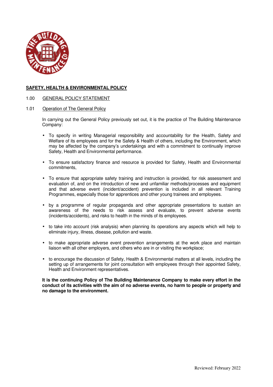

1.00 GENERAL POLICY STATEMENT

## 1.01 Operation of The General Policy

In carrying out the General Policy previously set out, it is the practice of The Building Maintenance Company:

- To specify in writing Managerial responsibility and accountability for the Health, Safety and Welfare of its employees and for the Safety & Health of others, including the Environment, which may be affected by the company's undertakings and with a commitment to continually improve Safety, Health and Environmental performance.
- To ensure satisfactory finance and resource is provided for Safety, Health and Environmental commitments,
- To ensure that appropriate safety training and instruction is provided, for risk assessment and evaluation of, and on the introduction of new and unfamiliar methods/processes and equipment and that adverse event (incident/accident) prevention is included in all relevant Training Programmes, especially those for apprentices and other young trainees and employees.
- by a programme of regular propaganda and other appropriate presentations to sustain an awareness of the needs to risk assess and evaluate, to prevent adverse events (incidents/accidents), and risks to health in the minds of its employees.
- to take into account (risk analysis) when planning its operations any aspects which will help to eliminate injury, illness, disease, pollution and waste.
- to make appropriate adverse event prevention arrangements at the work place and maintain liaison with all other employers, and others who are in or visiting the workplace;
- to encourage the discussion of Safety, Health & Environmental matters at all levels, including the setting up of arrangements for joint consultation with employees through their appointed Safety, Health and Environment representatives.

**It is the continuing Policy of The Building Maintenance Company to make every effort in the conduct of its activities with the aim of no adverse events, no harm to people or property and no damage to the environment.**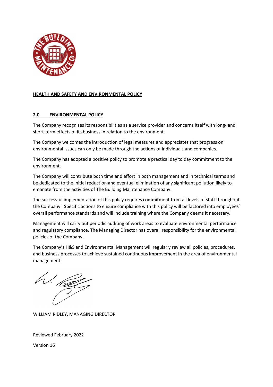

## **HEALTH AND SAFETY AND ENVIRONMENTAL POLICY**

## **2.0 ENVIRONMENTAL POLICY**

The Company recognises its responsibilities as a service provider and concerns itself with long- and short-term effects of its business in relation to the environment.

The Company welcomes the introduction of legal measures and appreciates that progress on environmental issues can only be made through the actions of individuals and companies.

The Company has adopted a positive policy to promote a practical day to day commitment to the environment.

The Company will contribute both time and effort in both management and in technical terms and be dedicated to the initial reduction and eventual elimination of any significant pollution likely to emanate from the activities of The Building Maintenance Company.

The successful implementation of this policy requires commitment from all levels of staff throughout the Company. Specific actions to ensure compliance with this policy will be factored into employees' overall performance standards and will include training where the Company deems it necessary.

Management will carry out periodic auditing of work areas to evaluate environmental performance and regulatory compliance. The Managing Director has overall responsibility for the environmental policies of the Company.

The Company's H&S and Environmental Management will regularly review all policies, procedures, and business processes to achieve sustained continuous improvement in the area of environmental management.

V. <sub>Kat</sub>

WILLIAM RIDLEY, MANAGING DIRECTOR

Reviewed February 2022

Version 16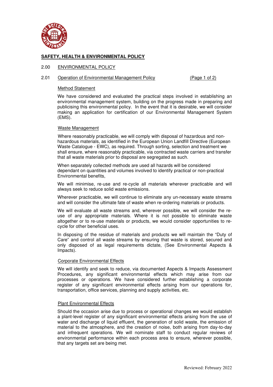

#### 2.00 ENVIRONMENTAL POLICY

#### 2.01 Operation of Environmental Management Policy (Page 1 of 2)

#### Method Statement

We have considered and evaluated the practical steps involved in establishing an environmental management system, building on the progress made in preparing and publicising this environmental policy. In the event that it is desirable, we will consider making an application for certification of our Environmental Management System (EMS).

#### Waste Management

 Where reasonably practicable, we will comply with disposal of hazardous and nonhazardous materials, as identified in the European Union Landfill Directive (European Waste Catalogue - EWC), as required. Through sorting, selection and treatment we shall ensure, where reasonably practicable, via contracted waste carriers and transfer that all waste materials prior to disposal are segregated as such.

When separately collected methods are used all hazards will be considered dependant on quantities and volumes involved to identify practical or non-practical Environmental benefits,

We will minimise, re-use and re-cycle all materials wherever practicable and will always seek to reduce solid waste emissions.

Wherever practicable, we will continue to eliminate any un-necessary waste streams and will consider the ultimate fate of waste when re-ordering materials or products.

We will evaluate all waste streams and, wherever possible, we will consider the reuse of any appropriate materials. Where it is not possible to eliminate waste altogether or to re-use materials or products, we would consider opportunities to recycle for other beneficial uses.

In disposing of the residue of materials and products we will maintain the "Duty of Care" and control all waste streams by ensuring that waste is stored, secured and only disposed of as legal requirements dictate, (See Environmental Aspects & Impacts).

#### Corporate Environmental Effects

We will identify and seek to reduce, via documented Aspects & Impacts Assessment Procedures, any significant environmental effects which may arise from our processes or operations. We have considered further establishing a corporate register of any significant environmental effects arising from our operations for, transportation, office services, planning and supply activities, etc.

#### Plant Environmental Effects

Should the occasion arise due to process or operational changes we would establish a plant-level register of any significant environmental effects arising from the use of water and discharge of liquid effluent, the generation of solid waste, the emission of material to the atmosphere, and the creation of noise, both arising from day-to-day and infrequent operations. We will nominate staff to conduct regular reviews of environmental performance within each process area to ensure, wherever possible, that any targets set are being met.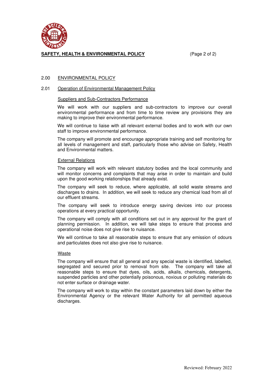

## **SAFETY, HEALTH & ENVIRONMENTAL POLICY** (Page 2 of 2)

## 2.00 ENVIRONMENTAL POLICY

#### 2.01 Operation of Environmental Management Policy

#### Suppliers and Sub-Contractors Performance

We will work with our suppliers and sub-contractors to improve our overall environmental performance and from time to time review any provisions they are making to improve their environmental performance.

We will continue to liaise with all relevant external bodies and to work with our own staff to improve environmental performance.

The company will promote and encourage appropriate training and self monitoring for all levels of management and staff, particularly those who advise on Safety, Health and Environmental matters.

#### External Relations

The company will work with relevant statutory bodies and the local community and will monitor concerns and complaints that may arise in order to maintain and build upon the good working relationships that already exist.

The company will seek to reduce, where applicable, all solid waste streams and discharges to drains. In addition, we will seek to reduce any chemical load from all of our effluent streams.

The company will seek to introduce energy saving devices into our process operations at every practical opportunity.

The company will comply with all conditions set out in any approval for the grant of planning permission. In addition, we will take steps to ensure that process and operational noise does not give rise to nuisance.

We will continue to take all reasonable steps to ensure that any emission of odours and particulates does not also give rise to nuisance.

### Waste

The company will ensure that all general and any special waste is identified, labelled, segregated and secured prior to removal from site. The company will take all reasonable steps to ensure that dyes, oils, acids, alkalis, chemicals, detergents, suspended particles and other potentially poisonous, noxious or polluting materials do not enter surface or drainage water.

The company will work to stay within the constant parameters laid down by either the Environmental Agency or the relevant Water Authority for all permitted aqueous discharges.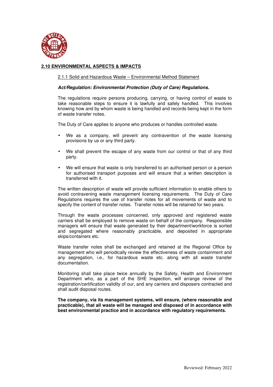

## **2.10 ENVIRONMENTAL ASPECTS & IMPACTS**

#### 2.1.1 Solid and Hazardous Waste – Environmental Method Statement

#### *Act/Regulation: Environmental Protection (Duty of Care) Regulations.*

The regulations require persons producing, carrying, or having control of waste to take reasonable steps to ensure it is lawfully and safely handled. This involves knowing how and by whom waste is being handled and records being kept in the form of waste transfer notes.

The Duty of Care applies to anyone who produces or handles controlled waste.

- We as a company, will prevent any contravention of the waste licensing provisions by us or any third party.
- We shall prevent the escape of any waste from our control or that of any third party.
- We will ensure that waste is only transferred to an authorised person or a person for authorised transport purposes and will ensure that a written description is transferred with it.

The written description of waste will provide sufficient information to enable others to avoid contravening waste management licensing requirements. The Duty of Care Regulations requires the use of transfer notes for all movements of waste and to specify the content of transfer notes. Transfer notes will be retained for two years.

Through the waste processes concerned, only approved and registered waste carriers shall be employed to remove waste on behalf of the company. Responsible managers will ensure that waste generated by their department/workforce is sorted and segregated where reasonably practicable, and deposited in appropriate skips/containers etc.

Waste transfer notes shall be exchanged and retained at the Regional Office by management who will periodically review the effectiveness of waste containment and any segregation, i.e., for hazardous waste etc. along with all waste transfer documentation.

Monitoring shall take place twice annually by the Safety, Health and Environment Department who, as a part of the SHE Inspection, will arrange review of the registration/certification validity of our, and any carriers and disposers contracted and shall audit disposal routes.

**The company, via its management systems, will ensure, (where reasonable and practicable), that all waste will be managed and disposed of in accordance with best environmental practice and in accordance with regulatory requirements.**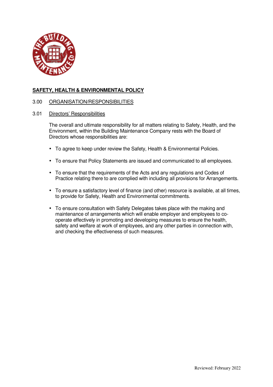

## 3.00 ORGANISATION/RESPONSIBILITIES

3.01 Directors' Responsibilities

The overall and ultimate responsibility for all matters relating to Safety, Health, and the Environment, within the Building Maintenance Company rests with the Board of Directors whose responsibilities are:

- To agree to keep under review the Safety, Health & Environmental Policies.
- To ensure that Policy Statements are issued and communicated to all employees.
- To ensure that the requirements of the Acts and any regulations and Codes of Practice relating there to are complied with including all provisions for Arrangements.
- To ensure a satisfactory level of finance (and other) resource is available, at all times, to provide for Safety, Health and Environmental commitments.
- To ensure consultation with Safety Delegates takes place with the making and maintenance of arrangements which will enable employer and employees to cooperate effectively in promoting and developing measures to ensure the health, safety and welfare at work of employees, and any other parties in connection with, and checking the effectiveness of such measures.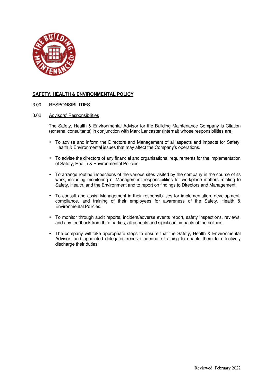

3.00 RESPONSIBILITIES

#### 3.02 Advisors' Responsibilities

The Safety, Health & Environmental Advisor for the Building Maintenance Company is Citation (external consultants) in conjunction with Mark Lancaster (internal) whose responsibilities are:

- To advise and inform the Directors and Management of all aspects and impacts for Safety, Health & Environmental issues that may affect the Company's operations.
- To advise the directors of any financial and organisational requirements for the implementation of Safety, Health & Environmental Policies.
- To arrange routine inspections of the various sites visited by the company in the course of its work, including monitoring of Management responsibilities for workplace matters relating to Safety, Health, and the Environment and to report on findings to Directors and Management.
- To consult and assist Management in their responsibilities for implementation, development, compliance, and training of their employees for awareness of the Safety, Health & Environmental Policies.
- To monitor through audit reports, incident/adverse events report, safety inspections, reviews, and any feedback from third parties, all aspects and significant impacts of the policies.
- The company will take appropriate steps to ensure that the Safety, Health & Environmental Advisor, and appointed delegates receive adequate training to enable them to effectively discharge their duties.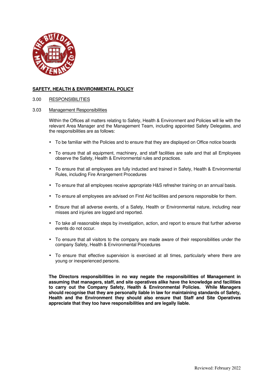

#### 3.00 RESPONSIBILITIES

#### 3.03 Management Responsibilities

Within the Offices all matters relating to Safety, Health & Environment and Policies will lie with the relevant Area Manager and the Management Team, including appointed Safety Delegates, and the responsibilities are as follows:

- To be familiar with the Policies and to ensure that they are displayed on Office notice boards
- To ensure that all equipment, machinery, and staff facilities are safe and that all Employees observe the Safety, Health & Environmental rules and practices.
- To ensure that all employees are fully inducted and trained in Safety, Health & Environmental Rules, including Fire Arrangement Procedures
- To ensure that all employees receive appropriate H&S refresher training on an annual basis.
- To ensure all employees are advised on First Aid facilities and persons responsible for them.
- Ensure that all adverse events, of a Safety, Health or Environmental nature, including near misses and injuries are logged and reported.
- To take all reasonable steps by investigation, action, and report to ensure that further adverse events do not occur.
- To ensure that all visitors to the company are made aware of their responsibilities under the company Safety, Health & Environmental Procedures
- To ensure that effective supervision is exercised at all times, particularly where there are young or inexperienced persons.

**The Directors responsibilities in no way negate the responsibilities of Management in assuming that managers, staff, and site operatives alike have the knowledge and facilities to carry out the Company Safety, Health & Environmental Policies. While Managers should recognise that they are personally liable in law for maintaining standards of Safety, Health and the Environment they should also ensure that Staff and Site Operatives appreciate that they too have responsibilities and are legally liable.**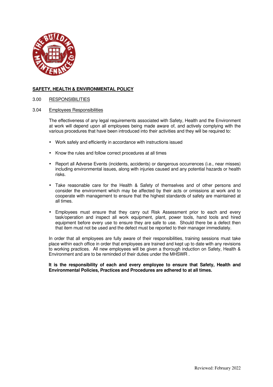

#### 3.00 RESPONSIBILITIES

#### 3.04 Employees Responsibilities

The effectiveness of any legal requirements associated with Safety, Health and the Environment at work will depend upon all employees being made aware of, and actively complying with the various procedures that have been introduced into their activities and they will be required to:

- Work safely and efficiently in accordance with instructions issued
- Know the rules and follow correct procedures at all times
- Report all Adverse Events (incidents, accidents) or dangerous occurrences (i.e., near misses) including environmental issues, along with injuries caused and any potential hazards or health risks.
- Take reasonable care for the Health & Safety of themselves and of other persons and consider the environment which may be affected by their acts or omissions at work and to cooperate with management to ensure that the highest standards of safety are maintained at all times.
- Employees must ensure that they carry out Risk Assessment prior to each and every task/operation and inspect all work equipment, plant, power tools, hand tools and hired equipment before every use to ensure they are safe to use. Should there be a defect then that item must not be used and the defect must be reported to their manager immediately.

In order that all employees are fully aware of their responsibilities, training sessions must take place within each office in order that employees are trained and kept up to date with any revisions to working practices. All new employees will be given a thorough induction on Safety, Health & Environment and are to be reminded of their duties under the MHSWR .

**It is the responsibility of each and every employee to ensure that Safety, Health and Environmental Policies, Practices and Procedures are adhered to at all times.**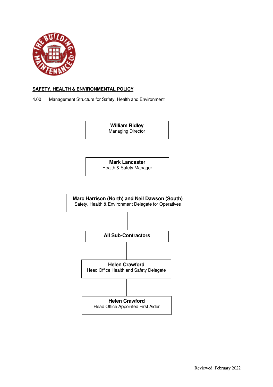

## 4.00 Management Structure for Safety, Health and Environment

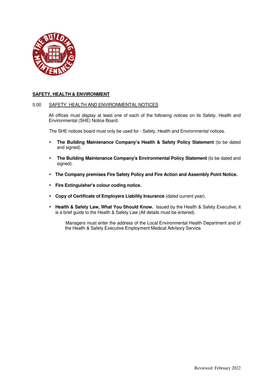

#### 5.00 SAFETY, HEALTH AND ENVIRONMENTAL NOTICES

 All offices must display at least one of each of the following notices on its Safety, Health and Environmental (SHE) Notice Board.

The SHE notices board must only be used for - Safety, Health and Environmental notices.

- **The Building Maintenance Company's Health & Safety Policy Statement** (to be dated and signed).
- **The Building Maintenance Company's Environmental Policy Statement** (to be dated and signed).
- **The Company premises Fire Safety Policy and Fire Action and Assembly Point Notice.**
- **Fire Extinguisher's colour coding notice.**
- **Copy of Certificate of Employers Liability Insurance** (dated current year).
- **Health & Safety Law, What You Should Know.** Issued by the Health & Safety Executive, it is a brief guide to the Health & Safety Law (All details must be entered).

Managers must enter the address of the Local Environmental Health Department and of the Health & Safety Executive Employment Medical Advisory Service.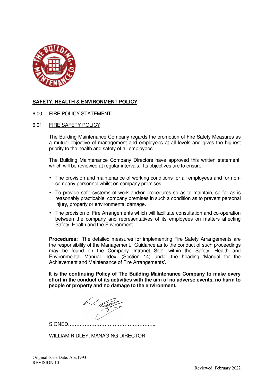

## 6.00 FIRE POLICY STATEMENT

## 6.01 FIRE SAFETY POLICY

The Building Maintenance Company regards the promotion of Fire Safety Measures as a mutual objective of management and employees at all levels and gives the highest priority to the health and safety of all employees.

The Building Maintenance Company Directors have approved this written statement, which will be reviewed at regular intervals. Its objectives are to ensure:

- The provision and maintenance of working conditions for all employees and for noncompany personnel whilst on company premises
- To provide safe systems of work and/or procedures so as to maintain, so far as is reasonably practicable, company premises in such a condition as to prevent personal injury, property or environmental damage.
- The provision of Fire Arrangements which will facilitate consultation and co-operation between the company and representatives of its employees on matters affecting Safety, Health and the Environment

**Procedures:** The detailed measures for implementing Fire Safety Arrangements are the responsibility of the Management. Guidance as to the conduct of such proceedings may be found on the Company 'Intranet Site', within the Safety, Health and Environmental Manual index, (Section 14) under the heading 'Manual for the Achievement and Maintenance of Fire Arrangements'.

**It is the continuing Policy of The Building Maintenance Company to make every effort in the conduct of its activities with the aim of no adverse events, no harm to people or property and no damage to the environment.** 

W. Kal

SIGNED……………………………………………...

WILLIAM RIDLEY, MANAGING DIRECTOR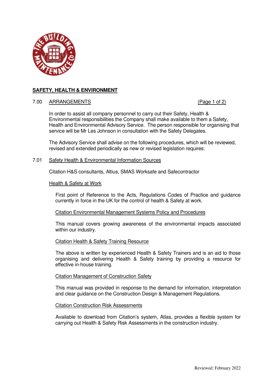

## 7.00 ARRANGEMENTS (Page 1 of 2)

In order to assist all company personnel to carry out their Safety, Health & Environmental responsibilities the Company shall make available to them a Safety, Health and Environmental Advisory Service. The person responsible for organising that service will be Mr Les Johnson in consultation with the Safety Delegates.

The Advisory Service shall advise on the following procedures, which will be reviewed, revised and extended periodically as new or revised legislation requires:

## 7.01 Safety Health & Environmental Information Sources

Citation H&S consultants, Altius, SMAS Worksafe and Safecontractor

## Health & Safety at Work

First point of Reference to the Acts, Regulations Codes of Practice and guidance currently in force in the UK for the control of health & Safety at work.

### Citation Environmental Management Systems Policy and Procedures

This manual covers growing awareness of the environmental impacts associated within our industry.

### Citation Health & Safety Training Resource

The above is written by experienced Health & Safety Trainers and is an aid to those organising and delivering Health & Safety training by providing a resource for effective in-house training.

### Citation Management of Construction Safety

This manual was provided in response to the demand for information, interpretation and clear guidance on the Construction Design & Management Regulations.

### Citation Construction Risk Assessments

Available to download from Citation's system, Atlas, provides a flexible system for carrying out Health & Safety Risk Assessments in the construction industry.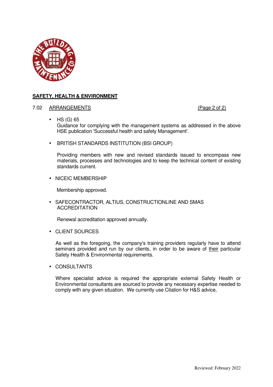

## 7.02 ARRANGEMENTS (Page 2 of 2)

- HS (G) 65 Guidance for complying with the management systems as addressed in the above HSE publication 'Successful health and safety Management'.
- BRITISH STANDARDS INSTITUTION (BSI GROUP)

Providing members with new and revised standards issued to encompass new materials, processes and technologies and to keep the technical content of existing standards current.

• NICEIC MEMBERSHIP

Membership approved.

• SAFECONTRACTOR, ALTIUS, CONSTRUCTIONLINE AND SMAS ACCREDITATION

Renewal accreditation approved annually.

• CLIENT SOURCES

As well as the foregoing, the company's training providers regularly have to attend seminars provided and run by our clients, in order to be aware of their particular Safety Health & Environmental requirements.

• CONSULTANTS

Where specialist advice is required the appropriate external Safety Health or Environmental consultants are sourced to provide any necessary expertise needed to comply with any given situation. We currently use Citation for H&S advice,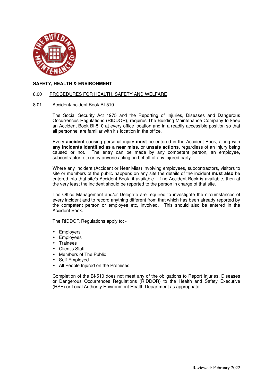

#### 8.00 PROCEDURES FOR HEALTH, SAFETY AND WELFARE

#### 8.01 Accident/Incident Book BI-510

The Social Security Act 1975 and the Reporting of Injuries, Diseases and Dangerous Occurrences Regulations (RIDDOR), requires The Building Maintenance Company to keep an Accident Book BI-510 at every office location and in a readily accessible position so that all personnel are familiar with it's location in the office.

 Every **accident** causing personal injury **must** be entered in the Accident Book, along with **any incidents identified as a near miss**, or **unsafe actions,** regardless of an injury being caused or not. The entry can be made by any competent person, an employee, subcontractor, etc or by anyone acting on behalf of any injured party.

 Where any Incident (Accident or Near Miss) involving employees, subcontractors, visitors to site or members of the public happens on any site the details of the incident **must also** be entered into that site's Accident Book, if available. If no Accident Book is available, then at the very least the incident should be reported to the person in charge of that site.

 The Office Management and/or Delegate are required to investigate the circumstances of every incident and to record anything different from that which has been already reported by the competent person or employee etc, involved. This should also be entered in the Accident Book.

The RIDDOR Regulations apply to: -

- **Employers**
- **Employees**
- **Trainees**
- Client's Staff
- Members of The Public
- Self-Employed
- All People Injured on the Premises

 Completion of the BI-510 does not meet any of the obligations to Report Injuries, Diseases or Dangerous Occurrences Regulations (RIDDOR) to the Health and Safety Executive (HSE) or Local Authority Environment Health Department as appropriate.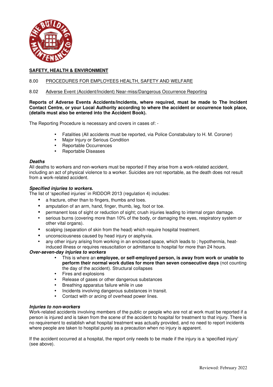

## 8.00 PROCEDURES FOR EMPLOYEES HEALTH, SAFETY AND WELFARE

#### 8.02 Adverse Event (Accident/Incident) Near-miss/Dangerous Occurrence Reporting

**Reports of Adverse Events Accidents/Incidents, where required, must be made to The Incident Contact Centre, or your Local Authority according to where the accident or occurrence took place, (details must also be entered into the Accident Book).** 

The Reporting Procedure is necessary and covers in cases of: -

- Fatalities (All accidents must be reported, via Police Constabulary to H. M. Coroner)
- Major Injury or Serious Condition
- Reportable Occurrences
- Reportable Diseases

#### *Deaths*

All deaths to workers and non-workers must be reported if they arise from a work-related accident, including an act of physical violence to a worker. Suicides are not reportable, as the death does not result from a work-related accident.

#### *Specified injuries to workers.*

The list of 'specified injuries' in RIDDOR 2013 (regulation 4) includes:

- a fracture, other than to fingers, thumbs and toes.
- amputation of an arm, hand, finger, thumb, leg, foot or toe.
- permanent loss of sight or reduction of sight; crush injuries leading to internal organ damage.
- serious burns (covering more than 10% of the body, or damaging the eyes, respiratory system or other vital organs).
- scalping (separation of skin from the head) which require hospital treatment.
- unconsciousness caused by head injury or asphyxia.
- any other injury arising from working in an enclosed space, which leads to ; hypothermia, heatinduced illness or requires resuscitation or admittance to hospital for more than 24 hours.

### *Over-seven-day injuries to workers*

- This is where an **employee, or self-employed person, is away from work or unable to perform their normal work duties for more than seven consecutive days** (not counting the day of the accident). Structural collapses
- Fires and explosions
- Release of gases or other dangerous substances
- Breathing apparatus failure while in use
- Incidents involving dangerous substances in transit.
- Contact with or arcing of overhead power lines.

### *Injuries to non-workers*

Work-related accidents involving members of the public or people who are not at work must be reported if a person is injured and is taken from the scene of the accident to hospital for treatment to that injury. There is no requirement to establish what hospital treatment was actually provided, and no need to report incidents where people are taken to hospital purely as a precaution when no injury is apparent.

If the accident occurred at a hospital, the report only needs to be made if the injury is a 'specified injury' (see above).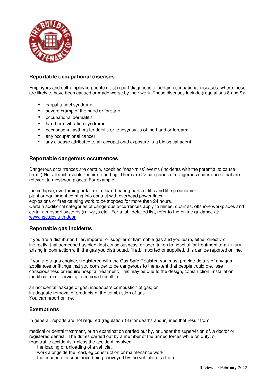

## **Reportable occupational diseases**

Employers and self-employed people must report diagnoses of certain occupational diseases, where these are likely to have been caused or made worse by their work. These diseases include (regulations 8 and 9):

- carpal tunnel syndrome.
- severe cramp of the hand or forearm.
- occupational dermatitis.
- hand-arm vibration syndrome.
- occupational asthma tendonitis or tenosynovitis of the hand or forearm.
- any occupational cancer.
- any disease attributed to an occupational exposure to a biological agent.

## **Reportable dangerous occurrences**

Dangerous occurrences are certain, specified 'near-miss' events (incidents with the potential to cause harm.) Not all such events require reporting. There are 27 categories of dangerous occurrences that are relevant to most workplaces. For example:

the collapse, overturning or failure of load-bearing parts of lifts and lifting equipment.

plant or equipment coming into contact with overhead power lines.

explosions or fires causing work to be stopped for more than 24 hours.

Certain additional categories of dangerous occurrences apply to mines, quarries, offshore workplaces and certain transport systems (railways etc). For a full, detailed list, refer to the online guidance at: www.hse.gov.uk/riddor.

## **Reportable gas incidents**

If you are a distributor, filler, importer or supplier of flammable gas and you learn, either directly or indirectly, that someone has died, lost consciousness, or been taken to hospital for treatment to an injury arising in connection with the gas you distributed, filled, imported or supplied, this can be reported online.

If you are a gas engineer registered with the Gas Safe Register, you must provide details of any gas appliances or fittings that you consider to be dangerous to the extent that people could die, lose consciousness or require hospital treatment. This may be due to the design, construction, installation, modification or servicing, and could result in:

an accidental leakage of gas; inadequate combustion of gas; or inadequate removal of products of the combustion of gas. You can report online.

## **Exemptions**

In general, reports are not required (regulation 14) for deaths and injuries that result from:

medical or dental treatment, or an examination carried out by, or under the supervision of, a doctor or registered dentist. The duties carried out by a member of the armed forces while on duty; or road traffic accidents, unless the accident involved:

the loading or unloading of a vehicle.

work alongside the road, eg construction or maintenance work;

the escape of a substance being conveyed by the vehicle, or a train.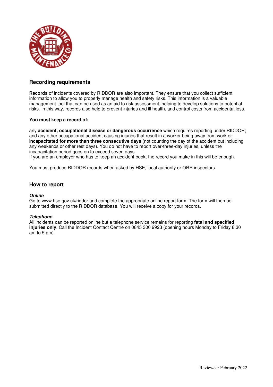

## **Recording requirements**

**Records** of incidents covered by RIDDOR are also important. They ensure that you collect sufficient information to allow you to properly manage health and safety risks. This information is a valuable management tool that can be used as an aid to risk assessment, helping to develop solutions to potential risks. In this way, records also help to prevent injuries and ill health, and control costs from accidental loss.

#### **You must keep a record of:**

any **accident, occupational disease or dangerous occurrence** which requires reporting under RIDDOR; and any other occupational accident causing injuries that result in a worker being away from work or i**ncapacitated for more than three consecutive days** (not counting the day of the accident but including any weekends or other rest days). You do not have to report over-three-day injuries, unless the incapacitation period goes on to exceed seven days.

If you are an employer who has to keep an accident book, the record you make in this will be enough.

You must produce RIDDOR records when asked by HSE, local authority or ORR inspectors.

## **How to report**

#### *Online*

Go to www.hse.gov.uk/riddor and complete the appropriate online report form. The form will then be submitted directly to the RIDDOR database. You will receive a copy for your records.

### *Telephone*

All incidents can be reported online but a telephone service remains for reporting **fatal and specified injuries only**. Call the Incident Contact Centre on 0845 300 9923 (opening hours Monday to Friday 8.30 am to 5 pm).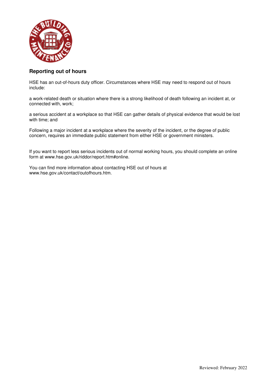

# **Reporting out of hours**

HSE has an out-of-hours duty officer. Circumstances where HSE may need to respond out of hours include:

a work-related death or situation where there is a strong likelihood of death following an incident at, or connected with, work;

a serious accident at a workplace so that HSE can gather details of physical evidence that would be lost with time; and

Following a major incident at a workplace where the severity of the incident, or the degree of public concern, requires an immediate public statement from either HSE or government ministers.

If you want to report less serious incidents out of normal working hours, you should complete an online form at www.hse.gov.uk/riddor/report.htm#online.

You can find more information about contacting HSE out of hours at www.hse.gov.uk/contact/outofhours.htm.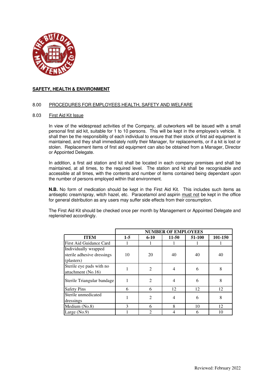

#### 8.00 PROCEDURES FOR EMPLOYEES HEALTH, SAFETY AND WELFARE

#### 8.03 First Aid Kit Issue

In view of the widespread activities of the Company, all outworkers will be issued with a small personal first aid kit, suitable for 1 to 10 persons. This will be kept in the employee's vehicle. It shall then be the responsibility of each individual to ensure that their stock of first aid equipment is maintained, and they shall immediately notify their Manager, for replacements, or if a kit is lost or stolen. Replacement items of first aid equipment can also be obtained from a Manager, Director or Appointed Delegate.

In addition, a first aid station and kit shall be located in each company premises and shall be maintained, at all times, to the required level. The station and kit shall be recognisable and accessible at all times, with the contents and number of items contained being dependant upon the number of persons employed within that environment.

**N.B.** No form of medication should be kept in the First Aid Kit. This includes such items as antiseptic cream/spray, witch hazel, etc. Paracetamol and aspirin must not be kept in the office for general distribution as any users may suffer side effects from their consumption.

The First Aid Kit should be checked once per month by Management or Appointed Delegate and replenished accordingly.

|                                                                  | <b>NUMBER OF EMPLOYEES</b> |                             |                |        |         |
|------------------------------------------------------------------|----------------------------|-----------------------------|----------------|--------|---------|
| <b>ITEM</b>                                                      | $1-5$                      | $6 - 10$                    | $11 - 50$      | 51-100 | 101-150 |
| First Aid Guidance Card                                          |                            |                             |                |        |         |
| Individually wrapped<br>sterile adhesive dressings<br>(plasters) | 10                         | 20                          | 40             | 40     | 40      |
| Sterile eye pads with no<br>attachment (No.16)                   |                            | $\overline{2}$              | $\overline{4}$ | 6      | 8       |
| Sterile Triangular bandage                                       | 1                          | $\overline{2}$              | $\overline{4}$ | 6      | 8       |
| <b>Safety Pins</b>                                               | 6                          | 6                           | 12             | 12     | 12      |
| Sterile unmedicated<br>dressings                                 | 1                          | $\overline{2}$              | 4              | 6      | 8       |
| Medium (No.8)                                                    | 3                          | 6                           | 8              | 10     | 12      |
| Large (No.9)                                                     |                            | $\mathcal{D}_{\mathcal{A}}$ |                |        | 10      |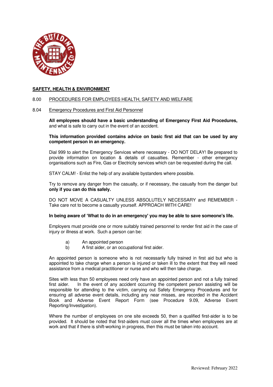

#### 8.00 PROCEDURES FOR EMPLOYEES HEALTH, SAFETY AND WELFARE

#### 8.04 Emergency Procedures and First Aid Personnel

**All employees should have a basic understanding of Emergency First Aid Procedures,** and what is safe to carry out in the event of an accident.

**This information provided contains advice on basic first aid that can be used by any competent person in an emergency.** 

Dial 999 to alert the Emergency Services where necessary - DO NOT DELAY! Be prepared to provide information on location & details of casualties. Remember - other emergency organisations such as Fire, Gas or Electricity services which can be requested during the call.

STAY CALM! - Enlist the help of any available bystanders where possible.

Try to remove any danger from the casualty, or if necessary, the casualty from the danger but **only if you can do this safely.** 

DO NOT MOVE A CASUALTY UNLESS ABSOLUTELY NECESSARY and REMEMBER - Take care not to become a casualty yourself. APPROACH WITH CARE!

#### **In being aware of 'What to do in an emergency' you may be able to save someone's life.**

Employers must provide one or more suitably trained personnel to render first aid in the case of injury or illness at work. Such a person can be:

- a) An appointed person
- b) A first aider, or an occupational first aider.

An appointed person is someone who is not necessarily fully trained in first aid but who is appointed to take charge when a person is injured or taken ill to the extent that they will need assistance from a medical practitioner or nurse and who will then take charge.

Sites with less than 50 employees need only have an appointed person and not a fully trained first aider. In the event of any accident occurring the competent person assisting will be responsible for attending to the victim, carrying out Safety Emergency Procedures and for ensuring all adverse event details, including any near misses, are recorded in the Accident Book and Adverse Event Report Form (see Procedure 9.09, Adverse Event Reporting/Investigation).

Where the number of employees on one site exceeds 50, then a qualified first-aider is to be provided. It should be noted that first-aiders must cover all the times when employees are at work and that if there is shift-working in progress, then this must be taken into account.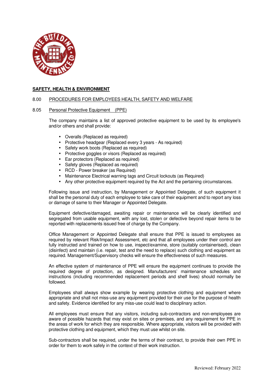

#### 8.00 PROCEDURES FOR EMPLOYEES HEALTH, SAFETY AND WELFARE

#### 8.05 Personal Protective Equipment (PPE)

 The company maintains a list of approved protective equipment to be used by its employee's and/or others and shall provide:

- Overalls (Replaced as required)
- Protective headgear (Replaced every 3 years As required)
- Safety work boots (Replaced as required)
- Protective goggles or visors (Replaced as required)
- Ear protectors (Replaced as required)
- Safety gloves (Replaced as required)
- RCD Power breaker (as Required)
- Maintenance Electrical warning tags and Circuit lockouts (as Required)
- Any other protective equipment required by the Act and the pertaining circumstances.

Following issue and instruction, by Management or Appointed Delegate, of such equipment it shall be the personal duty of each employee to take care of their equipment and to report any loss or damage of same to their Manager or Appointed Delegate.

Equipment defective/damaged, awaiting repair or maintenance will be clearly identified and segregated from usable equipment, with any lost, stolen or defective beyond repair items to be reported with replacements issued free of charge by the Company.

Office Management or Appointed Delegate shall ensure that PPE is issued to employees as required by relevant Risk/Impact Assessment, etc and that all employees under their control are fully instructed and trained on how to use, inspect/examine, store (suitably containerised), clean (disinfect) and maintain (i.e. repair, test and the need to replace) such clothing and equipment as required. Management/Supervisory checks will ensure the effectiveness of such measures.

An effective system of maintenance of PPE will ensure the equipment continues to provide the required degree of protection, as designed. Manufacturers' maintenance schedules and instructions (including recommended replacement periods and shelf lives) should normally be followed.

Employees shall always show example by wearing protective clothing and equipment where appropriate and shall not miss-use any equipment provided for their use for the purpose of health and safety. Evidence identified for any miss-use could lead to disciplinary action.

All employees must ensure that any visitors, including sub-contractors and non-employees are aware of possible hazards that may exist on sites or premises, and any requirement for PPE in the areas of work for which they are responsible. Where appropriate, visitors will be provided with protective clothing and equipment, which they must use whilst on site.

Sub-contractors shall be required, under the terms of their contract, to provide their own PPE in order for them to work safely in the context of their work instruction.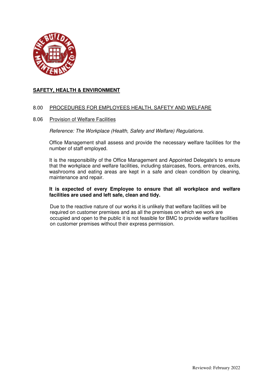

## 8.00 PROCEDURES FOR EMPLOYEES HEALTH, SAFETY AND WELFARE

## 8.06 Provision of Welfare Facilities

*Reference: The Workplace (Health, Safety and Welfare) Regulations.*

Office Management shall assess and provide the necessary welfare facilities for the number of staff employed.

It is the responsibility of the Office Management and Appointed Delegate's to ensure that the workplace and welfare facilities, including staircases, floors, entrances, exits, washrooms and eating areas are kept in a safe and clean condition by cleaning, maintenance and repair.

## **It is expected of every Employee to ensure that all workplace and welfare facilities are used and left safe, clean and tidy.**

 Due to the reactive nature of our works it is unlikely that welfare facilities will be required on customer premises and as all the premises on which we work are occupied and open to the public it is not feasible for BMC to provide welfare facilities on customer premises without their express permission.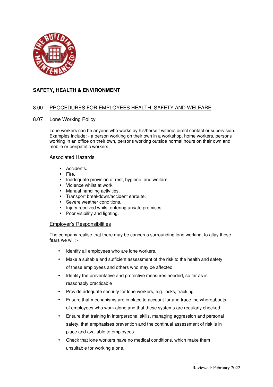

## 8.00 PROCEDURES FOR EMPLOYEES HEALTH, SAFETY AND WELFARE

## 8.07 Lone Working Policy

Lone workers can be anyone who works by his/herself without direct contact or supervision. Examples include: - a person working on their own in a workshop, home workers, persons working in an office on their own, persons working outside normal hours on their own and mobile or peripatetic workers.

#### Associated Hazards

- Accidents.
- Fire.
- Inadequate provision of rest, hygiene, and welfare.
- Violence whilst at work.
- Manual handling activities.
- Transport breakdown/accident enroute.
- Severe weather conditions.
- Injury received whilst entering unsafe premises.
- Poor visibility and lighting.

#### Employer's Responsibilities

The company realise that there may be concerns surrounding lone working, to allay these fears we will: -

- Identify all employees who are lone workers.
- Make a suitable and sufficient assessment of the risk to the health and safety of these employees and others who may be affected
- Identify the preventative and protective measures needed, so far as is reasonably practicable
- Provide adequate security for lone workers, e.g. locks, tracking
- Ensure that mechanisms are in place to account for and trace the whereabouts of employees who work alone and that these systems are regularly checked.
- Ensure that training in interpersonal skills, managing aggression and personal safety, that emphasises prevention and the continual assessment of risk is in place and available to employees.
- Check that lone workers have no medical conditions, which make them unsuitable for working alone.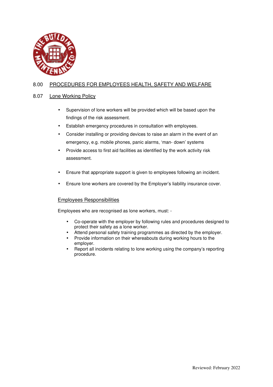

# 8.00 PROCEDURES FOR EMPLOYEES HEALTH, SAFETY AND WELFARE

## 8.07 Lone Working Policy

- Supervision of lone workers will be provided which will be based upon the findings of the risk assessment.
- Establish emergency procedures in consultation with employees.
- Consider installing or providing devices to raise an alarm in the event of an emergency, e.g. mobile phones, panic alarms, 'man- down' systems
- Provide access to first aid facilities as identified by the work activity risk assessment.
- Ensure that appropriate support is given to employees following an incident.
- Ensure lone workers are covered by the Employer's liability insurance cover.

## Employees Responsibilities

Employees who are recognised as lone workers, must: -

- Co-operate with the employer by following rules and procedures designed to protect their safety as a lone worker.
- Attend personal safety training programmes as directed by the employer.
- Provide information on their whereabouts during working hours to the employer.
- Report all incidents relating to lone working using the company's reporting procedure.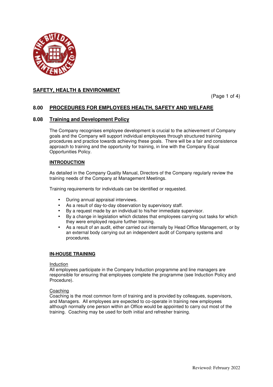

(Page 1 of 4)

## **8.00 PROCEDURES FOR EMPLOYEES HEALTH, SAFETY AND WELFARE**

## **8.08 Training and Development Policy**

The Company recognises employee development is crucial to the achievement of Company goals and the Company will support individual employees through structured training procedures and practice towards achieving these goals. There will be a fair and consistence approach to training and the opportunity for training, in line with the Company Equal Opportunities Policy.

### **INTRODUCTION**

As detailed in the Company Quality Manual, Directors of the Company regularly review the training needs of the Company at Management Meetings.

Training requirements for individuals can be identified or requested.

- During annual appraisal interviews.
- As a result of day-to-day observation by supervisory staff.
- By a request made by an individual to his/her immediate supervisor.
- By a change in legislation which dictates that employees carrying out tasks for which they were employed require further training.
- As a result of an audit, either carried out internally by Head Office Management, or by an external body carrying out an independent audit of Company systems and procedures.

## **IN-HOUSE TRAINING**

#### Induction

All employees participate in the Company Induction programme and line managers are responsible for ensuring that employees complete the programme (see Induction Policy and Procedure).

### Coaching

Coaching is the most common form of training and is provided by colleagues, supervisors, and Managers. All employees are expected to co-operate in training new employees although normally one person within an Office would be appointed to carry out most of the training. Coaching may be used for both initial and refresher training.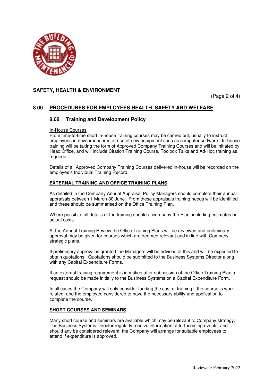

(Page 2 of 4)

## **8.00 PROCEDURES FOR EMPLOYEES HEALTH, SAFETY AND WELFARE**

## **8.08 Training and Development Policy**

### In-House Courses

From time-to-time short in-house training courses may be carried out, usually to instruct employees in new procedures or use of new equipment such as computer software. In-house training will be taking the form of Approved Company Training Courses and will be initiated by Head Office, and will include Citation Training Course, Toolbox Talks and Ad-Hoc training as required.

Details of all Approved Company Training Courses delivered in-house will be recorded on the employee's Individual Training Record.

### **EXTERNAL TRAINING AND OFFICE TRAINING PLANS**

As detailed in the Company Annual Appraisal Policy Managers should complete their annual appraisals between 1 March-30 June. From these appraisals training needs will be identified and these should be summarised on the Office Training Plan.

Where possible full details of the training should accompany the Plan, including estimates or actual costs.

At the Annual Training Review the Office Training Plans will be reviewed and preliminary approval may be given for courses which are deemed relevant and in line with Company strategic plans.

If preliminary approval is granted the Managers will be advised of this and will be expected to obtain quotations. Quotations should be submitted to the Business Systems Director along with any Capital Expenditure Forms.

If an external training requirement is identified after submission of the Office Training Plan a request should be made initially to the Business Systems on a Capital Expenditure Form.

In all cases the Company will only consider funding the cost of training if the course is workrelated, and the employee considered to have the necessary ability and application to complete the course.

### **SHORT COURSES AND SEMINARS**

Many short course and seminars are available which may be relevant to Company strategy. The Business Systems Director regularly receive information of forthcoming events, and should any be considered relevant, the Company will arrange for suitable employees to attend if expenditure is approved.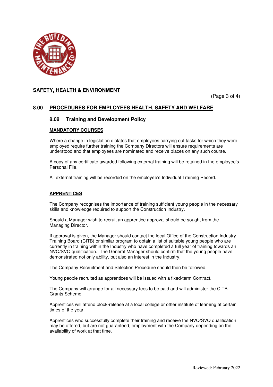

(Page 3 of 4)

## **8.00 PROCEDURES FOR EMPLOYEES HEALTH, SAFETY AND WELFARE**

## **8.08 Training and Development Policy**

#### **MANDATORY COURSES**

Where a change in legislation dictates that employees carrying out tasks for which they were employed require further training the Company Directors will ensure requirements are understood and that employees are nominated and receive places on any such course.

A copy of any certificate awarded following external training will be retained in the employee's Personal File.

All external training will be recorded on the employee's Individual Training Record.

#### **APPRENTICES**

The Company recognises the importance of training sufficient young people in the necessary skills and knowledge required to support the Construction Industry.

Should a Manager wish to recruit an apprentice approval should be sought from the Managing Director.

If approval is given, the Manager should contact the local Office of the Construction Industry Training Board (CITB) or similar program to obtain a list of suitable young people who are currently in training within the Industry who have completed a full year of training towards an NVQ/SVQ qualification. The General Manager should confirm that the young people have demonstrated not only ability, but also an interest in the Industry.

The Company Recruitment and Selection Procedure should then be followed.

Young people recruited as apprentices will be issued with a fixed-term Contract.

The Company will arrange for all necessary fees to be paid and will administer the CITB Grants Scheme.

Apprentices will attend block-release at a local college or other institute of learning at certain times of the year.

Apprentices who successfully complete their training and receive the NVQ/SVQ qualification may be offered, but are not guaranteed, employment with the Company depending on the availability of work at that time.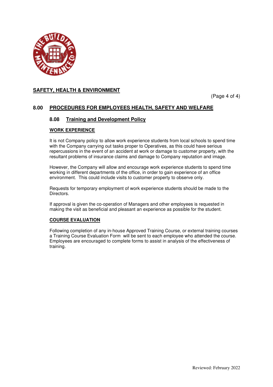

(Page 4 of 4)

## **8.00 PROCEDURES FOR EMPLOYEES HEALTH, SAFETY AND WELFARE**

## **8.08 Training and Development Policy**

#### **WORK EXPERIENCE**

It is not Company policy to allow work experience students from local schools to spend time with the Company carrying out tasks proper to Operatives, as this could have serious repercussions in the event of an accident at work or damage to customer property, with the resultant problems of insurance claims and damage to Company reputation and image.

However, the Company will allow and encourage work experience students to spend time working in different departments of the office, in order to gain experience of an office environment. This could include visits to customer property to observe only.

Requests for temporary employment of work experience students should be made to the Directors.

If approval is given the co-operation of Managers and other employees is requested in making the visit as beneficial and pleasant an experience as possible for the student.

## **COURSE EVALUATION**

Following completion of any in-house Approved Training Course, or external training courses a Training Course Evaluation Form will be sent to each employee who attended the course. Employees are encouraged to complete forms to assist in analysis of the effectiveness of training.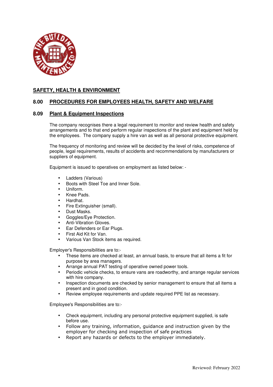

## **8.00 PROCEDURES FOR EMPLOYEES HEALTH, SAFETY AND WELFARE**

### **8.09 Plant & Equipment Inspections**

The company recognises there a legal requirement to monitor and review health and safety arrangements and to that end perform regular inspections of the plant and equipment held by the employees. The company supply a hire van as well as all personal protective equipment.

The frequency of monitoring and review will be decided by the level of risks, competence of people, legal requirements, results of accidents and recommendations by manufacturers or suppliers of equipment.

Equipment is issued to operatives on employment as listed below: -

- Ladders (Various)
- Boots with Steel Toe and Inner Sole.
- Uniform.
- Knee Pads.
- Hardhat.
- Fire Extinguisher (small).
- Dust Masks.
- Goggles/Eye Protection.
- Anti-Vibration Gloves.
- Ear Defenders or Ear Plugs.
- First Aid Kit for Van.
- Various Van Stock items as required.

Employer's Responsibilities are to:-

- These items are checked at least, an annual basis, to ensure that all items a fit for purpose by area managers.
- Arrange annual PAT testing of operative owned power tools.
- Periodic vehicle checks, to ensure vans are roadworthy, and arrange regular services with hire company.
- Inspection documents are checked by senior management to ensure that all items a present and in good condition.
- Review employee requirements and update required PPE list as necessary.

Employee's Responsibilities are to:-

- Check equipment, including any personal protective equipment supplied, is safe before use.
- Follow any training, information, guidance and instruction given by the employer for checking and inspection of safe practices
- Report any hazards or defects to the employer immediately.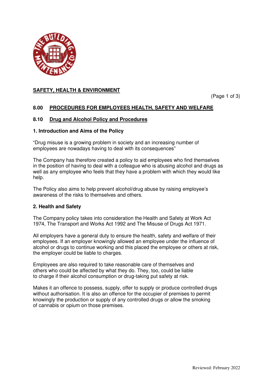

(Page 1 of 3)

# **8.00 PROCEDURES FOR EMPLOYEES HEALTH, SAFETY AND WELFARE**

## **8.10 Drug and Alcohol Policy and Procedures**

## **1. Introduction and Aims of the Policy**

"Drug misuse is a growing problem in society and an increasing number of employees are nowadays having to deal with its consequences"

The Company has therefore created a policy to aid employees who find themselves in the position of having to deal with a colleague who is abusing alcohol and drugs as well as any employee who feels that they have a problem with which they would like help.

The Policy also aims to help prevent alcohol/drug abuse by raising employee's awareness of the risks to themselves and others.

## **2. Health and Safety**

The Company policy takes into consideration the Health and Safety at Work Act 1974, The Transport and Works Act 1992 and The Misuse of Drugs Act 1971.

All employers have a general duty to ensure the health, safety and welfare of their employees. If an employer knowingly allowed an employee under the influence of alcohol or drugs to continue working and this placed the employee or others at risk, the employer could be liable to charges.

Employees are also required to take reasonable care of themselves and others who could be affected by what they do. They, too, could be liable to charge if their alcohol consumption or drug-taking put safety at risk.

Makes it an offence to possess, supply, offer to supply or produce controlled drugs without authorisation. It is also an offence for the occupier of premises to permit knowingly the production or supply of any controlled drugs or allow the smoking of cannabis or opium on those premises.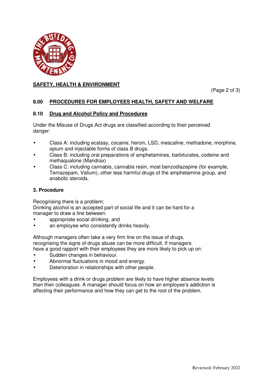

(Page 2 of 3)

# **8.00 PROCEDURES FOR EMPLOYEES HEALTH, SAFETY AND WELFARE**

## **8.10 Drug and Alcohol Policy and Procedures**

Under the Misuse of Drugs Act drugs are classified according to their perceived danger:

- Class A: including ecstasy, cocaine, heroin, LSD, mescaline, methadone, morphine, opium and injectable forms of class B drugs.
- Class B: including oral preparations of amphetamines, barbiturates, codeine and methaqualone (Mandrax)
- Class C: including cannabis, cannabis resin, most benzodiazepine (for example, Temazepam, Valium), other less harmful drugs of the amphetamine group, and anabolic steroids.

## **3. Procedure**

Recognising there is a problem;

Drinking alcohol is an accepted part of social life and it can be hard for a manager to draw a line between:

- appropriate social drinking, and
- an employee who consistently drinks heavily.

Although managers often take a very firm line on the issue of drugs, recognising the signs of drugs abuse can be more difficult. If managers have a good rapport with their employees they are more likely to pick up on:

- Sudden changes in behaviour.
- Abnormal fluctuations in mood and energy.
- Deterioration in relationships with other people.

Employees with a drink or drugs problem are likely to have higher absence levels than their colleagues. A manager should focus on how an employee's addiction is affecting their performance and how they can get to the root of the problem.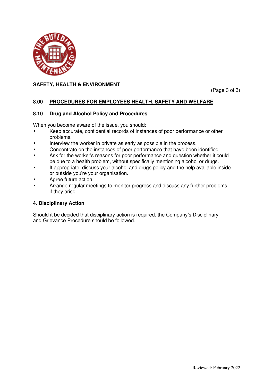

(Page 3 of 3)

# **8.00 PROCEDURES FOR EMPLOYEES HEALTH, SAFETY AND WELFARE**

# **8.10 Drug and Alcohol Policy and Procedures**

When you become aware of the issue, you should:

- Keep accurate, confidential records of instances of poor performance or other problems.
- Interview the worker in private as early as possible in the process.
- Concentrate on the instances of poor performance that have been identified.
- Ask for the worker's reasons for poor performance and question whether it could be due to a health problem, without specifically mentioning alcohol or drugs.
- If appropriate, discuss your alcohol and drugs policy and the help available inside or outside you're your organisation.
- Agree future action.
- Arrange regular meetings to monitor progress and discuss any further problems if they arise.

# **4. Disciplinary Action**

Should it be decided that disciplinary action is required, the Company's Disciplinary and Grievance Procedure should be followed.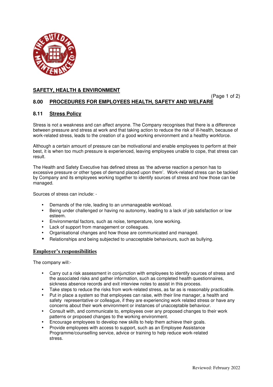

(Page 1 of 2)

# **8.00 PROCEDURES FOR EMPLOYEES HEALTH, SAFETY AND WELFARE**

# **8.11 Stress Policy**

Stress is not a weakness and can affect anyone. The Company recognises that there is a difference between pressure and stress at work and that taking action to reduce the risk of ill-health, because of work-related stress, leads to the creation of a good working environment and a healthy workforce.

Although a certain amount of pressure can be motivational and enable employees to perform at their best, it is when too much pressure is experienced, leaving employees unable to cope, that stress can result.

The Health and Safety Executive has defined stress as 'the adverse reaction a person has to excessive pressure or other types of demand placed upon them'. Work-related stress can be tackled by Company and its employees working together to identify sources of stress and how those can be managed.

Sources of stress can include: -

- Demands of the role, leading to an unmanageable workload.
- Being under challenged or having no autonomy, leading to a lack of job satisfaction or low esteem.
- Environmental factors, such as noise, temperature, lone working.
- Lack of support from management or colleagues.
- Organisational changes and how those are communicated and managed.
- Relationships and being subjected to unacceptable behaviours, such as bullying.

## **Employer's responsibilities**

The company will:-

- Carry out a risk assessment in conjunction with employees to identify sources of stress and the associated risks and gather information, such as completed health questionnaires, sickness absence records and exit interview notes to assist in this process.
- Take steps to reduce the risks from work-related stress, as far as is reasonably practicable.
- Put in place a system so that employees can raise, with their line manager, a health and safety representative or colleague, if they are experiencing work related stress or have any concerns about their work environment or instances of unacceptable behaviour.
- Consult with, and communicate to, employees over any proposed changes to their work patterns or proposed changes to the working environment.
- Encourage employees to develop new skills to help them achieve their goals.
- Provide employees with access to support, such as an Employee Assistance Programme/counselling service, advice or training to help reduce work-related stress.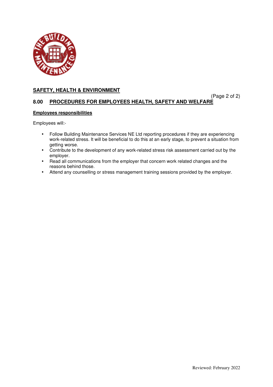

(Page 2 of 2)

# **8.00 PROCEDURES FOR EMPLOYEES HEALTH, SAFETY AND WELFARE**

# **Employees responsibilities**

Employees will:-

- Follow Building Maintenance Services NE Ltd reporting procedures if they are experiencing work-related stress. It will be beneficial to do this at an early stage, to prevent a situation from getting worse.
- Contribute to the development of any work-related stress risk assessment carried out by the employer.
- Read all communications from the employer that concern work related changes and the reasons behind those.
- Attend any counselling or stress management training sessions provided by the employer.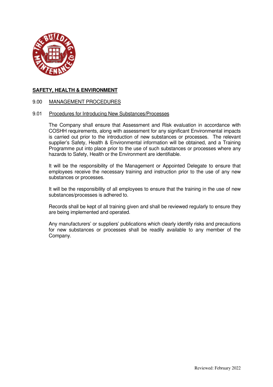

# 9.00 MANAGEMENT PROCEDURES

## 9.01 Procedures for Introducing New Substances/Processes

The Company shall ensure that Assessment and Risk evaluation in accordance with COSHH requirements, along with assessment for any significant Environmental impacts is carried out prior to the introduction of new substances or processes. The relevant supplier's Safety, Health & Environmental information will be obtained, and a Training Programme put into place prior to the use of such substances or processes where any hazards to Safety, Health or the Environment are identifiable.

It will be the responsibility of the Management or Appointed Delegate to ensure that employees receive the necessary training and instruction prior to the use of any new substances or processes.

It will be the responsibility of all employees to ensure that the training in the use of new substances/processes is adhered to.

Records shall be kept of all training given and shall be reviewed regularly to ensure they are being implemented and operated.

Any manufacturers' or suppliers' publications which clearly identify risks and precautions for new substances or processes shall be readily available to any member of the Company.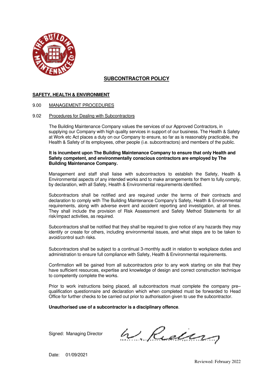

# **SUBCONTRACTOR POLICY**

## **SAFETY, HEALTH & ENVIRONMENT**

### 9.00 MANAGEMENT PROCEDURES

#### 9.02 Procedures for Dealing with Subcontractors

The Building Maintenance Company values the services of our Approved Contractors, in supplying our Company with high quality services in support of our business. The Health & Safety at Work etc Act places a duty on our Company to ensure, so far as is reasonably practicable, the Health & Safety of its employees, other people (i.e. subcontractors) and members of the public.

### **It is incumbent upon The Building Maintenance Company to ensure that only Health and Safety competent, and environmentally conscious contractors are employed by The Building Maintenance Company.**

Management and staff shall liaise with subcontractors to establish the Safety, Health & Environmental aspects of any intended works and to make arrangements for them to fully comply, by declaration, with all Safety, Health & Environmental requirements identified.

Subcontractors shall be notified and are required under the terms of their contracts and declaration to comply with The Building Maintenance Company's Safety, Health & Environmental requirements, along with adverse event and accident reporting and investigation, at all times. They shall include the provision of Risk Assessment and Safety Method Statements for all risk/impact activities, as required.

Subcontractors shall be notified that they shall be required to give notice of any hazards they may identify or create for others, including environmental issues, and what steps are to be taken to avoid/control such risks.

Subcontractors shall be subject to a continual 3-monthly audit in relation to workplace duties and administration to ensure full compliance with Safety, Health & Environmental requirements.

Confirmation will be gained from all subcontractors prior to any work starting on site that they have sufficient resources, expertise and knowledge of design and correct construction technique to competently complete the works.

Prior to work instructions being placed, all subcontractors must complete the company pre– qualification questionnaire and declaration which when completed must be forwarded to Head Office for further checks to be carried out prior to authorisation given to use the subcontractor.

### **Unauthorised use of a subcontractor is a disciplinary offence**.

Signed: Managing Director

W. Reduns

Date: 01/09/2021

Reviewed: February 2022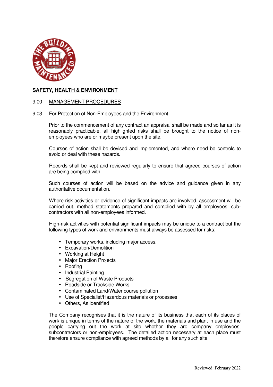

# 9.00 MANAGEMENT PROCEDURES

## 9.03 For Protection of Non-Employees and the Environment

Prior to the commencement of any contract an appraisal shall be made and so far as it is reasonably practicable, all highlighted risks shall be brought to the notice of nonemployees who are or maybe present upon the site.

 Courses of action shall be devised and implemented, and where need be controls to avoid or deal with these hazards.

 Records shall be kept and reviewed regularly to ensure that agreed courses of action are being complied with

Such courses of action will be based on the advice and guidance given in any authoritative documentation.

 Where risk activities or evidence of significant impacts are involved, assessment will be carried out, method statements prepared and complied with by all employees, subcontractors with all non-employees informed.

 High-risk activities with potential significant impacts may be unique to a contract but the following types of work and environments must always be assessed for risks:

- Temporary works, including major access.
- Excavation/Demolition
- Working at Height
- Major Erection Projects
- Roofing
- Industrial Painting
- Segregation of Waste Products
- Roadside or Trackside Works
- Contaminated Land/Water course pollution
- Use of Specialist/Hazardous materials or processes
- Others, As identified

The Company recognises that it is the nature of its business that each of its places of work is unique in terms of the nature of the work, the materials and plant in use and the people carrying out the work at site whether they are company employees, subcontractors or non-employees. The detailed action necessary at each place must therefore ensure compliance with agreed methods by all for any such site.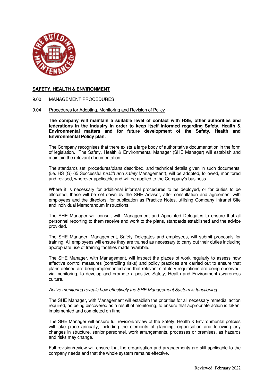

### 9.00 MANAGEMENT PROCEDURES

### 9.04 Procedures for Adopting, Monitoring and Revision of Policy

**The company will maintain a suitable level of contact with HSE, other authorities and federations in the industry in order to keep itself informed regarding Safety, Health & Environmental matters and for future development of the Safety, Health and Environmental Policy plan.** 

The Company recognises that there exists a large body of authoritative documentation in the form of legislation. The Safety, Health & Environmental Manager (SHE Manager) will establish and maintain the relevant documentation.

The standards set, procedures/plans described, and technical details given in such documents, (i.e. HS (G) 65 Successful *health and safety* Management), will be adopted, followed, monitored and revised, wherever applicable and will be applied to the Company's business.

Where it is necessary for additional informal procedures to be deployed, or for duties to be allocated, these will be set down by the SHE Advisor, after consultation and agreement with employees and the directors, for publication as Practice Notes, utilising Company Intranet Site and individual Memorandum instructions.

The SHE Manager will consult with Management and Appointed Delegates to ensure that all personnel reporting to them receive and work to the plans, standards established and the advice provided.

The SHE Manager, Management, Safety Delegates and employees, will submit proposals for training. All employees will ensure they are trained as necessary to carry out their duties including appropriate use of training facilities made available.

The SHE Manager, with Management, will inspect the places of work regularly to assess how effective control measures (controlling risks) and policy practices are carried out to ensure that plans defined are being implemented and that relevant statutory regulations are being observed, via monitoring, to develop and promote a positive Safety, Health and Environment awareness culture.

#### *Active monitoring reveals how effectively the SHE Management System is functioning.*

The SHE Manager, with Management will establish the priorities for all necessary remedial action required, as being discovered as a result of monitoring, to ensure that appropriate action is taken, implemented and completed on time.

The SHE Manager will ensure full revision/review of the Safety, Health & Environmental policies will take place annually, including the elements of planning, organisation and following any changes in structure, senior personnel, work arrangements, processes or premises, as hazards and risks may change.

Full revision/review will ensure that the organisation and arrangements are still applicable to the company needs and that the whole system remains effective.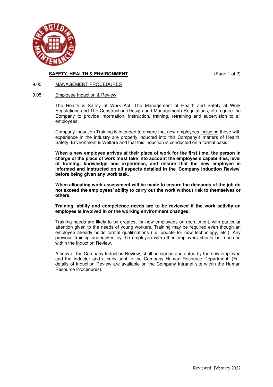

# **SAFETY, HEALTH & ENVIRONMENT** (Page 1 of 2)

## 9.00 MANAGEMENT PROCEDURES

# 9.05 Employee Induction & Review

The Health & Safety at Work Act, The Management of Health and Safety at Work Regulations and The Construction (Design and Management) Regulations, etc require the Company to provide information, instruction, training, retraining and supervision to all employees.

Company Induction Training is intended to ensure that new employees including those with experience in the industry are properly inducted into this Company's matters of Health, Safety, Environment & Welfare and that this induction is conducted on a formal basis.

**When a new employee arrives at their place of work for the first time, the person in charge of the place of work must take into account the employee's capabilities, level of training, knowledge and experience, and ensure that the new employee is informed and instructed on all aspects detailed in the 'Company Induction Review' before being given any work task.** 

**When allocating work assessment will be made to ensure the demands of the job do not exceed the employees' ability to carry out the work without risk to themselves or others.** 

**Training, ability and competence needs are to be reviewed if the work activity an employee is involved in or the working environment changes.** 

Training needs are likely to be greatest for new employees on recruitment, with particular attention given to the needs of young workers. Training may be required even though an employee already holds formal qualifications (i.e. update for new technology, etc,). Any previous training undertaken by the employee with other employers should be recorded within the Induction Review.

A copy of the Company Induction Review, shall be signed and dated by the new employee and the Inductor and a copy sent to the Company Human Resource Department. (Full details of Induction Review are available on the Company Intranet site within the Human Resource Procedures).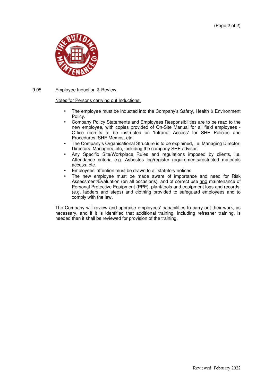

## 9.05 Employee Induction & Review

Notes for Persons carrying out Inductions.

- The employee must be inducted into the Company's Safety, Health & Environment Policy.
- Company Policy Statements and Employees Responsibilities are to be read to the new employee, with copies provided of On-Site Manual for all field employees - Office recruits to be instructed on 'Intranet Access' for SHE Policies and Procedures, SHE Memos, etc.
- The Company's Organisational Structure is to be explained, i.e. Managing Director, Directors, Managers, etc, including the company SHE advisor.
- Any Specific Site/Workplace Rules and regulations imposed by clients, i.e. Attendance criteria e.g. Asbestos log/register requirements/restricted materials access, etc.
- Employees' attention must be drawn to all statutory notices.
- The new employee must be made aware of importance and need for Risk Assessment/Evaluation (on all occasions), and of correct use and maintenance of Personal Protective Equipment (PPE), plant/tools and equipment logs and records, (e.g. ladders and steps) and clothing provided to safeguard employees and to comply with the law.

The Company will review and appraise employees' capabilities to carry out their work, as necessary, and if it is identified that additional training, including refresher training, is needed then it shall be reviewed for provision of the training.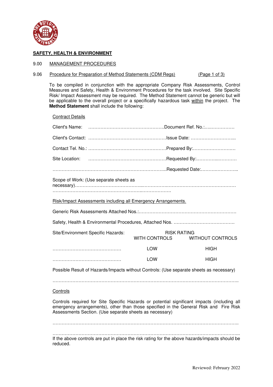

### 9.00 MANAGEMENT PROCEDURES

### 9.06 Procedure for Preparation of Method Statements (CDM Regs) (Page 1 of 3)

 To be compiled in conjunction with the appropriate Company Risk Assessments, Control Measures and Safety, Health & Environment Procedures for the task involved. Site Specific Risk/ Impact Assessment may be required. The Method Statement cannot be generic but will be applicable to the overall project or a specifically hazardous task within the project. The **Method Statement** shall include the following:

Contract Details

| Site Location:                                                                          |                                            |                         |
|-----------------------------------------------------------------------------------------|--------------------------------------------|-------------------------|
|                                                                                         |                                            |                         |
| Scope of Work: (Use separate sheets as                                                  |                                            |                         |
|                                                                                         |                                            |                         |
| Risk/Impact Assessments including all Emergency Arrangements.                           |                                            |                         |
|                                                                                         |                                            |                         |
|                                                                                         |                                            |                         |
| Site/Environment Specific Hazards:                                                      | <b>RISK RATING</b><br><b>WITH CONTROLS</b> | <b>WITHOUT CONTROLS</b> |
|                                                                                         | LOW                                        | <b>HIGH</b>             |
|                                                                                         | LOW                                        | <b>HIGH</b>             |
| Possible Result of Hazards/Impacts without Controls: (Use separate sheets as necessary) |                                            |                         |
|                                                                                         |                                            |                         |
|                                                                                         |                                            |                         |

## **Controls**

 Controls required for Site Specific Hazards or potential significant impacts (including all emergency arrangements), other than those specified in the General Risk and Fire Risk Assessments Section. (Use separate sheets as necessary)

…………………………………………………………………………………………………………..

 …………………………………………………………………………………………………………... If the above controls are put in place the risk rating for the above hazards/impacts should be reduced.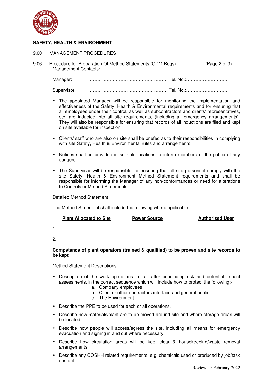

### 9.00 MANAGEMENT PROCEDURES

| 9.06 | Procedure for Preparation Of Method Statements (CDM Regs) | (Page 2 of 3) |
|------|-----------------------------------------------------------|---------------|
|      | Management Contacts:                                      |               |

Manager: ……………………………………………..Tel. No.:………………………

Supervisor: ……………………………………………..Tel. No.:………………………

- The appointed Manager will be responsible for monitoring the implementation and effectiveness of the Safety, Health & Environmental requirements and for ensuring that all employees under their control, as well as subcontractors and clients' representatives, etc, are inducted into all site requirements, (including all emergency arrangements). They will also be responsible for ensuring that records of all inductions are filed and kept on site available for inspection.
- Clients' staff who are also on site shall be briefed as to their responsibilities in complying with site Safety, Health & Environmental rules and arrangements.
- Notices shall be provided in suitable locations to inform members of the public of any dangers.
- The Supervisor will be responsible for ensuring that all site personnel comply with the site Safety, Health & Environment Method Statement requirements and shall be responsible for informing the Manager of any non-conformances or need for alterations to Controls or Method Statements.

Detailed Method Statement

The Method Statement shall include the following where applicable.

| <b>Plant Allocated to Site</b> | <b>Power Source</b> | <b>Authorised User</b> |
|--------------------------------|---------------------|------------------------|
|                                |                     |                        |

1.

2.

## **Competence of plant operators (trained & qualified) to be proven and site records to be kept**

### Method Statement Descriptions

- Description of the work operations in full, after concluding risk and potential impact assessments, in the correct sequence which will include how to protect the following:
	- a. Company employees
	- b. Client or other contractors interface and general public
	- c. The Environment
- Describe the PPE to be used for each or all operations.
- Describe how materials/plant are to be moved around site and where storage areas will be located.
- Describe how people will access/egress the site, including all means for emergency evacuation and signing in and out where necessary.
- Describe how circulation areas will be kept clear & housekeeping/waste removal arrangements.
- Describe any COSHH related requirements, e.g. chemicals used or produced by job/task content.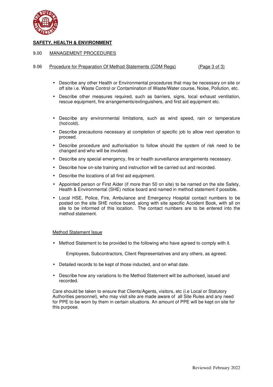

## 9.00 MANAGEMENT PROCEDURES

#### 9.06 Procedure for Preparation Of Method Statements (CDM Regs) (Page 3 of 3)

- Describe any other Health or Environmental procedures that may be necessary on site or off site i.e. Waste Control or Contamination of Waste/Water course, Noise, Pollution, etc.
- Describe other measures required, such as barriers, signs, local exhaust ventilation, rescue equipment, fire arrangements/extinguishers, and first aid equipment etc.
- Describe any environmental limitations, such as wind speed, rain or temperature (hot/cold).
- Describe precautions necessary at completion of specific job to allow next operation to proceed.
- Describe procedure and authorisation to follow should the system of risk need to be changed and who will be involved.
- Describe any special emergency, fire or health surveillance arrangements necessary.
- Describe how on-site training and instruction will be carried out and recorded.
- Describe the locations of all first aid equipment.
- Appointed person or First Aider (if more than 50 on site) to be named on the site Safety, Health & Environmental (SHE) notice board and named in method statement if possible.
- Local HSE, Police, Fire, Ambulance and Emergency Hospital contact numbers to be posted on the site SHE notice board, along with site specific Accident Book, with all on site to be informed of this location. The contact numbers are to be entered into the method statement.

#### Method Statement Issue

• Method Statement to be provided to the following who have agreed to comply with it.

Employees, Subcontractors, Client Representatives and any others, as agreed.

- Detailed records to be kept of those inducted, and on what date.
- Describe how any variations to the Method Statement will be authorised, issued and recorded.

 Care should be taken to ensure that Clients/Agents, visitors, etc (i.e Local or Statutory Authorities personnel), who may visit site are made aware of all Site Rules and any need for PPE to be worn by them in certain situations. An amount of PPE will be kept on site for this purpose.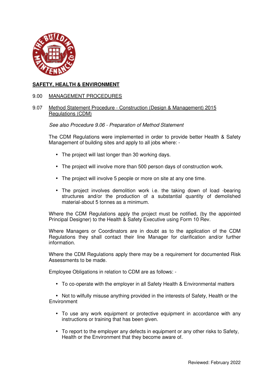

# 9.00 MANAGEMENT PROCEDURES

# 9.07 Method Statement Procedure - Construction (Design & Management) 2015 Regulations (CDM)

# *See also Procedure 9.06 - Preparation of Method Statement*

The CDM Regulations were implemented in order to provide better Health & Safety Management of building sites and apply to all jobs where: -

- The project will last longer than 30 working days.
- The project will involve more than 500 person days of construction work.
- The project will involve 5 people or more on site at any one time.
- The project involves demolition work i.e. the taking down of load -bearing structures and/or the production of a substantial quantity of demolished material-about 5 tonnes as a minimum.

Where the CDM Regulations apply the project must be notified, (by the appointed Principal Designer) to the Health & Safety Executive using Form 10 Rev.

Where Managers or Coordinators are in doubt as to the application of the CDM Regulations they shall contact their line Manager for clarification and/or further information.

Where the CDM Regulations apply there may be a requirement for documented Risk Assessments to be made.

Employee Obligations in relation to CDM are as follows: -

• To co-operate with the employer in all Safety Health & Environmental matters

• Not to wilfully misuse anything provided in the interests of Safety, Health or the **Environment** 

- To use any work equipment or protective equipment in accordance with any instructions or training that has been given.
- To report to the employer any defects in equipment or any other risks to Safety, Health or the Environment that they become aware of.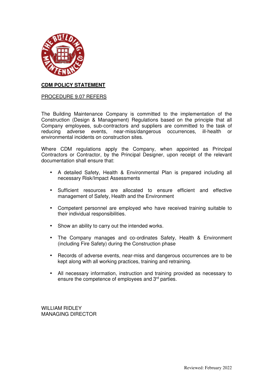

# **CDM POLICY STATEMENT**

# PROCEDURE 9.07 REFERS

The Building Maintenance Company is committed to the implementation of the Construction (Design & Management) Regulations based on the principle that all Company employees, sub-contractors and suppliers are committed to the task of reducing adverse events, near-miss/dangerous occurrences, ill-health or environmental incidents on construction sites.

Where CDM regulations apply the Company, when appointed as Principal Contractors or Contractor, by the Principal Designer, upon receipt of the relevant documentation shall ensure that:

- A detailed Safety, Health & Environmental Plan is prepared including all necessary Risk/Impact Assessments
- Sufficient resources are allocated to ensure efficient and effective management of Safety, Health and the Environment
- Competent personnel are employed who have received training suitable to their individual responsibilities.
- Show an ability to carry out the intended works.
- The Company manages and co-ordinates Safety, Health & Environment (including Fire Safety) during the Construction phase
- Records of adverse events, near-miss and dangerous occurrences are to be kept along with all working practices, training and retraining.
- All necessary information, instruction and training provided as necessary to ensure the competence of employees and 3<sup>rd</sup> parties.

WILLIAM RIDLEY MANAGING DIRECTOR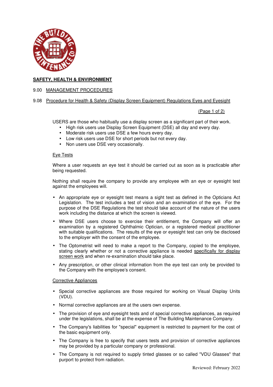

## 9.00 MANAGEMENT PROCEDURES

9.08 Procedure for Health & Safety (Display Screen Equipment) Regulations Eyes and Eyesight

## (Page 1 of 2)

USERS are those who habitually use a display screen as a significant part of their work.

- High risk users use Display Screen Equipment (DSE) all day and every day.
- Moderate risk users use DSE a few hours every day.
- Low risk users use DSE for short periods but not every day.
- Non users use DSE very occasionally.

### Eye Tests

Where a user requests an eye test it should be carried out as soon as is practicable after being requested.

Nothing shall require the company to provide any employee with an eye or eyesight test against the employees will.

- An appropriate eye or eyesight test means a sight test as defined in the Opticians Act Legislation. The test includes a test of vision and an examination of the eye. For the purpose of the DSE Regulations the test should take account of the nature of the users work including the distance at which the screen is viewed.
- Where DSE users choose to exercise their entitlement, the Company will offer an examination by a registered Ophthalmic Optician, or a registered medical practitioner with suitable qualifications. The results of the eye or eyesight test can only be disclosed to the employer with the consent of the employee.
- The Optometrist will need to make a report to the Company, copied to the employee, stating clearly whether or not a corrective appliance is needed specifically for display screen work and when re-examination should take place.
- Any prescription, or other clinical information from the eye test can only be provided to the Company with the employee's consent.

### Corrective Appliances

- Special corrective appliances are those required for working on Visual Display Units (VDU).
- Normal corrective appliances are at the users own expense.
- The provision of eye and eyesight tests and of special corrective appliances, as required under the legislations, shall be at the expense of The Building Maintenance Company.
- The Company's liabilities for "special" equipment is restricted to payment for the cost of the basic equipment only.
- The Company is free to specify that users tests and provision of corrective appliances may be provided by a particular company or professional.
- The Company is not required to supply tinted glasses or so called "VDU Glasses" that purport to protect from radiation.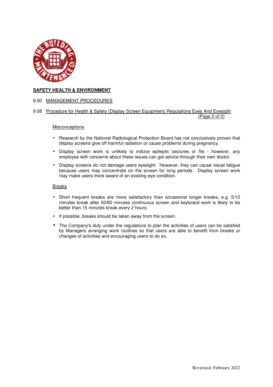

## 9.00 MANAGEMENT PROCEDURES

9.08 Procedure for Health & Safety (Display Screen Equipment) Regulations Eyes And Eyesight (Page 2 of 2)

### **Misconceptions**

- Research by the National Radiological Protection Board has not conclusively proven that display screens give off harmful radiation or cause problems during pregnancy.
- Display screen work is unlikely to induce epileptic seizures or fits however, any employee with concerns about these issues can get advice through their own doctor.
- Display screens do not damage users eyesight. However, they can cause visual fatigue because users may concentrate on the screen for long periods. Display screen work may make users more aware of an existing eye condition.

### Breaks

- Short frequent breaks are more satisfactory than occasional longer breaks, e.g.  $5/10$ minutes break after 50/60 minutes continuous screen and keyboard work is likely to be better than 15 minutes break every 2 hours.
- If possible, breaks should be taken away from the screen.
- The Company's duty under the regulations to plan the activities of users can be satisfied by Managers arranging work routines so that users are able to benefit from breaks or changes of activities and encouraging users to do so.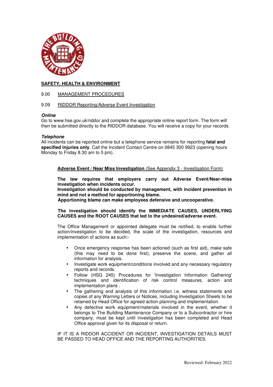

## 9.00 MANAGEMENT PROCEDURES

## 9.09 RIDDOR Reporting/Adverse Event Investigation

### *Online*

Go to www.hse.gov.uk/riddor and complete the appropriate online report form. The form will then be submitted directly to the RIDDOR database. You will receive a copy for your records.

## *Telephone*

All incidents can be reported online but a telephone service remains for reporting **fatal and specified injuries only**. Call the Incident Contact Centre on 0845 300 9923 (opening hours Monday to Friday 8.30 am to 5 pm).

## **Adverse Event / Near Miss Investigation** (See Appendix 3 - Investigation Form)

**The law requires that employers carry out Adverse Event/Near-miss investigation when incidents occur.** 

**Investigation should be conducted by management, with incident prevention in mind and not a method for apportioning blame.** 

 **Apportioning blame can make employees defensive and uncooperative.** 

## **The investigation should identify the IMMEDIATE CAUSES, UNDERLYING CAUSES and the ROOT CAUSES that led to the undesired/adverse event.**

The Office Management or appointed delegate must be notified, to enable further action/investigation to be decided, the scale of the investigation, resources and implementation of actions as such:-

- Once emergency response has been actioned (such as first aid), make safe (this may need to be done first), preserve the scene, and gather all information for analysis.
- Investigate work equipment/conditions involved and any necessary regulatory reports and records.
- Follow (HSG 245) Procedures for 'Investigation Information Gathering' techniques and identification of risk control measures, action and implementation plans .
- The gathering and analysis of this information i.e. witness statements and copies of any Warning Letters or Notices, including Investigation Sheets to be retained by Head Office for agreed action planning and implementation.
- Any defective work equipment/materials involved in the event, whether it belongs to The Building Maintenance Company or to a Subcontractor or hire company, must be kept until investigation has been completed and Head Office approval given for its disposal or return.

 IF IT IS A RIDDOR ACCIDENT OR INCIDENT, INVESTIGATION DETAILS MUST BE PASSED TO HEAD OFFICE AND THE REPORTING AUTHORITIES.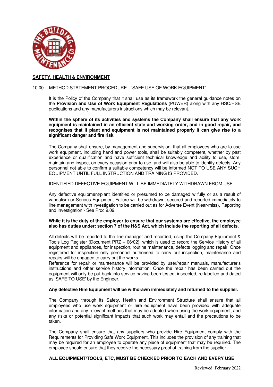

### 10.00 METHOD STATEMENT PROCEDURE - "SAFE USE OF WORK EQUIPMENT"

It is the Policy of the Company that it shall use as its framework the general guidance notes on the **Provision and Use of Work Equipment Regulations** (PUWER) along with any HSC/HSE publications and any manufacturers instructions which may be relevant.

**Within the sphere of its activities and systems the Company shall ensure that any work equipment is maintained in an efficient state and working order, and in good repair, and recognises that if plant and equipment is not maintained properly it can give rise to a significant danger and fire risk.**

The Company shall ensure, by management and supervision, that all employees who are to use work equipment, including hand and power tools, shall be suitably competent, whether by past experience or qualification and have sufficient technical knowledge and ability to use, store, maintain and inspect on every occasion prior to use, and will also be able to identify defects. Any personnel not able to confirm a suitable competency will be informed NOT TO USE ANY SUCH EQUIPMENT UNTIL FULL INSTRUCTION AND TRAINING IS PROVIDED.

## IDENTIFIED DEFECTIVE EQUIPMENT WILL BE IMMEDIATELY WITHDRAWN FROM USE.

Any defective equipment/plant identified or presumed to be damaged wilfully or as a result of vandalism or Serious Equipment Failure will be withdrawn, secured and reported immediately to line management with investigation to be carried out as for Adverse Event (Near-miss), Reporting and Investigation - See Proc 9.09.

### **While it is the duty of the employer to ensure that our systems are effective, the employee also has duties under: section 7 of the H&S Act, which include the reporting of all defects.**

All defects will be reported to the line manager and recorded, using the Company Equipment & Tools Log Register (Document PRZ – 06/02), which is used to record the Service History of all equipment and appliances, for inspection, routine maintenance, defects logging and repair. Once registered for inspection only personnel authorised to carry out inspection, maintenance and repairs will be engaged to carry out the works.

Reference for repair or maintenance will be provided by user/repair manuals, manufacturer's instructions and other service history information. Once the repair has been carried out the equipment will only be put back into service having been tested, inspected, re-labelled and dated as 'SAFE TO USE' by the Engineer.

## **Any defective Hire Equipment will be withdrawn immediately and returned to the supplier.**

The Company through its Safety, Health and Environment Structure shall ensure that all employees who use work equipment or hire equipment have been provided with adequate information and any relevant methods that may be adopted when using the work equipment, and any risks or potential significant impacts that such work may entail and the precautions to be taken.

The Company shall ensure that any suppliers who provide Hire Equipment comply with the Requirements for Providing Safe Work Equipment. This includes the provision of any training that may be required for an employee to operate any piece of equipment that may be required. The employee should ensure that they receive the necessary proof of training from the supplier.

## **ALL EQUIPMENT/TOOLS, ETC, MUST BE CHECKED PRIOR TO EACH AND EVERY USE**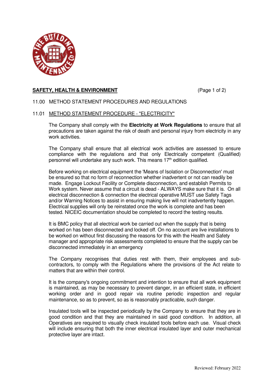

# **SAFETY, HEALTH & ENVIRONMENT** (Page 1 of 2)

# 11.00 METHOD STATEMENT PROCEDURES AND REGULATIONS

# 11.01 METHOD STATEMENT PROCEDURE - "ELECTRICITY"

The Company shall comply with the **Electricity at Work Regulations** to ensure that all precautions are taken against the risk of death and personal injury from electricity in any work activities.

The Company shall ensure that all electrical work activities are assessed to ensure compliance with the regulations and that only Electrically competent (Qualified) personnel will undertake any such work. This means 17<sup>th</sup> edition qualified.

Before working on electrical equipment the 'Means of Isolation or Disconnection' must be ensured so that no form of reconnection whether inadvertent or not can readily be made. Engage Lockout Facility or Complete disconnection, and establish Permits to Work system. Never assume that a circuit is dead - ALWAYS make sure that it is. On all electrical disconnection & connection the electrical operative MUST use Safety Tags and/or Warning Notices to assist in ensuring making live will not inadvertently happen. Electrical supplies will only be reinstated once the work is complete and has been tested. NICEIC documentation should be completed to record the testing results.

It is BMC policy that all electrical work be carried out when the supply that is being worked on has been disconnected and locked off. On no account are live installations to be worked on without first discussing the reasons for this with the Health and Safety manager and appropriate risk assessments completed to ensure that the supply can be disconnected immediately in an emergency

The Company recognises that duties rest with them, their employees and subcontractors, to comply with the Regulations where the provisions of the Act relate to matters that are within their control.

It is the company's ongoing commitment and intention to ensure that all work equipment is maintained, as may be necessary to prevent danger, in an efficient state, in efficient working order and in good repair via routine periodic inspection and regular maintenance, so as to prevent, so as is reasonably practicable, such danger.

Insulated tools will be inspected periodically by the Company to ensure that they are in good condition and that they are maintained in said good condition. In addition, all Operatives are required to visually check insulated tools before each use. Visual check will include ensuring that both the inner electrical insulated layer and outer mechanical protective layer are intact.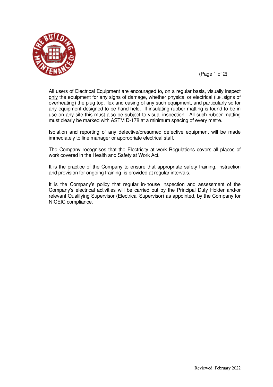

(Page 1 of 2)

All users of Electrical Equipment are encouraged to, on a regular basis, visually inspect only the equipment for any signs of damage, whether physical or electrical (i.e .signs of overheating) the plug top, flex and casing of any such equipment, and particularly so for any equipment designed to be hand held. If insulating rubber matting is found to be in use on any site this must also be subject to visual inspection. All such rubber matting must clearly be marked with ASTM D-178 at a minimum spacing of every metre.

Isolation and reporting of any defective/presumed defective equipment will be made immediately to line manager or appropriate electrical staff.

The Company recognises that the Electricity at work Regulations covers all places of work covered in the Health and Safety at Work Act.

It is the practice of the Company to ensure that appropriate safety training, instruction and provision for ongoing training is provided at regular intervals.

It is the Company's policy that regular in-house inspection and assessment of the Company's electrical activities will be carried out by the Principal Duty Holder and/or relevant Qualifying Supervisor (Electrical Supervisor) as appointed, by the Company for NICEIC compliance.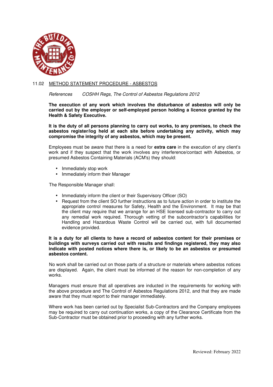

# 11.02 METHOD STATEMENT PROCEDURE - ASBESTOS

### *References COSHH Regs, The Control of Asbestos Regulations 2012*

**The execution of any work which involves the disturbance of asbestos will only be carried out by the employer or self-employed person holding a licence granted by the Health & Safety Executive.** 

**It is the duty of all persons planning to carry out works, to any premises, to check the asbestos register/log held at each site before undertaking any activity, which may compromise the integrity of any asbestos, which may be present.** 

Employees must be aware that there is a need for **extra care** in the execution of any client's work and if they suspect that the work involves any interference/contact with Asbestos, or presumed Asbestos Containing Materials (ACM's) they should:

- Immediately stop work
- Immediately inform their Manager

The Responsible Manager shall:

- Immediately inform the client or their Supervisory Officer (SO)
- Request from the client SO further instructions as to future action in order to institute the appropriate control measures for Safety, Health and the Environment. It may be that the client may require that we arrange for an HSE licensed sub-contractor to carry out any remedial work required. Thorough vetting of the subcontractor's capabilities for Handling and Hazardous Waste Control will be carried out, with full documented evidence provided.

### **It is a duty for all clients to have a record of asbestos content for their premises or buildings with surveys carried out with results and findings registered, they may also indicate with posted notices where there is, or likely to be an asbestos or presumed asbestos content.**

 No work shall be carried out on those parts of a structure or materials where asbestos notices are displayed. Again, the client must be informed of the reason for non-completion of any works.

Managers must ensure that all operatives are inducted in the requirements for working with the above procedure and The Control of Asbestos Regulations 2012, and that they are made aware that they must report to their manager immediately.

Where work has been carried out by Specialist Sub-Contractors and the Company employees may be required to carry out continuation works, a copy of the Clearance Certificate from the Sub-Contractor must be obtained prior to proceeding with any further works.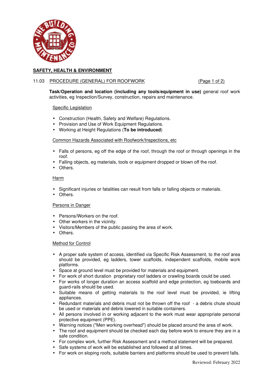

## 11.03 PROCEDURE (GENERAL) FOR ROOFWORK (Page 1 of 2)

**Task/Operation and location (including any tools/equipment in use)** general roof work activities, eg Inspection/Survey, construction, repairs and maintenance.

Specific Legislation

- Construction (Health, Safety and Welfare) Regulations.
- Provision and Use of Work Equipment Regulations.
- Working at Height Regulations (**To be introduced**)

## Common Hazards Associated with Roofwork/Inspections, etc

- Falls of persons, eg off the edge of the roof, through the roof or through openings in the roof.
- Falling objects, eg materials, tools or equipment dropped or blown off the roof.
- Others.

### **Harm**

- Significant injuries or fatalities can result from falls or falling objects or materials.
- Others.

## Persons in Danger

- Persons/Workers on the roof.
- Other workers in the vicinity.
- Visitors/Members of the public passing the area of work.
- Others.

### Method for Control

- A proper safe system of access, identified via Specific Risk Assessment, to the roof area should be provided, eg ladders, tower scaffolds, independent scaffolds, mobile work platforms.
- Space at ground level must be provided for materials and equipment.
- For work of short duration proprietary roof ladders or crawling boards could be used.
- For works of longer duration an access scaffold and edge protection, eg toeboards and guard-rails should be used.
- Suitable means of getting materials to the roof level must be provided, ie lifting appliances.
- Redundant materials and debris must not be thrown off the roof a debris chute should be used or materials and debris lowered in suitable containers.
- All persons involved in or working adjacent to the work must wear appropriate personal protective equipment (PPE).
- Warning notices ("Men working overhead") should be placed around the area of work.
- The roof and equipment should be checked each day before work to ensure they are in a safe condition.
- For complex work, further Risk Assessment and a method statement will be prepared.
- Safe systems of work will be established and followed at all times.
- For work on sloping roofs, suitable barriers and platforms should be used to prevent falls.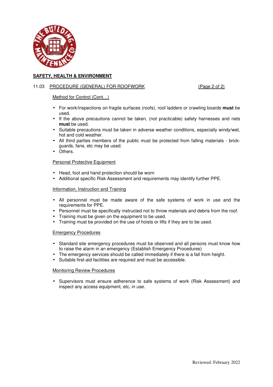

# 11.03 PROCEDURE (GENERAL) FOR ROOFWORK (Page 2 of 2)

## Method for Control (Cont...)

- For work/inspections on fragile surfaces (roofs), roof ladders or crawling boards **must** be used.
- If the above precautions cannot be taken, (not practicable) safety harnesses and nets **must** be used.
- Suitable precautions must be taken in adverse weather conditions, especially windy/wet, hot and cold weather.
- All third parties members of the public must be protected from falling materials brickguards, fans, etc may be used.
- Others.

## Personal Protective Equipment

- Head, foot and hand protection should be worn
- Additional specific Risk Assessment and requirements may identify further PPE.

## Information, Instruction and Training

- All personnel must be made aware of the safe systems of work in use and the requirements for PPE.
- Personnel must be specifically instructed not to throw materials and debris from the roof.
- Training must be given on the equipment to be used.
- Training must be provided on the use of hoists or lifts if they are to be used.

## Emergency Procedures

- Standard site emergency procedures must be observed and all persons must know how to raise the alarm in an emergency (Establish Emergency Procedures)
- The emergency services should be called immediately if there is a fall from height.
- Suitable first-aid facilities are required and must be accessible.

## Monitoring Review Procedures

• Supervisors must ensure adherence to safe systems of work (Risk Assessment) and inspect any access equipment, etc, in use.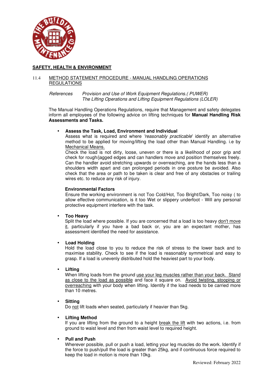

## 11.4 METHOD STATEMENT PROCEDURE - MANUAL HANDLING OPERATIONS REGULATIONS

### *References Provision and Use of Work Equipment Regulations.( PUWER) The Lifting Operations and Lifting Equipment Regulations (LOLER)*

The Manual Handling Operations Regulations, require that Management and safety delegates inform all employees of the following advice on lifting techniques for **Manual Handling Risk Assessments and Tasks.**

## • **Assess the Task, Load, Environment and Individual**

Assess what is required and where *'reasonably practicable*' identify an alternative method to be applied for moving/lifting the load other than Manual Handling. i.e by Mechanical Means.

Check the load is not dirty, loose, uneven or there is a likelihood of poor grip and check for rough/jagged edges and can handlers move and position themselves freely. Can the handler avoid stretching upwards or overreaching, are the hands less than a shoulders width apart and can prolonged periods in one posture be avoided. Also check that the area or path to be taken is clear and free of any obstacles or trailing wires etc. to reduce any risk of injury.

# **Environmental Factors**

Ensure the working environment is not Too Cold/Hot, Too Bright/Dark, Too noisy ( to allow effective communication, is it too Wet or slippery underfoot - Will any personal protective equipment interfere with the task.

## • **Too Heavy**

Split the load where possible. If you are concerned that a load is too heavy don't move it, particularly if you have a bad back or, you are an expectant mother, has assessment identified the need for assistance.

## • **Load Holding**

Hold the load close to you to reduce the risk of stress to the lower back and to maximise stability. Check to see if the load is reasonably symmetrical and easy to grasp. If a load is unevenly distributed hold the heaviest part to your body.

## • **Lifting**

When lifting loads from the ground use your leg muscles rather than your back. Stand as close to the load as possible and face it square on. Avoid twisting, stooping or overreaching with your body when lifting. Identify if the load needs to be carried more than 10 metres.

## • **Sitting**

Do not lift loads when seated, particularly if heavier than 5kg.

# • **Lifting Method**

If you are lifting from the ground to a height break the lift with two actions, i.e. from ground to waist level and then from waist level to required height.

# • **Pull and Push**

Wherever possible, pull or push a load, letting your leg muscles do the work. Identify if the force to push/pull the load is greater than 25kg, and if continuous force required to keep the load in motion is more than 10kg.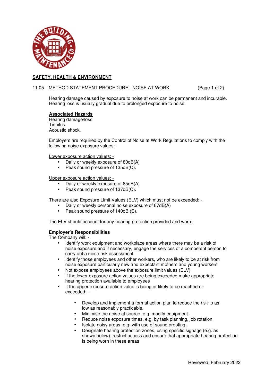

### 11.05 METHOD STATEMENT PROCEDURE - NOISE AT WORK (Page 1 of 2)

Hearing damage caused by exposure to noise at work can be permanent and incurable. Hearing loss is usually gradual due to prolonged exposure to noise.

## **Associated Hazards**

Hearing damage/loss **Tinnitus** Acoustic shock.

Employers are required by the Control of Noise at Work Regulations to comply with the following noise exposure values: -

Lower exposure action values: -

- Daily or weekly exposure of 80dB(A)
- Peak sound pressure of 135dB(C).

Upper exposure action values: -

- Daily or weekly exposure of 85dB(A)
- Peak sound pressure of 137dB(C).

There are also Exposure Limit Values (ELV) which must not be exceeded: -

- Daily or weekly personal noise exposure of 87dB(A)
- Peak sound pressure of 140dB (C).

The ELV should account for any hearing protection provided and worn.

### **Employer's Responsibilities**

The Company will: -

- Identify work equipment and workplace areas where there may be a risk of noise exposure and if necessary, engage the services of a competent person to carry out a noise risk assessment
- Identify those employees and other workers, who are likely to be at risk from noise exposure particularly new and expectant mothers and young workers
- Not expose employees above the exposure limit values (ELV)
- If the lower exposure action values are being exceeded make appropriate hearing protection available to employees
- If the upper exposure action value is being or likely to be reached or exceeded: -
	- Develop and implement a formal action plan to reduce the risk to as low as reasonably practicable.
	- Minimise the noise at source, e.g. modify equipment.
	- Reduce noise exposure times, e.g. by task planning, job rotation.
	- Isolate noisy areas, e.g. with use of sound proofing.
	- Designate hearing protection zones, using specific signage (e.g. as shown below), restrict access and ensure that appropriate hearing protection is being worn in these areas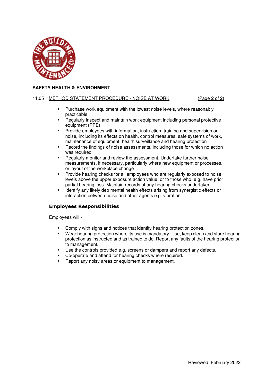

## 11.05 METHOD STATEMENT PROCEDURE - NOISE AT WORK (Page 2 of 2)

- Purchase work equipment with the lowest noise levels, where reasonably practicable
- Regularly inspect and maintain work equipment including personal protective equipment (PPE)
- Provide employees with information, instruction, training and supervision on noise, including its effects on health, control measures, safe systems of work, maintenance of equipment, health surveillance and hearing protection
- Record the findings of noise assessments, including those for which no action was required
- Regularly monitor and review the assessment. Undertake further noise measurements, if necessary, particularly where new equipment or processes, or layout of the workplace change
- Provide hearing checks for all employees who are regularly exposed to noise levels above the upper exposure action value, or to those who, e.g. have prior partial hearing loss. Maintain records of any hearing checks undertaken
- Identify any likely detrimental health effects arising from synergistic effects or interaction between noise and other agents e.g. vibration.

## **Employees Responsibilities**

Employees will:-

- Comply with signs and notices that identify hearing protection zones.
- Wear hearing protection where its use is mandatory. Use, keep clean and store hearing protection as instructed and as trained to do. Report any faults of the hearing protection to management.
- Use the controls provided e.g. screens or dampers and report any defects.
- Co-operate and attend for hearing checks where required.
- Report any noisy areas or equipment to management.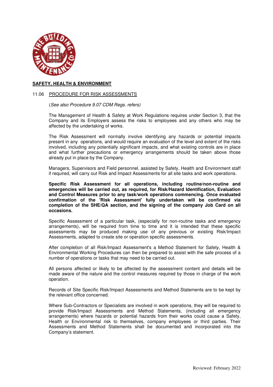

### 11.06 PROCEDURE FOR RISK ASSESSMENTS

(*See also Procedure 9.07 CDM Regs. refers)* 

 The Management of Health & Safety at Work Regulations requires under Section 3, that the Company and its Employers assess the risks to employees and any others who may be affected by the undertaking of works.

The Risk Assessment will normally involve identifying any hazards or potential impacts present in any operations, and would require an evaluation of the level and extent of the risks involved, including any potentially significant impacts, and what existing controls are in place and what further precautions or emergency arrangements should be taken above those already put in place by the Company.

Managers, Supervisors and Field personnel, assisted by Safety, Health and Environment staff if required, will carry out Risk and Impact Assessments for all site tasks and work operations.

**Specific Risk Assessment for all operations, including routine/non-routine and emergencies will be carried out, as required, for Risk/Hazard Identification, Evaluation and Control Measures prior to any task/work operations commencing. Once evaluated confirmation of the 'Risk Assessment' fully undertaken will be confirmed via completion of the SHE/QA section, and the signing of the company Job Card on all occasions.** 

Specific Assessment of a particular task, (especially for non-routine tasks and emergency arrangements), will be required from time to time and it is intended that these specific assessments may be produced making use of any previous or existing Risk/Impact Assessments, adapted to create site or operation specific assessments.

After completion of all Risk/Impact Assessment's a Method Statement for Safety, Health & Environmental Working Procedures can then be prepared to assist with the safe process of a number of operations or tasks that may need to be carried out.

All persons affected or likely to be affected by the assessment content and details will be made aware of the nature and the control measures required by those in charge of the work operation.

Records of Site Specific Risk/Impact Assessments and Method Statements are to be kept by the relevant office concerned.

Where Sub-Contractors or Specialists are involved in work operations, they will be required to provide Risk/Impact Assessments and Method Statements, (including all emergency arrangements) where hazards or potential hazards from their works could cause a Safety, Health or Environmental risk to themselves, company employees or third parties. Their Assessments and Method Statements shall be documented and incorporated into the Company's statement.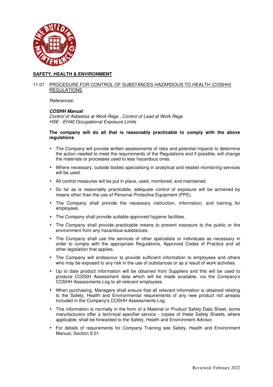

## 11.07 PROCEDURE FOR CONTROL OF SUBSTANCES HAZARDOUS TO HEALTH (COSHH) REGULATIONS

 *References:* 

## *COSHH Manual*

*Control of Asbestos at Work Regs , Control of Lead at Work Regs HSE - EH40 Occupational Exposure Limits* 

### **The company will do all that is reasonably practicable to comply with the above regulations**.

- The Company will provide written assessments of risks and potential impacts to determine the action needed to meet the requirements of the Regulations and if possible, will change the materials or processes used to less hazardous ones.
- Where necessary, outside bodies specialising in analytical and related monitoring services will be used.
- All control measures will be put in place, used, monitored, and maintained.
- So far as is reasonably practicable, adequate control of exposure will be achieved by means other than the use of Personal Protective Equipment (PPE).
- The Company shall provide the necessary instruction, information, and training for employees.
- The Company shall provide suitable approved hygiene facilities.
- The Company shall provide practicable means to prevent exposure to the public or the environment from any hazardous substances.
- The Company shall use the services of other specialists or individuals as necessary in order to comply with the appropriate Regulations, Approved Codes of Practice and all other legislation that applies.
- The Company will endeavour to provide sufficient information to employees and others who may be exposed to any risk in the use of substances or as a result of work activities.
- Up to date product information will be obtained from Suppliers and this will be used to produce COSSH Assessment data which will be made available, via the Company's COSHH Assessments Log to all relevant employees.
- When purchasing, Managers shall ensure that all relevant information is obtained relating to the Safety, Health and Environmental requirements of any new product not already included in the Company's COSHH Assessments Log.
- This information is normally in the form of a Material or Product Safety Data Sheet, some manufacturers offer a technical specifier service - copies of these Safety Sheets, where applicable, shall be forwarded to the Safety, Health and Environment Advisor.
- For details of requirements for Company Training see Safety, Health and Environment Manual, Section 9.01.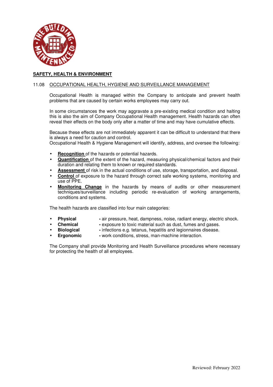

## 11.08 OCCUPATIONAL HEALTH, HYGIENE AND SURVEILLANCE MANAGEMENT

Occupational Health is managed within the Company to anticipate and prevent health problems that are caused by certain works employees may carry out.

In some circumstances the work may aggravate a pre-existing medical condition and halting this is also the aim of Company Occupational Health management. Health hazards can often reveal their effects on the body only after a matter of time and may have cumulative effects.

Because these effects are not immediately apparent it can be difficult to understand that there is always a need for caution and control.

Occupational Health & Hygiene Management will identify, address, and oversee the following:

- **Recognition** of the hazards or potential hazards.
- **Quantification** of the extent of the hazard, measuring physical/chemical factors and their duration and relating them to known or required standards.
- **Assessment** of risk in the actual conditions of use, storage, transportation, and disposal.
- **Control** of exposure to the hazard through correct safe working systems, monitoring and use of PPE.
- **Monitoring Change** in the hazards by means of audits or other measurement techniques/surveillance including periodic re-evaluation of working arrangements, conditions and systems.

The health hazards are classified into four main categories:

- **Physical air pressure, heat, dampness, noise, radiant energy, electric shock.**
- **Chemical** exposure to toxic material such as dust, fumes and gases.
	- **Biological** -- infections e.g. tetanus, hepatitis and legionnaires disease.
- 
- **Ergonomic** work conditions, stress, man-machine interaction.

The Company shall provide Monitoring and Health Surveillance procedures where necessary for protecting the health of all employees.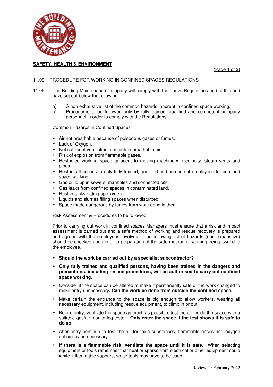

(Page 1 of 2)

## 11.09 PROCEDURE FOR WORKING IN CONFINED SPACES REGULATIONS

- 11.09 The Building Maintenance Company will comply with the above Regulations and to this end have set out below the following:
	- a) A non exhaustive list of the common hazards inherent in confined space working.
	- b) Procedures to be followed only by fully trained, qualified and competent company personnel in order to comply with the Regulations.

### Common Hazards in Confined Spaces

- Air not breathable because of poisonous gases or fumes.
- Lack of Oxygen.
- Not sufficient ventilation to maintain breathable air.
- Risk of explosion from flammable gases.
- Restricted working space adjacent to moving machinery, electricity, steam vents and pipes.
- Restrict all access to only fully trained, qualified and competent employees for confined space working.
- Gas build up in sewers, manholes and connected pits.
- Gas leaks from confined spaces in contaminated land.
- Rust in tanks eating up oxygen.
- Liquids and slurries filling spaces when disturbed.
- Space made dangerous by fumes from work done in them.

Risk Assessment & Procedures to be followed.

 Prior to carrying out work in confined spaces Managers must ensure that a risk and impact assessment is carried out and a safe method of working and rescue recovery is prepared and agreed with the employees involved. The following list of hazards (non exhaustive) should be checked upon prior to preparation of the safe method of working being issued to the employee.

- **Should the work be carried out by a specialist subcontractor?**
- **Only fully trained and qualified persons, having been trained in the dangers and precautions, including rescue procedures, will be authorised to carry out confined space working.**
- Consider if the space can be altered to make it permanently safe or the work changed to make entry unnecessary**. Can the work be done from outside the confined space.**
- Make certain the entrance to the space is big enough to allow workers, wearing all necessary equipment, including rescue equipment, to climb in or out.
- Before entry, ventilate the space as much as possible, test the air inside the space with a suitable gas/air monitoring tester**. Only enter the space if the test shows it is safe to do so.**
- After entry continue to test the air for toxic substances, flammable gases and oxygen deficiency as necessary.
- **If there is a flammable risk, ventilate the space until it is safe.** When selecting equipment or tools remember that heat or sparks from electrical or other equipment could ignite inflammable vapours, so air tools may have to be used.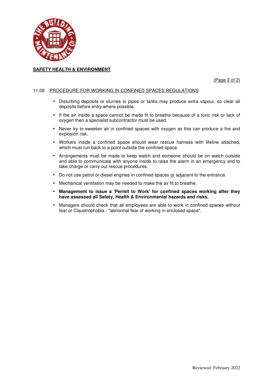

(Page 2 of 2)

## 11.09 PROCEDURE FOR WORKING IN CONFINED SPACES REGULATIONS

- Disturbing deposits or slurries in pipes or tanks may produce extra vapour, so clear all deposits before entry where possible.
- If the air inside a space cannot be made fit to breathe because of a toxic risk or lack of oxygen then a specialist subcontractor must be used.
- Never try to sweeten air in confined spaces with oxygen as this can produce a fire and explosion risk.
- Workers inside a confined space should wear rescue harness with lifeline attached, which must run back to a point outside the confined space.
- Arrangements must be made to keep watch and someone should be on watch outside and able to communicate with anyone inside to raise the alarm in an emergency and to take charge or carry out rescue procedures.
- Do not use petrol or diesel engines in confined spaces or adjacent to the entrance.
- Mechanical ventilation may be needed to make the air fit to breathe.
- **Management to issue a 'Permit to Work' for confined spaces working after they have assessed all Safety, Health & Environmental hazards and risks.**
- Managers should check that all employees are able to work in confined spaces without fear or Claustrophobia - "abnormal fear of working in enclosed space".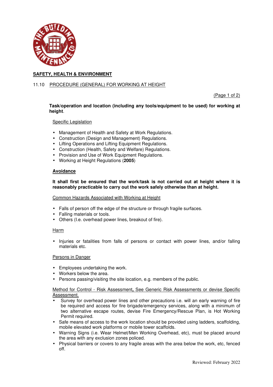

## 11.10 PROCEDURE (GENERAL) FOR WORKING AT HEIGHT

(Page 1 of 2)

## **Task/operation and location (including any tools/equipment to be used) for working at height**.

### Specific Legislation

- Management of Health and Safety at Work Regulations.
- Construction (Design and Management) Regulations.
- Lifting Operations and Lifting Equipment Regulations.
- Construction (Health, Safety and Welfare) Regulations.
- Provision and Use of Work Equipment Regulations.
- Working at Height Regulations (**2005**)

## **Avoidance**

## **It shall first be ensured that the work/task is not carried out at height where it is reasonably practicable to carry out the work safely otherwise than at height.**

### Common Hazards Associated with Working at Height

- Falls of person off the edge of the structure or through fragile surfaces.
- Falling materials or tools.
- Others (I.e. overhead power lines, breakout of fire).

### Harm

• Injuries or fatalities from falls of persons or contact with power lines, and/or falling materials etc.

### Persons in Danger

- Employees undertaking the work.
- Workers below the area.
- Persons passing/visiting the site location, e.g. members of the public.

## Method for Control - Risk Assessment**,** See Generic Risk Assessments or devise Specific Assessment.

- Survey for overhead power lines and other precautions i.e. will an early warning of fire be required and access for fire brigade/emergency services, along with a minimum of two alternative escape routes, devise Fire Emergency/Rescue Plan, is Hot Working Permit required.
- Safe means of access to the work location should be provided using ladders, scaffolding, mobile elevated work platforms or mobile tower scaffolds.
- Warning Signs (i.e. Wear Helmet/Men Working Overhead, etc), must be placed around the area with any exclusion zones policed.
- Physical barriers or covers to any fragile areas with the area below the work, etc, fenced off.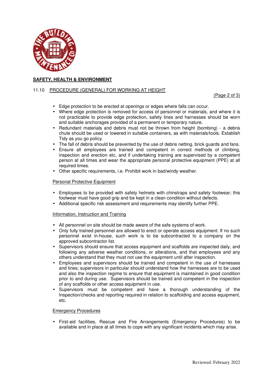

## 11.10 PROCEDURE (GENERAL) FOR WORKING AT HEIGHT

(Page 2 of 3)

- Edge protection to be erected at openings or edges where falls can occur.
- Where edge protection is removed for access of personnel or materials, and where it is not practicable to provide edge protection, safety lines and harnesses should be worn and suitable anchorages provided of a permanent or temporary nature.
- Redundant materials and debris must not be thrown from height (bombing) a debris chute should be used or lowered in suitable containers, as with materials/tools. Establish Tidy as you go policy.
- The fall of debris should be prevented by the use of debris netting, brick guards and fans.
- Ensure all employees are trained and competent in correct methods of climbing, inspection and erection etc, and if undertaking training are supervised by a competent person at all times and wear the appropriate personal protective equipment (PPE) at all required times.
- Other specific requirements, i.e. Prohibit work in bad/windy weather.

### Personal Protective Equipment

- Employees to be provided with safety helmets with chinstraps and safety footwear; this footwear must have good grip and be kept in a clean condition without defects.
- Additional specific risk assessment and requirements may identify further PPE.

### Information, Instruction and Training

- All personnel on site should be made aware of the safe systems of work.
- Only fully trained personnel are allowed to erect or operate access equipment. If no such personnel exist in-house, such work is to be subcontracted to a company on the approved subcontractor list.
- Supervisors should ensure that access equipment and scaffolds are inspected daily, and following any adverse weather conditions, or alterations, and that employees and any others understand that they must not use the equipment until after inspection.
- Employees and supervisors should be trained and competent in the use of harnesses and lines; supervisors in particular should understand how the harnesses are to be used and also the inspection regime to ensure that equipment is maintained in good condition prior to and during use. Supervisors should be trained and competent in the inspection of any scaffolds or other access equipment in use.
- Supervisors must be competent and have a thorough understanding of the Inspection/checks and reporting required in relation to scaffolding and access equipment, etc.

### Emergency Procedures

• First-aid facilities, Rescue and Fire Arrangements (Emergency Procedures) to be available and in place at all times to cope with any significant incidents which may arise.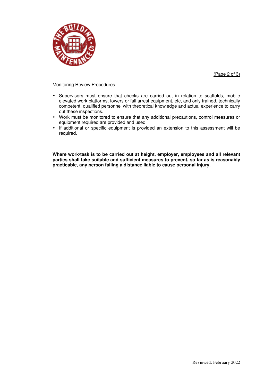



#### Monitoring Review Procedures

- Supervisors must ensure that checks are carried out in relation to scaffolds, mobile elevated work platforms, towers or fall arrest equipment, etc, and only trained, technically competent, qualified personnel with theoretical knowledge and actual experience to carry out these inspections.
- Work must be monitored to ensure that any additional precautions, control measures or equipment required are provided and used.
- If additional or specific equipment is provided an extension to this assessment will be required.

**Where work/task is to be carried out at height, employer, employees and all relevant parties shall take suitable and sufficient measures to prevent, so far as is reasonably practicable, any person falling a distance liable to cause personal injury.**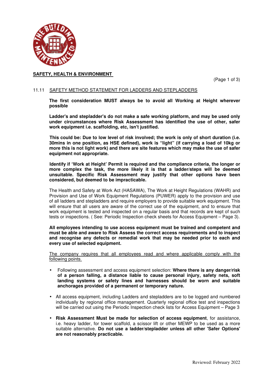

(Page 1 of 3)

## 11.11 SAFETY METHOD STATEMENT FOR LADDERS AND STEPLADDERS

**The first consideration MUST always be to avoid all Working at Height wherever possible** 

**Ladder's and stepladder's do not make a safe working platform, and may be used only under circumstances where Risk Assessment has identified the use of other, safer work equipment i.e. scaffolding, etc, isn't justified.** 

**This could be: Due to low level of risk involved; the work is only of short duration (i.e. 30mins in one position, as HSE defined), work is "light" (if carrying a load of 10kg or more this is not light work) and there are site features which may make the use of safer equipment not appropriate.** 

**Identify if 'Work at Height' Permit is required and the compliance criteria, the longer or more complex the task, the more likely it is that a ladder/steps will be deemed unsuitable. Specific Risk Assessment may justify that other options have been considered, but deemed to be impracticable.** 

The Health and Safety at Work Act (HASAWA), The Work at Height Regulations (WAHR) and Provision and Use of Work Equipment Regulations (PUWER) apply to the provision and use of all ladders and stepladders and require employers to provide suitable work equipment. This will ensure that all users are aware of the correct use of the equipment, and to ensure that work equipment is tested and inspected on a regular basis and that records are kept of such tests or inspections. ( See: Periodic Inspection check sheets for Access Equipment – Page 3).

**All employees intending to use access equipment must be trained and competent and must be able and aware to Risk Assess the correct access requirements and to inspect and recognise any defects or remedial work that may be needed prior to each and every use of selected equipment.** 

 The company requires that all employees read and where applicable comply with the following points.

- Following assessment and access equipment selection: **Where there is any danger/risk of a person falling, a distance liable to cause personal injury, safety nets, soft landing systems or safety lines and harnesses should be worn and suitable anchorages provided of a permanent or temporary nature.**
- All access equipment, including Ladders and stepladders are to be logged and numbered individually by regional office management. Quarterly regional office test and inspections will be carried out using the Periodic Inspection check lists for Access Equipment – Page 3
- **Risk Assessment Must be made for selection of access equipment**, for assistance, i.e. heavy ladder, for tower scaffold, a scissor lift or other MEWP to be used as a more suitable alternative. **Do not use a ladder/stepladder unless all other 'Safer Options' are not reasonably practicable.**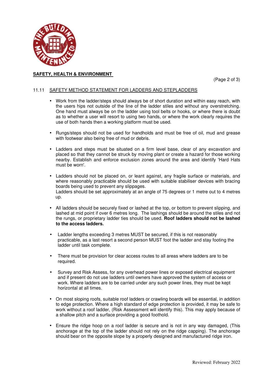

(Page 2 of 3)

## 11.11 SAFETY METHOD STATEMENT FOR LADDERS AND STEPLADDERS

- Work from the ladder/steps should always be of short duration and within easy reach, with the users hips not outside of the line of the ladder stiles and without any overstretching. One hand must always be on the ladder using tool belts or hooks, or where there is doubt as to whether a user will resort to using two hands, or where the work clearly requires the use of both hands then a working platform must be used.
- Rungs/steps should not be used for handholds and must be free of oil, mud and grease with footwear also being free of mud or debris.
- Ladders and steps must be situated on a firm level base, clear of any excavation and placed so that they cannot be struck by moving plant or create a hazard for those working nearby. Establish and enforce exclusion zones around the area and identify 'Hard Hats must be worn'.
- Ladders should not be placed on, or leant against, any fragile surface or materials, and where reasonably practicable should be used with suitable stabiliser devices with bracing boards being used to prevent any slippages. Ladders should be set approximately at an angle of 75 degrees or 1 metre out to 4 metres up.
- All ladders should be securely fixed or lashed at the top, or bottom to prevent slipping, and lashed at mid point if over 6 metres long. The lashings should be around the stiles and not the rungs, or proprietary ladder ties should be used. **Roof ladders should not be lashed to the access ladders.**
- Ladder lengths exceeding 3 metres MUST be secured, if this is not reasonably practicable, as a last resort a second person MUST foot the ladder and stay footing the ladder until task complete.
- There must be provision for clear access routes to all areas where ladders are to be required.
- Survey and Risk Assess, for any overhead power lines or exposed electrical equipment and if present do not use ladders until owners have approved the system of access or work. Where ladders are to be carried under any such power lines, they must be kept horizontal at all times.
- On most sloping roofs, suitable roof ladders or crawling boards will be essential, in addition to edge protection. Where a high standard of edge protection is provided, it may be safe to work without a roof ladder, (Risk Assessment will identify this). This may apply because of a shallow pitch and a surface providing a good foothold.
- Ensure the ridge hoop on a roof ladder is secure and is not in any way damaged, (This anchorage at the top of the ladder should not rely on the ridge capping). The anchorage should bear on the opposite slope by a properly designed and manufactured ridge iron.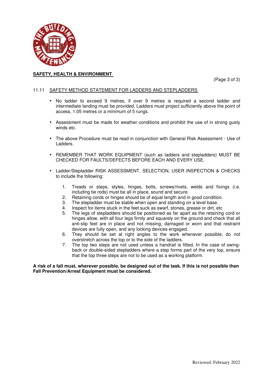

(Page 3 of 3)

#### 11.11 SAFETY METHOD STATEMENT FOR LADDERS AND STEPLADDERS

- No ladder to exceed 9 metres, if over 9 metres is required a second ladder and intermediate landing must be provided. Ladders must project sufficiently above the point of access, 1.05 metres or a minimum of 5 rungs.
- Assessment must be made for weather conditions and prohibit the use of in strong gusty winds etc.
- The above Procedure must be read in conjunction with General Risk Assessment Use of Ladders.
- REMEMBER THAT WORK EQUIPMENT (such as ladders and stepladders) MUST BE CHECKED FOR FAULTS/DEFECTS BEFORE EACH AND EVERY USE.
- Ladder/Stepladder RISK ASSESSMENT, SELECTION, USER INSPECTION & CHECKS to include the following:
	- 1. Treads or steps, styles, hinges, bolts, screws/rivets, welds and fixings (i.e. including tie rods) must be all in place, sound and secure.
	- 2. Retaining cords or hinges should be of equal length and in good condition.
	- 3. The stepladder must be stable when open and standing on a level base.
	- 4. Inspect for items stuck in the feet suck as swarf, stones, grease or dirt, etc<br>5. The legs of stepladders should be positioned as far apart as the retaining
	- 5. The legs of stepladders should be positioned as far apart as the retaining cord or hinges allow, with all four legs firmly and squarely on the ground and check that all anti-slip feet are in place and not missing, damaged or worn and that restraint devices are fully open, and any locking devices engaged.
	- 6. They should be set at right angles to the work whenever possible, do not overstretch across the top or to the side of the ladders.
	- 7. The top two steps are not used unless a handrail is fitted. In the case of swingback or double-sided stepladders where a step forms part of the very top, ensure that the top three steps are not to be used as a working platform.

#### **A risk of a fall must, wherever possible, be designed out of the task. If this is not possible then Fall Prevention/Arrest Equipment must be considered.**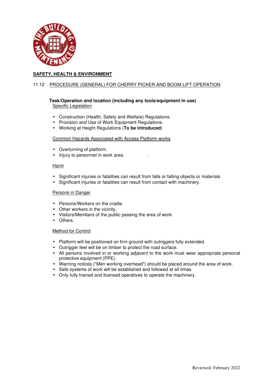

## 11.12 PROCEDURE (GENERAL) FOR CHERRY PICKER AND BOOM LIFT OPERATION

#### **Task/Operation and location (including any tools/equipment in use)** Specific Legislation

- Construction (Health, Safety and Welfare) Regulations.
- Provision and Use of Work Equipment Regulations.
- Working at Height Regulations (**To be introduced**)

#### Common Hazards Associated with Access Platform works

- Overturning of platform.
- Injury to personnel in work area.

#### Harm

- Significant injuries or fatalities can result from falls or falling objects or materials.
- Significant injuries or fatalities can result from contact with machinery.

#### Persons in Danger

- Persons/Workers on the cradle.
- Other workers in the vicinity.
- Visitors/Members of the public passing the area of work.
- Others.

#### Method for Control

- Platform will be positioned on firm ground with outriggers fully extended.
- Outrigger feet will be on timber to protect the road surface.
- All persons involved in or working adjacent to the work must wear appropriate personal protective equipment (PPE).
- Warning notices ("Men working overhead") should be placed around the area of work.
- Safe systems of work will be established and followed at all times.
- Only fully trained and licensed operatives to operate the machinery.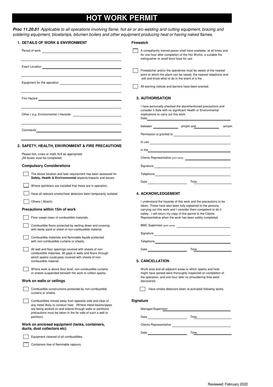## **HOT WORK PERMIT**

*Proc 11.20.01 Applicable to all operations involving flame, hot air or arc-welding and cutting equipment, brazing and soldering equipment, blowlamps, bitumen boilers and other equipment producing heat or having naked flames.*

| <b>1. DETAILS OF WORK &amp; ENVIRONMENT</b>                                                                                                                                                                                                        | <b>Firewatch</b>                                                                                                                                                                                                                                                                                                                                                                                       |
|----------------------------------------------------------------------------------------------------------------------------------------------------------------------------------------------------------------------------------------------------|--------------------------------------------------------------------------------------------------------------------------------------------------------------------------------------------------------------------------------------------------------------------------------------------------------------------------------------------------------------------------------------------------------|
|                                                                                                                                                                                                                                                    | A competently trained peson shall have available, at all times and<br>for one hour after completion of the Hot Works, a suitable fire<br>extinguisher or small bore hose for use                                                                                                                                                                                                                       |
|                                                                                                                                                                                                                                                    | Firewatcher and/or the operatives must be aware of the nearest<br>point to which the alarm can be raised, the nearest telephone and                                                                                                                                                                                                                                                                    |
|                                                                                                                                                                                                                                                    | exit and know what to do in the event of a fire<br>All warning notices and barriers have been erected.                                                                                                                                                                                                                                                                                                 |
|                                                                                                                                                                                                                                                    | <b>3. AUTHORISATION</b>                                                                                                                                                                                                                                                                                                                                                                                |
|                                                                                                                                                                                                                                                    | I have personally checked the aforementioned precautions and<br>consider it Safe with no significant Health or Environmental<br>implications to carry out this work.<br>Date and the state of the state of the state of the state of the state of the state of the state of the state of the state of the state of the state of the state of the state of the state of the state of the state of the s |
| Comments <b>Comments Comments Comments Comments Comments Comments Comments Comments Comments Comments Comments Comments Comments Comments Comments Comments Comments Comments Comments Com</b>                                                     | am/pm                                                                                                                                                                                                                                                                                                                                                                                                  |
| 2. SAFETY, HEALTH, ENVIRONMENT & FIRE PRECAUTIONS                                                                                                                                                                                                  |                                                                                                                                                                                                                                                                                                                                                                                                        |
| Please tick, cross or mark N/A as appropriate<br>(All boxes must be completed)                                                                                                                                                                     |                                                                                                                                                                                                                                                                                                                                                                                                        |
| <b>Compulsory Considerations</b>                                                                                                                                                                                                                   | Signature Signature Signature Contract of the Signature Contract of the Signature Contract of the Signature Contract of the Signature Contract of the Signature Contract of the Signature Contract of the Signature Contract o                                                                                                                                                                         |
| The above location and task requirement has been assessed for<br>Safety, Health & Environmental aspects/impacts and issues.                                                                                                                        | Telephone and the contract of the contract of the contract of the contract of the contract of the contract of<br>Time <b>contract the contract of the contract of the contract of the contract of the contract of the contract of the contract of the contract of the contract of the contract of the contract of the contract of the contract of</b>                                                  |
| Where sprinklers are installed that these are in operation.                                                                                                                                                                                        |                                                                                                                                                                                                                                                                                                                                                                                                        |
| Have all relevant smoke/heat detectors been temporarily isolated                                                                                                                                                                                   | <b>4. ACKNOWLEDGEMENT</b>                                                                                                                                                                                                                                                                                                                                                                              |
| Others (Attach)                                                                                                                                                                                                                                    | I understand the hazards of this work and the precautions to be                                                                                                                                                                                                                                                                                                                                        |
| Precautions within 15m of work                                                                                                                                                                                                                     | taken. These have also been fully explained to the persons<br>carrying out this work and I consider them competent to do it<br>safely. I will return my copy of this permit to the Clients                                                                                                                                                                                                             |
| Floor swept clean of combustible materials.                                                                                                                                                                                                        | Representative when the work has been safely completed.                                                                                                                                                                                                                                                                                                                                                |
| Combustible floors protected by wetting down and covering<br>with damp sand or sheet of non-combustible material.                                                                                                                                  | BMC Supervisor (print name)                                                                                                                                                                                                                                                                                                                                                                            |
| Combustible materials and flammable liquids protected<br>with non-combustible curtains or sheets.                                                                                                                                                  | Telephone <b>Example 2018</b>                                                                                                                                                                                                                                                                                                                                                                          |
| All wall and floor openings covered with sheets of non-<br>combustible materials. All gaps in walls and floors through                                                                                                                             | Date<br>Time                                                                                                                                                                                                                                                                                                                                                                                           |
| which sparks could pass covered with sheets of non-<br>combustible material.                                                                                                                                                                       | <b>5. CANCELLATION</b>                                                                                                                                                                                                                                                                                                                                                                                 |
| Where work is above floor level, non-combustible curtains<br>or sheets suspended beneath the work to collect sparks                                                                                                                                | Work area and all adjacent areas to which sparks and heat<br>might have spread were thoroughly inspected on completion of<br>the operation, and one hour later no smouldering fires were                                                                                                                                                                                                               |
| Work on walls or ceilings                                                                                                                                                                                                                          | discovered.                                                                                                                                                                                                                                                                                                                                                                                            |
| Combustible constructions protected by non-combustible<br>curtains or sheets.                                                                                                                                                                      | Have smoke detectors been re-activated following works                                                                                                                                                                                                                                                                                                                                                 |
| Combustibles moved away from opposite side and clear of<br>any metal likely to conduct heat. (Where metal beams/pipes<br>are being worked on and extend through walls or partitions<br>precautions must be taken in the far side of such a wall or | Signature<br>Manager/Supervisor                                                                                                                                                                                                                                                                                                                                                                        |
| partition).                                                                                                                                                                                                                                        |                                                                                                                                                                                                                                                                                                                                                                                                        |
| Work on enclosed equipment (tanks, containers,<br>ducts, dust collectors etc)                                                                                                                                                                      |                                                                                                                                                                                                                                                                                                                                                                                                        |
| Equipment cleaned of all combustibles.                                                                                                                                                                                                             |                                                                                                                                                                                                                                                                                                                                                                                                        |
| Containers free of flammable vapours.                                                                                                                                                                                                              |                                                                                                                                                                                                                                                                                                                                                                                                        |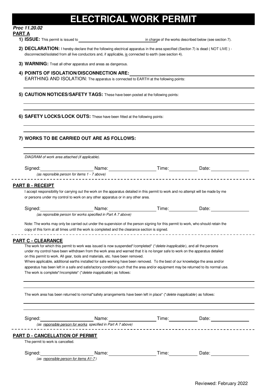# **ELECTRICAL WORK PERMIT**

## *Proc 11.20.02*

## **PART A**

 $\overline{a}$ 

**1) ISSUE:** This permit is issued to in charge of the works described below (see section 7).

- **2) DECLARATION:** I hereby declare that the following electrical apparatus in the area specified (Section 7) is dead ( NOT LIVE ) disconnected/isolated from all live conductors and, if applicable, is connected to earth (see section 4).
- **3) WARNING:** Treat all other apparatus and areas as dangerous.
- **4) POINTS OF ISOLATION/DISCONNECTION ARE:** EARTHING AND ISOLATION: The apparatus is connected to EARTH at the following points:
- **5) CAUTION NOTICES/SAFETY TAGS:** These have been posted at the following points:

**6) SAFETY LOCKS/LOCK OUTS:** These have been fitted at the following points:

## **7) WORKS TO BE CARRIED OUT ARE AS FOLLOWS:**

|                                                                            | DIAGRAM of work area attached (if applicable).                                                                                                                                                                                        |  |
|----------------------------------------------------------------------------|---------------------------------------------------------------------------------------------------------------------------------------------------------------------------------------------------------------------------------------|--|
|                                                                            |                                                                                                                                                                                                                                       |  |
| Signed:                                                                    | (as reponsible person for items 1 - 7 above)                                                                                                                                                                                          |  |
|                                                                            |                                                                                                                                                                                                                                       |  |
| <b>PART B - RECEIPT</b>                                                    |                                                                                                                                                                                                                                       |  |
|                                                                            | I accept responsibility for carrying out the work on the apparatus detailed in this permit to work and no attempt will be made by me                                                                                                  |  |
|                                                                            | or persons under my control to work on any other apparatus or in any other area.                                                                                                                                                      |  |
|                                                                            | Signed: Name: Name: Time: Date:                                                                                                                                                                                                       |  |
|                                                                            | (as reponsible person for works specified in Part A 7 above)                                                                                                                                                                          |  |
|                                                                            |                                                                                                                                                                                                                                       |  |
|                                                                            | Note: The works may only be carried out under the supervision of the person signing for this permit to work, who should retain the<br>copy of this form at all times until the work is completed and the clearance section is signed. |  |
|                                                                            |                                                                                                                                                                                                                                       |  |
|                                                                            | apperatus has been left in a safe and satisfactory condition such that the area and/or equipment may be returned to its normal use.<br>The work is complete*/incomplete* (*delete inapplicable) as follows:                           |  |
|                                                                            |                                                                                                                                                                                                                                       |  |
|                                                                            | The work area has been returned to normal*safety arrangements have been left in place* (*delete inapplicable) as follows:                                                                                                             |  |
|                                                                            |                                                                                                                                                                                                                                       |  |
|                                                                            | (as reponsible person for works specified in Part A 7 above)                                                                                                                                                                          |  |
|                                                                            |                                                                                                                                                                                                                                       |  |
| <b>PART D - CANCELLATION OF PERMIT</b><br>The permit to work is cancelled. |                                                                                                                                                                                                                                       |  |

Reviewed: February 2022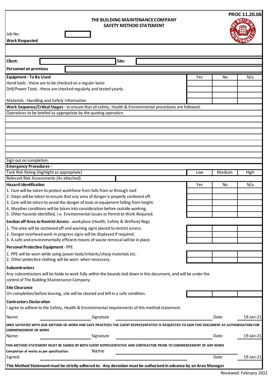#### **THE BUILDING MAINTENANCE COMPANY SAFETY METHOD STATEMENT**

| Site:<br><b>Personnel on premises</b><br><b>Equipment - To Be Used</b><br>N/a<br>Yes<br>No<br>Hand tools - these are to be checked on a regular basis<br>Drill/Power Tools - these are checked regularly and tested yearly.<br>Materials - Handling and Safety Information<br>Work Sequence/Critical Stages - to ensure that all safety, Health & Environmental procedures are followed.<br>Operatives to be briefed as appropriate by the quoting operative.<br>Sign out on completion.<br><b>Emergency Procedures -</b><br>Task Risk Rating (highlight as appropriate)<br>Medium<br>High<br>Low<br>Relevant Risk Assessments (As attached)<br><b>Hazard Identification</b><br>Yes<br>N/a<br>No<br>1. Care will be taken to protect workforce from falls from or through roof.<br>2. Steps will be taken to ensure that any area of danger is properly cordoned off.<br>3. Care will be taken to avoid the danger of tools or equipment falling from height.<br>4. Weather conditions will be taken into consideration before outside working.<br>5. Other hazards identified, i.e. Environmental issues or Permit to Work Required.<br>Section off Area to Restrict Access - workplace (Health, Safety & Welfare) Regs<br>1. The area will be sectioned off and warning signs placed to restrict access.<br>2. Danger overhead work in progress signs will be displayed if required.<br>3. A safe and environmentally efficient means of waste removal will be in place.<br>Personal Protective Equipment - PPE<br>1. PPE will be worn while using power tools/irritants/sharp materials etc.<br>2. Other protective clothing will be worn when necessary.<br>Any subcontractors will be liable to work fully within the bounds laid down in this document, and will be under the<br>control of The Building Maintenance Company.<br>On completion/before leaving, site will be cleared and left in a safe condition.<br>I agree to adhere to the Safety, Health & Environmental requirements of this method statement.<br>Signature<br>19-Jan-21<br>Name:<br>Date:<br>ONCE SATISFIED WITH OUR METHOD OF WORK AND SAFE PRACTICES THE CLIENT REPRESENTATIVE IS REQUESTED TO SIGN THIS DOCUMENT AS AUTHORISATION FOR<br>19-Jan-21<br>Signature<br>Date:<br>THIS METHOD STATEMENT MUST BE SIGNED BY BOTH CLIENT REPRESENTATIVE AND CONTRACTOR PRIOR TO COMMENCEMENT OF ANY WORK<br>Name<br>Date:<br>19-Jan-21<br>This Method Statement must be strictly adhered to. Any deviation must be authorised in advance by an Area Manager | Job No:<br><b>Work Requested</b>          |  | SAFEIY MEIHOD SIATEMENI |  |  |
|-----------------------------------------------------------------------------------------------------------------------------------------------------------------------------------------------------------------------------------------------------------------------------------------------------------------------------------------------------------------------------------------------------------------------------------------------------------------------------------------------------------------------------------------------------------------------------------------------------------------------------------------------------------------------------------------------------------------------------------------------------------------------------------------------------------------------------------------------------------------------------------------------------------------------------------------------------------------------------------------------------------------------------------------------------------------------------------------------------------------------------------------------------------------------------------------------------------------------------------------------------------------------------------------------------------------------------------------------------------------------------------------------------------------------------------------------------------------------------------------------------------------------------------------------------------------------------------------------------------------------------------------------------------------------------------------------------------------------------------------------------------------------------------------------------------------------------------------------------------------------------------------------------------------------------------------------------------------------------------------------------------------------------------------------------------------------------------------------------------------------------------------------------------------------------------------------------------------------------------------------------------------------------------------------------------------------------------------------------------------------------------------------------------------------------------------------------------------------------------------------------------------------------------|-------------------------------------------|--|-------------------------|--|--|
|                                                                                                                                                                                                                                                                                                                                                                                                                                                                                                                                                                                                                                                                                                                                                                                                                                                                                                                                                                                                                                                                                                                                                                                                                                                                                                                                                                                                                                                                                                                                                                                                                                                                                                                                                                                                                                                                                                                                                                                                                                                                                                                                                                                                                                                                                                                                                                                                                                                                                                                                   |                                           |  |                         |  |  |
|                                                                                                                                                                                                                                                                                                                                                                                                                                                                                                                                                                                                                                                                                                                                                                                                                                                                                                                                                                                                                                                                                                                                                                                                                                                                                                                                                                                                                                                                                                                                                                                                                                                                                                                                                                                                                                                                                                                                                                                                                                                                                                                                                                                                                                                                                                                                                                                                                                                                                                                                   | Client:                                   |  |                         |  |  |
|                                                                                                                                                                                                                                                                                                                                                                                                                                                                                                                                                                                                                                                                                                                                                                                                                                                                                                                                                                                                                                                                                                                                                                                                                                                                                                                                                                                                                                                                                                                                                                                                                                                                                                                                                                                                                                                                                                                                                                                                                                                                                                                                                                                                                                                                                                                                                                                                                                                                                                                                   |                                           |  |                         |  |  |
|                                                                                                                                                                                                                                                                                                                                                                                                                                                                                                                                                                                                                                                                                                                                                                                                                                                                                                                                                                                                                                                                                                                                                                                                                                                                                                                                                                                                                                                                                                                                                                                                                                                                                                                                                                                                                                                                                                                                                                                                                                                                                                                                                                                                                                                                                                                                                                                                                                                                                                                                   |                                           |  |                         |  |  |
|                                                                                                                                                                                                                                                                                                                                                                                                                                                                                                                                                                                                                                                                                                                                                                                                                                                                                                                                                                                                                                                                                                                                                                                                                                                                                                                                                                                                                                                                                                                                                                                                                                                                                                                                                                                                                                                                                                                                                                                                                                                                                                                                                                                                                                                                                                                                                                                                                                                                                                                                   |                                           |  |                         |  |  |
|                                                                                                                                                                                                                                                                                                                                                                                                                                                                                                                                                                                                                                                                                                                                                                                                                                                                                                                                                                                                                                                                                                                                                                                                                                                                                                                                                                                                                                                                                                                                                                                                                                                                                                                                                                                                                                                                                                                                                                                                                                                                                                                                                                                                                                                                                                                                                                                                                                                                                                                                   |                                           |  |                         |  |  |
|                                                                                                                                                                                                                                                                                                                                                                                                                                                                                                                                                                                                                                                                                                                                                                                                                                                                                                                                                                                                                                                                                                                                                                                                                                                                                                                                                                                                                                                                                                                                                                                                                                                                                                                                                                                                                                                                                                                                                                                                                                                                                                                                                                                                                                                                                                                                                                                                                                                                                                                                   |                                           |  |                         |  |  |
|                                                                                                                                                                                                                                                                                                                                                                                                                                                                                                                                                                                                                                                                                                                                                                                                                                                                                                                                                                                                                                                                                                                                                                                                                                                                                                                                                                                                                                                                                                                                                                                                                                                                                                                                                                                                                                                                                                                                                                                                                                                                                                                                                                                                                                                                                                                                                                                                                                                                                                                                   |                                           |  |                         |  |  |
|                                                                                                                                                                                                                                                                                                                                                                                                                                                                                                                                                                                                                                                                                                                                                                                                                                                                                                                                                                                                                                                                                                                                                                                                                                                                                                                                                                                                                                                                                                                                                                                                                                                                                                                                                                                                                                                                                                                                                                                                                                                                                                                                                                                                                                                                                                                                                                                                                                                                                                                                   |                                           |  |                         |  |  |
|                                                                                                                                                                                                                                                                                                                                                                                                                                                                                                                                                                                                                                                                                                                                                                                                                                                                                                                                                                                                                                                                                                                                                                                                                                                                                                                                                                                                                                                                                                                                                                                                                                                                                                                                                                                                                                                                                                                                                                                                                                                                                                                                                                                                                                                                                                                                                                                                                                                                                                                                   |                                           |  |                         |  |  |
|                                                                                                                                                                                                                                                                                                                                                                                                                                                                                                                                                                                                                                                                                                                                                                                                                                                                                                                                                                                                                                                                                                                                                                                                                                                                                                                                                                                                                                                                                                                                                                                                                                                                                                                                                                                                                                                                                                                                                                                                                                                                                                                                                                                                                                                                                                                                                                                                                                                                                                                                   |                                           |  |                         |  |  |
|                                                                                                                                                                                                                                                                                                                                                                                                                                                                                                                                                                                                                                                                                                                                                                                                                                                                                                                                                                                                                                                                                                                                                                                                                                                                                                                                                                                                                                                                                                                                                                                                                                                                                                                                                                                                                                                                                                                                                                                                                                                                                                                                                                                                                                                                                                                                                                                                                                                                                                                                   |                                           |  |                         |  |  |
|                                                                                                                                                                                                                                                                                                                                                                                                                                                                                                                                                                                                                                                                                                                                                                                                                                                                                                                                                                                                                                                                                                                                                                                                                                                                                                                                                                                                                                                                                                                                                                                                                                                                                                                                                                                                                                                                                                                                                                                                                                                                                                                                                                                                                                                                                                                                                                                                                                                                                                                                   |                                           |  |                         |  |  |
|                                                                                                                                                                                                                                                                                                                                                                                                                                                                                                                                                                                                                                                                                                                                                                                                                                                                                                                                                                                                                                                                                                                                                                                                                                                                                                                                                                                                                                                                                                                                                                                                                                                                                                                                                                                                                                                                                                                                                                                                                                                                                                                                                                                                                                                                                                                                                                                                                                                                                                                                   |                                           |  |                         |  |  |
|                                                                                                                                                                                                                                                                                                                                                                                                                                                                                                                                                                                                                                                                                                                                                                                                                                                                                                                                                                                                                                                                                                                                                                                                                                                                                                                                                                                                                                                                                                                                                                                                                                                                                                                                                                                                                                                                                                                                                                                                                                                                                                                                                                                                                                                                                                                                                                                                                                                                                                                                   |                                           |  |                         |  |  |
|                                                                                                                                                                                                                                                                                                                                                                                                                                                                                                                                                                                                                                                                                                                                                                                                                                                                                                                                                                                                                                                                                                                                                                                                                                                                                                                                                                                                                                                                                                                                                                                                                                                                                                                                                                                                                                                                                                                                                                                                                                                                                                                                                                                                                                                                                                                                                                                                                                                                                                                                   |                                           |  |                         |  |  |
|                                                                                                                                                                                                                                                                                                                                                                                                                                                                                                                                                                                                                                                                                                                                                                                                                                                                                                                                                                                                                                                                                                                                                                                                                                                                                                                                                                                                                                                                                                                                                                                                                                                                                                                                                                                                                                                                                                                                                                                                                                                                                                                                                                                                                                                                                                                                                                                                                                                                                                                                   |                                           |  |                         |  |  |
|                                                                                                                                                                                                                                                                                                                                                                                                                                                                                                                                                                                                                                                                                                                                                                                                                                                                                                                                                                                                                                                                                                                                                                                                                                                                                                                                                                                                                                                                                                                                                                                                                                                                                                                                                                                                                                                                                                                                                                                                                                                                                                                                                                                                                                                                                                                                                                                                                                                                                                                                   |                                           |  |                         |  |  |
|                                                                                                                                                                                                                                                                                                                                                                                                                                                                                                                                                                                                                                                                                                                                                                                                                                                                                                                                                                                                                                                                                                                                                                                                                                                                                                                                                                                                                                                                                                                                                                                                                                                                                                                                                                                                                                                                                                                                                                                                                                                                                                                                                                                                                                                                                                                                                                                                                                                                                                                                   |                                           |  |                         |  |  |
|                                                                                                                                                                                                                                                                                                                                                                                                                                                                                                                                                                                                                                                                                                                                                                                                                                                                                                                                                                                                                                                                                                                                                                                                                                                                                                                                                                                                                                                                                                                                                                                                                                                                                                                                                                                                                                                                                                                                                                                                                                                                                                                                                                                                                                                                                                                                                                                                                                                                                                                                   |                                           |  |                         |  |  |
|                                                                                                                                                                                                                                                                                                                                                                                                                                                                                                                                                                                                                                                                                                                                                                                                                                                                                                                                                                                                                                                                                                                                                                                                                                                                                                                                                                                                                                                                                                                                                                                                                                                                                                                                                                                                                                                                                                                                                                                                                                                                                                                                                                                                                                                                                                                                                                                                                                                                                                                                   |                                           |  |                         |  |  |
|                                                                                                                                                                                                                                                                                                                                                                                                                                                                                                                                                                                                                                                                                                                                                                                                                                                                                                                                                                                                                                                                                                                                                                                                                                                                                                                                                                                                                                                                                                                                                                                                                                                                                                                                                                                                                                                                                                                                                                                                                                                                                                                                                                                                                                                                                                                                                                                                                                                                                                                                   |                                           |  |                         |  |  |
|                                                                                                                                                                                                                                                                                                                                                                                                                                                                                                                                                                                                                                                                                                                                                                                                                                                                                                                                                                                                                                                                                                                                                                                                                                                                                                                                                                                                                                                                                                                                                                                                                                                                                                                                                                                                                                                                                                                                                                                                                                                                                                                                                                                                                                                                                                                                                                                                                                                                                                                                   |                                           |  |                         |  |  |
|                                                                                                                                                                                                                                                                                                                                                                                                                                                                                                                                                                                                                                                                                                                                                                                                                                                                                                                                                                                                                                                                                                                                                                                                                                                                                                                                                                                                                                                                                                                                                                                                                                                                                                                                                                                                                                                                                                                                                                                                                                                                                                                                                                                                                                                                                                                                                                                                                                                                                                                                   |                                           |  |                         |  |  |
|                                                                                                                                                                                                                                                                                                                                                                                                                                                                                                                                                                                                                                                                                                                                                                                                                                                                                                                                                                                                                                                                                                                                                                                                                                                                                                                                                                                                                                                                                                                                                                                                                                                                                                                                                                                                                                                                                                                                                                                                                                                                                                                                                                                                                                                                                                                                                                                                                                                                                                                                   |                                           |  |                         |  |  |
|                                                                                                                                                                                                                                                                                                                                                                                                                                                                                                                                                                                                                                                                                                                                                                                                                                                                                                                                                                                                                                                                                                                                                                                                                                                                                                                                                                                                                                                                                                                                                                                                                                                                                                                                                                                                                                                                                                                                                                                                                                                                                                                                                                                                                                                                                                                                                                                                                                                                                                                                   |                                           |  |                         |  |  |
|                                                                                                                                                                                                                                                                                                                                                                                                                                                                                                                                                                                                                                                                                                                                                                                                                                                                                                                                                                                                                                                                                                                                                                                                                                                                                                                                                                                                                                                                                                                                                                                                                                                                                                                                                                                                                                                                                                                                                                                                                                                                                                                                                                                                                                                                                                                                                                                                                                                                                                                                   |                                           |  |                         |  |  |
|                                                                                                                                                                                                                                                                                                                                                                                                                                                                                                                                                                                                                                                                                                                                                                                                                                                                                                                                                                                                                                                                                                                                                                                                                                                                                                                                                                                                                                                                                                                                                                                                                                                                                                                                                                                                                                                                                                                                                                                                                                                                                                                                                                                                                                                                                                                                                                                                                                                                                                                                   |                                           |  |                         |  |  |
|                                                                                                                                                                                                                                                                                                                                                                                                                                                                                                                                                                                                                                                                                                                                                                                                                                                                                                                                                                                                                                                                                                                                                                                                                                                                                                                                                                                                                                                                                                                                                                                                                                                                                                                                                                                                                                                                                                                                                                                                                                                                                                                                                                                                                                                                                                                                                                                                                                                                                                                                   |                                           |  |                         |  |  |
|                                                                                                                                                                                                                                                                                                                                                                                                                                                                                                                                                                                                                                                                                                                                                                                                                                                                                                                                                                                                                                                                                                                                                                                                                                                                                                                                                                                                                                                                                                                                                                                                                                                                                                                                                                                                                                                                                                                                                                                                                                                                                                                                                                                                                                                                                                                                                                                                                                                                                                                                   |                                           |  |                         |  |  |
|                                                                                                                                                                                                                                                                                                                                                                                                                                                                                                                                                                                                                                                                                                                                                                                                                                                                                                                                                                                                                                                                                                                                                                                                                                                                                                                                                                                                                                                                                                                                                                                                                                                                                                                                                                                                                                                                                                                                                                                                                                                                                                                                                                                                                                                                                                                                                                                                                                                                                                                                   |                                           |  |                         |  |  |
|                                                                                                                                                                                                                                                                                                                                                                                                                                                                                                                                                                                                                                                                                                                                                                                                                                                                                                                                                                                                                                                                                                                                                                                                                                                                                                                                                                                                                                                                                                                                                                                                                                                                                                                                                                                                                                                                                                                                                                                                                                                                                                                                                                                                                                                                                                                                                                                                                                                                                                                                   |                                           |  |                         |  |  |
|                                                                                                                                                                                                                                                                                                                                                                                                                                                                                                                                                                                                                                                                                                                                                                                                                                                                                                                                                                                                                                                                                                                                                                                                                                                                                                                                                                                                                                                                                                                                                                                                                                                                                                                                                                                                                                                                                                                                                                                                                                                                                                                                                                                                                                                                                                                                                                                                                                                                                                                                   |                                           |  |                         |  |  |
|                                                                                                                                                                                                                                                                                                                                                                                                                                                                                                                                                                                                                                                                                                                                                                                                                                                                                                                                                                                                                                                                                                                                                                                                                                                                                                                                                                                                                                                                                                                                                                                                                                                                                                                                                                                                                                                                                                                                                                                                                                                                                                                                                                                                                                                                                                                                                                                                                                                                                                                                   |                                           |  |                         |  |  |
|                                                                                                                                                                                                                                                                                                                                                                                                                                                                                                                                                                                                                                                                                                                                                                                                                                                                                                                                                                                                                                                                                                                                                                                                                                                                                                                                                                                                                                                                                                                                                                                                                                                                                                                                                                                                                                                                                                                                                                                                                                                                                                                                                                                                                                                                                                                                                                                                                                                                                                                                   | <b>Subcontractors</b>                     |  |                         |  |  |
|                                                                                                                                                                                                                                                                                                                                                                                                                                                                                                                                                                                                                                                                                                                                                                                                                                                                                                                                                                                                                                                                                                                                                                                                                                                                                                                                                                                                                                                                                                                                                                                                                                                                                                                                                                                                                                                                                                                                                                                                                                                                                                                                                                                                                                                                                                                                                                                                                                                                                                                                   |                                           |  |                         |  |  |
|                                                                                                                                                                                                                                                                                                                                                                                                                                                                                                                                                                                                                                                                                                                                                                                                                                                                                                                                                                                                                                                                                                                                                                                                                                                                                                                                                                                                                                                                                                                                                                                                                                                                                                                                                                                                                                                                                                                                                                                                                                                                                                                                                                                                                                                                                                                                                                                                                                                                                                                                   |                                           |  |                         |  |  |
|                                                                                                                                                                                                                                                                                                                                                                                                                                                                                                                                                                                                                                                                                                                                                                                                                                                                                                                                                                                                                                                                                                                                                                                                                                                                                                                                                                                                                                                                                                                                                                                                                                                                                                                                                                                                                                                                                                                                                                                                                                                                                                                                                                                                                                                                                                                                                                                                                                                                                                                                   | <b>Site Clearance</b>                     |  |                         |  |  |
|                                                                                                                                                                                                                                                                                                                                                                                                                                                                                                                                                                                                                                                                                                                                                                                                                                                                                                                                                                                                                                                                                                                                                                                                                                                                                                                                                                                                                                                                                                                                                                                                                                                                                                                                                                                                                                                                                                                                                                                                                                                                                                                                                                                                                                                                                                                                                                                                                                                                                                                                   |                                           |  |                         |  |  |
|                                                                                                                                                                                                                                                                                                                                                                                                                                                                                                                                                                                                                                                                                                                                                                                                                                                                                                                                                                                                                                                                                                                                                                                                                                                                                                                                                                                                                                                                                                                                                                                                                                                                                                                                                                                                                                                                                                                                                                                                                                                                                                                                                                                                                                                                                                                                                                                                                                                                                                                                   | <b>Contractors Declaration</b>            |  |                         |  |  |
|                                                                                                                                                                                                                                                                                                                                                                                                                                                                                                                                                                                                                                                                                                                                                                                                                                                                                                                                                                                                                                                                                                                                                                                                                                                                                                                                                                                                                                                                                                                                                                                                                                                                                                                                                                                                                                                                                                                                                                                                                                                                                                                                                                                                                                                                                                                                                                                                                                                                                                                                   |                                           |  |                         |  |  |
|                                                                                                                                                                                                                                                                                                                                                                                                                                                                                                                                                                                                                                                                                                                                                                                                                                                                                                                                                                                                                                                                                                                                                                                                                                                                                                                                                                                                                                                                                                                                                                                                                                                                                                                                                                                                                                                                                                                                                                                                                                                                                                                                                                                                                                                                                                                                                                                                                                                                                                                                   |                                           |  |                         |  |  |
|                                                                                                                                                                                                                                                                                                                                                                                                                                                                                                                                                                                                                                                                                                                                                                                                                                                                                                                                                                                                                                                                                                                                                                                                                                                                                                                                                                                                                                                                                                                                                                                                                                                                                                                                                                                                                                                                                                                                                                                                                                                                                                                                                                                                                                                                                                                                                                                                                                                                                                                                   |                                           |  |                         |  |  |
|                                                                                                                                                                                                                                                                                                                                                                                                                                                                                                                                                                                                                                                                                                                                                                                                                                                                                                                                                                                                                                                                                                                                                                                                                                                                                                                                                                                                                                                                                                                                                                                                                                                                                                                                                                                                                                                                                                                                                                                                                                                                                                                                                                                                                                                                                                                                                                                                                                                                                                                                   |                                           |  |                         |  |  |
|                                                                                                                                                                                                                                                                                                                                                                                                                                                                                                                                                                                                                                                                                                                                                                                                                                                                                                                                                                                                                                                                                                                                                                                                                                                                                                                                                                                                                                                                                                                                                                                                                                                                                                                                                                                                                                                                                                                                                                                                                                                                                                                                                                                                                                                                                                                                                                                                                                                                                                                                   | Commencement of Work                      |  |                         |  |  |
|                                                                                                                                                                                                                                                                                                                                                                                                                                                                                                                                                                                                                                                                                                                                                                                                                                                                                                                                                                                                                                                                                                                                                                                                                                                                                                                                                                                                                                                                                                                                                                                                                                                                                                                                                                                                                                                                                                                                                                                                                                                                                                                                                                                                                                                                                                                                                                                                                                                                                                                                   | Name:                                     |  |                         |  |  |
|                                                                                                                                                                                                                                                                                                                                                                                                                                                                                                                                                                                                                                                                                                                                                                                                                                                                                                                                                                                                                                                                                                                                                                                                                                                                                                                                                                                                                                                                                                                                                                                                                                                                                                                                                                                                                                                                                                                                                                                                                                                                                                                                                                                                                                                                                                                                                                                                                                                                                                                                   |                                           |  |                         |  |  |
|                                                                                                                                                                                                                                                                                                                                                                                                                                                                                                                                                                                                                                                                                                                                                                                                                                                                                                                                                                                                                                                                                                                                                                                                                                                                                                                                                                                                                                                                                                                                                                                                                                                                                                                                                                                                                                                                                                                                                                                                                                                                                                                                                                                                                                                                                                                                                                                                                                                                                                                                   | Completion of works as per specification: |  |                         |  |  |
|                                                                                                                                                                                                                                                                                                                                                                                                                                                                                                                                                                                                                                                                                                                                                                                                                                                                                                                                                                                                                                                                                                                                                                                                                                                                                                                                                                                                                                                                                                                                                                                                                                                                                                                                                                                                                                                                                                                                                                                                                                                                                                                                                                                                                                                                                                                                                                                                                                                                                                                                   | Signed:                                   |  |                         |  |  |
|                                                                                                                                                                                                                                                                                                                                                                                                                                                                                                                                                                                                                                                                                                                                                                                                                                                                                                                                                                                                                                                                                                                                                                                                                                                                                                                                                                                                                                                                                                                                                                                                                                                                                                                                                                                                                                                                                                                                                                                                                                                                                                                                                                                                                                                                                                                                                                                                                                                                                                                                   |                                           |  |                         |  |  |

**PROC 11.20.06**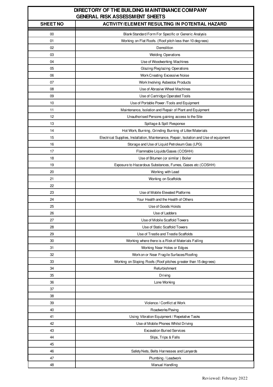| DIRECTORY OF THE BUILDING MAINTENANCE COMPANY<br><b>GENERAL RISK ASSESSMENT SHEETS</b> |                                                                                        |  |  |  |  |  |  |
|----------------------------------------------------------------------------------------|----------------------------------------------------------------------------------------|--|--|--|--|--|--|
| <b>SHEET NO</b>                                                                        | <b>ACTIVITY/ELEMENT RESULTING IN POTENTIAL HAZARD</b>                                  |  |  |  |  |  |  |
| 00                                                                                     | Blank Standard Form For Specific or Generic Analysis                                   |  |  |  |  |  |  |
| 01                                                                                     | Working on Flat Roofs. (Roof pitch less than 10 degrees)                               |  |  |  |  |  |  |
| 02                                                                                     | Demolition                                                                             |  |  |  |  |  |  |
| 03                                                                                     | <b>Welding Operations</b>                                                              |  |  |  |  |  |  |
| 04                                                                                     | Use of Woodworking Machines                                                            |  |  |  |  |  |  |
| 05                                                                                     | Glazing/Reglazing Operations                                                           |  |  |  |  |  |  |
| 06                                                                                     | Work Creating Excessive Noise                                                          |  |  |  |  |  |  |
| 07                                                                                     | Work Involving Asbestos Products                                                       |  |  |  |  |  |  |
| 08                                                                                     | Use of Abrasive Wheel Machines                                                         |  |  |  |  |  |  |
| 09                                                                                     | Use of Cartridge Operated Tools                                                        |  |  |  |  |  |  |
| 10                                                                                     | Use of Portable Power /Tools and Equipment                                             |  |  |  |  |  |  |
| 11                                                                                     | Maintenance, Isolation and Repair of Plant and Equipment                               |  |  |  |  |  |  |
| 12                                                                                     | Unauthorised Persons gaining access to the Site                                        |  |  |  |  |  |  |
| 13                                                                                     | Spillage & Spill Response                                                              |  |  |  |  |  |  |
| 14                                                                                     | Hot Work, Burning, Grinding Burning of Litter/Materials                                |  |  |  |  |  |  |
| 15                                                                                     | Electrical Supplies, Installation, Maintenance, Repair, Isolation and Use of equipment |  |  |  |  |  |  |
| 16                                                                                     | Storage and Use of Liquid Petroleum Gas (LPG)                                          |  |  |  |  |  |  |
| 17                                                                                     | Flammable Liquids/Gases (COSHH)                                                        |  |  |  |  |  |  |
| 18                                                                                     | Use of Bitumen (or similar) Boiler                                                     |  |  |  |  |  |  |
| 19                                                                                     | Exposure to Hazardous Substances, Fumes, Gases etc (COSHH)                             |  |  |  |  |  |  |
| 20                                                                                     | Working with Lead                                                                      |  |  |  |  |  |  |
| 21                                                                                     | Working on Scaffolds                                                                   |  |  |  |  |  |  |
| 22                                                                                     |                                                                                        |  |  |  |  |  |  |
| 23                                                                                     | Use of Mobile Elevated Platforms                                                       |  |  |  |  |  |  |
| 24                                                                                     | Your Health and the Health of Others                                                   |  |  |  |  |  |  |
| 25                                                                                     | Use of Goods Hoists                                                                    |  |  |  |  |  |  |
| 26                                                                                     | Use of Ladders                                                                         |  |  |  |  |  |  |
| 27                                                                                     | Use of Mobile Scaffold Towers                                                          |  |  |  |  |  |  |
| 28                                                                                     | Use of Static Scaffold Towers                                                          |  |  |  |  |  |  |
| 29                                                                                     | Use of Trestle and Trestle Scaffolds                                                   |  |  |  |  |  |  |
| 30                                                                                     | Working where there is a Risk of Materials Falling                                     |  |  |  |  |  |  |
| 31                                                                                     | Working Near Holes or Edges                                                            |  |  |  |  |  |  |
| 32                                                                                     | Work on or Near Fragile Surfaces/Roofing                                               |  |  |  |  |  |  |
| 33                                                                                     | Working on Sloping Roofs (Roof pitches greater than 15 degrees)                        |  |  |  |  |  |  |
| 34                                                                                     | Refurbishment                                                                          |  |  |  |  |  |  |
| 35                                                                                     | Driving                                                                                |  |  |  |  |  |  |
| 36                                                                                     | Lone Working                                                                           |  |  |  |  |  |  |
| 37                                                                                     |                                                                                        |  |  |  |  |  |  |
| 38                                                                                     |                                                                                        |  |  |  |  |  |  |
| 39                                                                                     | Violence / Conflict at Work                                                            |  |  |  |  |  |  |
| 40                                                                                     | Roadworks/Paving                                                                       |  |  |  |  |  |  |
| 41                                                                                     | Using Vibration Equipment / Repetative Tasks                                           |  |  |  |  |  |  |
| 42                                                                                     | Use of Mobile Phones Whilst Driving                                                    |  |  |  |  |  |  |
| 43                                                                                     | <b>Excavation Buried Services</b>                                                      |  |  |  |  |  |  |
| 44                                                                                     | Slips, Trips & Falls                                                                   |  |  |  |  |  |  |
| 45                                                                                     |                                                                                        |  |  |  |  |  |  |
| 46                                                                                     | Safety Nets, Belts Harnesses and Lanyards                                              |  |  |  |  |  |  |
| 47                                                                                     | Plumbing / Leadwork                                                                    |  |  |  |  |  |  |
| 48                                                                                     | Manual Handling                                                                        |  |  |  |  |  |  |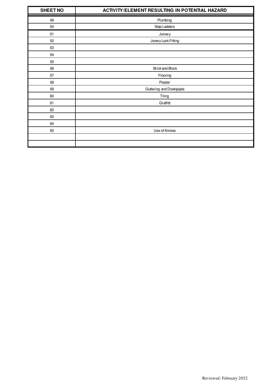| <b>SHEET NO</b> | <b>ACTIVITY/ELEMENT RESULTING IN POTENTIAL HAZARD</b> |  |  |  |  |  |  |
|-----------------|-------------------------------------------------------|--|--|--|--|--|--|
| 49              | Plumbing                                              |  |  |  |  |  |  |
| $50\,$          | Step Ladders                                          |  |  |  |  |  |  |
| 51              | Joinery                                               |  |  |  |  |  |  |
| 52              | Jonery Lock Fitting                                   |  |  |  |  |  |  |
| 53              |                                                       |  |  |  |  |  |  |
| 54              |                                                       |  |  |  |  |  |  |
| 55              |                                                       |  |  |  |  |  |  |
| 56              | <b>Brick and Block</b>                                |  |  |  |  |  |  |
| 57              | Flooring                                              |  |  |  |  |  |  |
| 58              | Plaster                                               |  |  |  |  |  |  |
| 59              | Guttering and Downpipes                               |  |  |  |  |  |  |
| 60              | Tiling                                                |  |  |  |  |  |  |
| 61              | Graffitti                                             |  |  |  |  |  |  |
| 62              |                                                       |  |  |  |  |  |  |
| 63              |                                                       |  |  |  |  |  |  |
| 64              |                                                       |  |  |  |  |  |  |
| 65              | Use of Knivies                                        |  |  |  |  |  |  |
|                 |                                                       |  |  |  |  |  |  |
|                 |                                                       |  |  |  |  |  |  |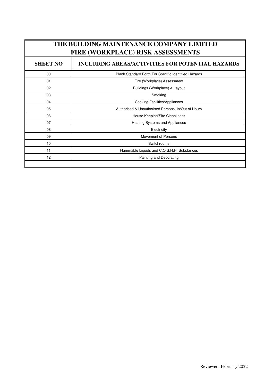| THE BUILDING MAINTENANCE COMPANY LIMITED<br>FIRE (WORKPLACE) RISK ASSESSMENTS |                                                     |  |  |  |  |  |  |  |
|-------------------------------------------------------------------------------|-----------------------------------------------------|--|--|--|--|--|--|--|
| <b>INCLUDING AREAS/ACTIVITIES FOR POTENTIAL HAZARDS</b><br><b>SHEET NO</b>    |                                                     |  |  |  |  |  |  |  |
| $00\,$                                                                        | Blank Standard Form For Specific Identified Hazards |  |  |  |  |  |  |  |
| 01                                                                            | Fire (Workplace) Assessment                         |  |  |  |  |  |  |  |
| 02                                                                            | Buildings (Workplace) & Layout                      |  |  |  |  |  |  |  |
| 03                                                                            | Smoking                                             |  |  |  |  |  |  |  |
| 04                                                                            | Cooking Facilities/Appliances                       |  |  |  |  |  |  |  |
| 05                                                                            | Authorised & Unauthorised Persons, In/Out of Hours  |  |  |  |  |  |  |  |
| 06                                                                            | House Keeping/Site Cleanliness                      |  |  |  |  |  |  |  |
| 07                                                                            | Heating Systems and Appliances                      |  |  |  |  |  |  |  |
| 08                                                                            | Electricity                                         |  |  |  |  |  |  |  |
| 09                                                                            | Movement of Persons                                 |  |  |  |  |  |  |  |
| 10                                                                            | Switchrooms                                         |  |  |  |  |  |  |  |
| 11                                                                            | Flammable Liquids and C.O.S.H.H. Substances         |  |  |  |  |  |  |  |
| 12                                                                            | Painting and Decorating                             |  |  |  |  |  |  |  |
|                                                                               |                                                     |  |  |  |  |  |  |  |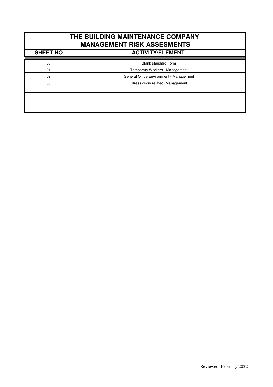| THE BUILDING MAINTENANCE COMPANY<br><b>MANAGEMENT RISK ASSESMENTS</b> |                                         |  |  |  |  |  |  |
|-----------------------------------------------------------------------|-----------------------------------------|--|--|--|--|--|--|
| <b>SHEET NO</b>                                                       | <b>ACTIVITY/ELEMENT</b>                 |  |  |  |  |  |  |
|                                                                       |                                         |  |  |  |  |  |  |
| $00\,$                                                                | <b>Blank standard Form</b>              |  |  |  |  |  |  |
| 01                                                                    | Temporary Workers - Management          |  |  |  |  |  |  |
| 02 <sup>°</sup>                                                       | General Office Environment - Management |  |  |  |  |  |  |
| 03<br>Stress (work related) Management                                |                                         |  |  |  |  |  |  |
|                                                                       |                                         |  |  |  |  |  |  |
|                                                                       |                                         |  |  |  |  |  |  |
|                                                                       |                                         |  |  |  |  |  |  |
|                                                                       |                                         |  |  |  |  |  |  |
|                                                                       |                                         |  |  |  |  |  |  |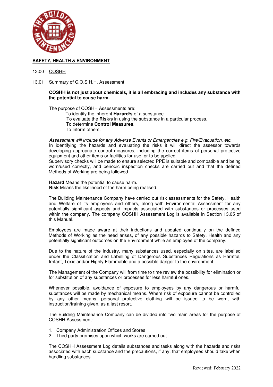

- 13.00 COSHH
- 13.01 Summary of C.O.S.H.H. Assessment

#### **COSHH is not just about chemicals, it is all embracing and includes any substance with the potential to cause harm.**

The purpose of COSHH Assessments are:

- To identify the inherent **Hazard/s** of a substance.
- To evaluate the **Risk/s** in using the substance in a particular process.
- To determine **Control Measures**.
- To Inform others.

*Assessment will include for any Adverse Events or Emergencies e.g. Fire/Evacuation, etc*.

In identifying the hazards and evaluating the risks it will direct the assessor towards developing appropriate control measures, including the correct items of personal protective equipment and other items or facilities for use, or to be applied.

Supervisory checks will be made to ensure selected PPE is suitable and compatible and being worn/used correctly, and periodic inspection checks are carried out and that the defined Methods of Working are being followed.

**Hazard** Means the potential to cause harm. **Risk** Means the likelihood of the harm being realised.

The Building Maintenance Company have carried out risk assessments for the Safety, Health and Welfare of its employees and others, along with Environmental Assessment for any potentially significant aspects and impacts associated with substances or processes used within the company. The company COSHH Assessment Log is available in Section 13.05 of this Manual.

 Employees are made aware at their inductions and updated continually on the defined Methods of Working as the need arises, of any possible hazards to Safety, Health and any potentially significant outcomes on the Environment while an employee of the company.

 Due to the nature of the industry, many substances used, especially on sites, are labelled under the Classification and Labelling of Dangerous Substances Regulations as Harmful, Irritant, Toxic and/or Highly Flammable and a possible danger to the environment.

The Management of the Company will from time to time review the possibility for elimination or for substitution of any substances or processes for less harmful ones.

 Whenever possible, avoidance of exposure to employees by any dangerous or harmful substances will be made by mechanical means. Where risk of exposure cannot be controlled by any other means, personal protective clothing will be issued to be worn, with instruction/training given, as a last resort.

 The Building Maintenance Company can be divided into two main areas for the purpose of COSHH Assessment: -

- 1. Company Administration Offices and Stores
- 2. Third party premises upon which works are carried out

 The COSHH Assessment Log details substances and tasks along with the hazards and risks associated with each substance and the precautions, if any, that employees should take when handling substances.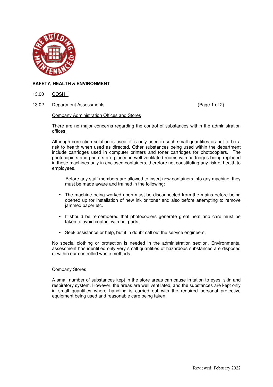

13.00 COSHH

13.02 Department Assessments (Page 1 of 2)

#### Company Administration Offices and Stores

 There are no major concerns regarding the control of substances within the administration offices.

 Although correction solution is used, it is only used in such small quantities as not to be a risk to health when used as directed. Other substances being used within the department include cartridges used in computer printers and toner cartridges for photocopiers. The photocopiers and printers are placed in well-ventilated rooms with cartridges being replaced in these machines only in enclosed containers, therefore not constituting any risk of health to employees.

 Before any staff members are allowed to insert new containers into any machine, they must be made aware and trained in the following:

- The machine being worked upon must be disconnected from the mains before being opened up for installation of new ink or toner and also before attempting to remove jammed paper etc.
- It should be remembered that photocopiers generate great heat and care must be taken to avoid contact with hot parts.
- Seek assistance or help, but if in doubt call out the service engineers.

No special clothing or protection is needed in the administration section. Environmental assessment has identified only very small quantities of hazardous substances are disposed of within our controlled waste methods.

#### Company Stores

A small number of substances kept in the store areas can cause irritation to eyes, skin and respiratory system. However, the areas are well ventilated, and the substances are kept only in small quantities where handling is carried out with the required personal protective equipment being used and reasonable care being taken.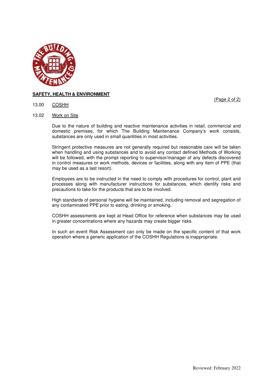

(Page 2 of 2)

- 13.00 COSHH
- 13.02 Work on Site

 Due to the nature of building and reactive maintenance activities in retail, commercial and domestic premises, for which The Building Maintenance Company's work consists, substances are only used in small quantities in most activities.

 Stringent protective measures are not generally required but reasonable care will be taken when handling and using substances and to avoid any contact defined Methods of Working will be followed, with the prompt reporting to supervisor/manager of any defects discovered in control measures or work methods, devices or facilities, along with any item of PPE (that may be used as a last resort).

 Employees are to be instructed in the need to comply with procedures for control, plant and processes along with manufacturer instructions for substances, which identify risks and precautions to take for the products that are to be involved.

 High standards of personal hygiene will be maintained, including removal and segregation of any contaminated PPE prior to eating, drinking or smoking.

 COSHH assessments are kept at Head Office for reference when substances may be used in greater concentrations where any hazards may create bigger risks.

In such an event Risk Assessment can only be made on the specific content of that work operation where a generic application of the COSHH Regulations is inappropriate.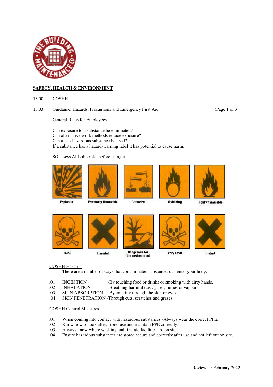

13.00 COSHH

#### 13.03 Guidance, Hazards, Precautions and Emergency First Aid (Page 1 of 3)

General Rules for Employees

 Can exposure to a substance be eliminated? Can alternative work methods reduce exposure? Can a less hazardous substance be used? If a substance has a hazard-warning label it has potential to cause harm.

SO assess ALL the risks before using it.











**Explosive** 

#### **Extremely flammable**

## Corrosive

**Oxidizing** 







**Harmful** 



**Dangerous for** the environment



**Irritant** 

#### COSHH Hazards:

There are a number of ways that contaminated substances can enter your body.

- .01 INGESTION -By touching food or drinks or smoking with dirty hands.
- .02 INHALATION -Breathing harmful dust, gases, fumes or vapours.
- .03 SKIN ABSORPTION -By entering through the skin or eyes.
- .04 SKIN PENETRATION -Through cuts, scratches and grazes

#### COSHH Control Measures

- .01 When coming into contact with hazardous substances -Always wear the correct PPE.<br>02 Know how to look after, store, use and maintain PPE correctly.
- .02 Know how to look after, store, use and maintain PPE correctly.
- Always know where washing and first aid facilities are on site.
- .04 Ensure hazardous substances are stored secure and correctly after use and not left out on site.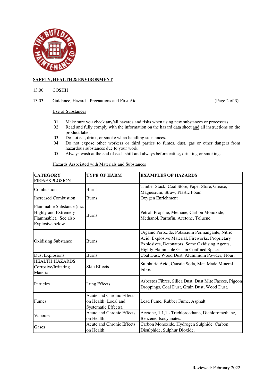

#### 13.00 COSHH

#### 13.03 Guidance, Hazards, Precautions and First Aid (Page 2 of 3)

#### Use of Substances

- .01 Make sure you check any/all hazards and risks when using new substances or processess.
- Read and fully comply with the information on the hazard data sheet and all instructions on the product label.
- .03 Do not eat, drink, or smoke when handling substances.
- .04 Do not expose other workers or third parties to fumes, dust, gas or other dangers from hazardous substances due to your work.
- .05 Always wash at the end of each shift and always before eating, drinking or smoking.

Hazards Associated with Materials and Substances

| <b>CATEGORY</b>                                                                                  | <b>TYPE OF HARM</b>              | <b>EXAMPLES OF HAZARDS</b>                                                                                                                                                                       |  |  |  |  |  |
|--------------------------------------------------------------------------------------------------|----------------------------------|--------------------------------------------------------------------------------------------------------------------------------------------------------------------------------------------------|--|--|--|--|--|
| <b>FIRE/EXPLOSION</b>                                                                            |                                  |                                                                                                                                                                                                  |  |  |  |  |  |
| Combustion                                                                                       | <b>Burns</b>                     | Timber Stack, Coal Store, Paper Store, Grease,                                                                                                                                                   |  |  |  |  |  |
|                                                                                                  |                                  | Magnesium, Straw, Plastic Foam.                                                                                                                                                                  |  |  |  |  |  |
| <b>Increased Combustion</b>                                                                      | <b>Burns</b>                     | Oxygen Enrichment                                                                                                                                                                                |  |  |  |  |  |
| Flammable Substance (inc.<br>Highly and Extremely<br>Flammable). See also<br>Explosive below.    | <b>Burns</b>                     | Petrol, Propane, Methane, Carbon Monoxide,<br>Methanol, Parrafin, Acetone, Toluene.                                                                                                              |  |  |  |  |  |
| <b>Oxidising Substance</b>                                                                       | <b>Burns</b>                     | Organic Peroxide, Potassium Permangante, Nitric<br>Acid, Explosive Material, Fireworks, Proprietary<br>Explosives, Detonators, Some Oxidising Agents,<br>Highly Flammable Gas in Confined Space. |  |  |  |  |  |
| <b>Dust Explosions</b>                                                                           | <b>Burns</b>                     | Coal Dust, Wood Dust, Aluminium Powder, Flour.                                                                                                                                                   |  |  |  |  |  |
| <b>HEALTH HAZARDS</b><br>Corrosive/Irritating<br>Materials.                                      | <b>Skin Effects</b>              | Sulphuric Acid, Caustic Soda, Man Made Mineral<br>Fibre.                                                                                                                                         |  |  |  |  |  |
| Particles                                                                                        | Lung Effects                     | Asbestos Fibres, Silica Dust, Dust Mite Faeces, Pigeon<br>Droppings, Coal Dust, Grain Dust, Wood Dust.                                                                                           |  |  |  |  |  |
| <b>Acute and Chronic Effects</b><br><b>Fumes</b><br>on Health (Local and<br>Systematic Effects). |                                  | Lead Fume, Rubber Fume, Asphalt.                                                                                                                                                                 |  |  |  |  |  |
| Vapours                                                                                          | Acute and Chronic Effects        | Acetone, 1,1,1 - Trichloroethane, Dichloromethane,                                                                                                                                               |  |  |  |  |  |
|                                                                                                  | on Health.                       | Benzene, Isocyanates.                                                                                                                                                                            |  |  |  |  |  |
| Gases                                                                                            | <b>Acute and Chronic Effects</b> | Carbon Monoxide, Hydrogen Sulphide, Carbon                                                                                                                                                       |  |  |  |  |  |
|                                                                                                  | on Health.                       | Disulphide, Sulphur Dioxide.                                                                                                                                                                     |  |  |  |  |  |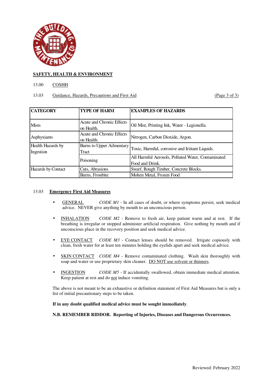

### 13.00 COSHH

## 13.03 Guidance, Hazards, Precautions and First Aid (Page 3 of 3)

| <b>CATEGORY</b>                | <b>TYPE OF HARM</b>                     | <b>EXAMPLES OF HAZARDS</b>                                            |
|--------------------------------|-----------------------------------------|-----------------------------------------------------------------------|
| <b>Mists</b>                   | Acute and Chronic Effects<br>on Health. | Oil Mist, Printing Ink, Water - Legionella.                           |
| Asphyxiants                    | Acute and Chronic Effects<br>on Health. | Nitrogen, Carbon Dioxide, Argon.                                      |
| Health Hazards by<br>Ingestion | Burns to Upper Ailmentary<br>Tract      | Toxic, Harmful, corrosive and Iriitant Liquids.                       |
|                                | Poisoning                               | All Harmful Aerosols, Polluted Water, Contaminated<br>Food and Drink. |
| Hazards by Contact             | Cuts, Abrasions                         | Swarf, Rough Timber, Concrete Blocks.                                 |
|                                | Burns, Frostbite                        | Molten Metal, Frozen Food                                             |

#### 13.03 **Emergency First Aid Measures**

- GENERAL *CODE M1* In all cases of doubt, or where symptoms persist, seek medical advice. NEVER give anything by mouth to an unconscious person.
- INHALATION *CODE M2* Remove to fresh air, keep patient warm and at rest. If the breathing is irregular or stopped administer artificial respiration. Give nothing by mouth and if unconscious place in the recovery position and seek medical advice.
- EYE CONTACT *CODE M3* Contact lenses should be removed. Irrigate copiously with clean, fresh water for at least ten minutes holding the eyelids apart and seek medical advice.
- **SKIN CONTACT** *CODE M4* Remove contaminated clothing. Wash skin thoroughly with soap and water or use proprietary skin cleaner. DO NOT use solvent or thinners.
- **INGESTION** *CODE M5* If accidentally swallowed, obtain immediate medical attention. Keep patient at rest and do not induce vomiting.

The above is not meant to be an exhaustive or definition statement of First Aid Measures but is only a list of initial precautionary steps to be taken.

**If in any doubt qualified medical advice must be sought immediately**.

**N.B. REMEMBER RIDDOR. Reporting of Injuries, Diseases and Dangerous Occurrences.**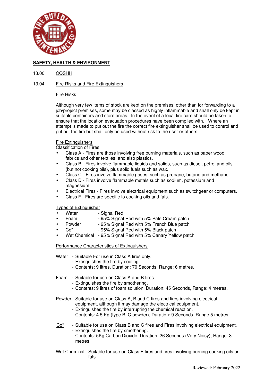

#### 13.00 COSHH

### 13.04 Fire Risks and Fire Extinguishers

#### Fire Risks

 Although very few items of stock are kept on the premises, other than for forwarding to a job/project premises, some may be classed as highly inflammable and shall only be kept in suitable containers and store areas. In the event of a local fire care should be taken to ensure that the location evacuation procedures have been complied with. Where an attempt is made to put out the fire the correct fire extinguisher shall be used to control and put out the fire but shall only be used without risk to the user or others.

#### Fire Extinguishers

Classification of Fires

- Class A Fires are those involving free burning materials, such as paper wood, fabrics and other textiles, and also plastics.
- Class B Fires involve flammable liquids and solids, such as diesel, petrol and oils (but not cooking oils), plus solid fuels such as wax.
- Class C Fires involve flammable gases, such as propane, butane and methane.
- Class D Fires involve flammable metals such as sodium, potassium and magnesium.
- Electrical Fires Fires involve electrical equipment such as switchgear or computers.
- Class F Fires are specific to cooking oils and fats.

#### Types of Extinguisher

- Water Signal Red
- Foam 95% Signal Red with 5% Pale Cream patch
- Powder 95% Signal Red with 5% French Blue patch
- Co<sup>2</sup> 95% Signal Red with 5% Black patch
- Wet Chemical 95% Signal Red with 5% Canary Yellow patch

#### Performance Characteristics of Extinguishers

- Water Suitable For use in Class A fires only.
	- Extinguishes the fire by cooling.
	- Contents: 9 litres, Duration: 70 Seconds, Range: 6 metres.

Foam - Suitable for use on Class A and B fires.

- Extinguishes the fire by smothering.
- Contents: 9 litres of foam solution, Duration: 45 Seconds, Range: 4 metres.

Powder - Suitable for use on Class A, B and C fires and fires involving electrical equipment, although it may damage the electrical equipment.

- Extinguishes the fire by interrupting the chemical reaction.
- Contents: 4.5 Kg (type B, C powder), Duration: 9 Seconds, Range 5 metres.

#### $Co<sup>2</sup>$  - Suitable for use on Class B and C fires and Fires involving electrical equipment. - Extinguishes the fire by smothering.

- Contents: 5Kg Carbon Dioxide, Duration: 26 Seconds (Very Noisy), Range: 3 metres.
- Wet Chemical Suitable for use on Class F fires and fires involving burning cooking oils or fats. The contract of the contract of the fats.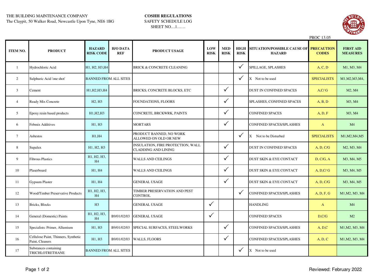## THE BUILDING MAINTENANCE COMPANY **COSHH REGULATIONS**

The Claypit, 50 Walker Road, Newcastle Upon Tyne, NE6 1BG

## SAFETY SCHEDULE LOG SHEET NO…1……



|                 |                                                         |                                   |                               |                                                                 |                    |                           |                            | <b>PROC</b> 13.05                                       |                    |                                     |
|-----------------|---------------------------------------------------------|-----------------------------------|-------------------------------|-----------------------------------------------------------------|--------------------|---------------------------|----------------------------|---------------------------------------------------------|--------------------|-------------------------------------|
| <b>ITEM NO.</b> | <b>PRODUCT</b>                                          | <b>HAZARD</b><br><b>RISK CODE</b> | <b>H/O DATA</b><br><b>REF</b> | PRODUCT USAGE                                                   | LOW<br><b>RISK</b> | <b>MED</b><br><b>RISK</b> | <b>HIGH</b><br><b>RISK</b> | SITUATION/POSSIBLE CAUSE OF PRECAUTION<br><b>HAZARD</b> | <b>CODES</b>       | <b>FIRST AID</b><br><b>MEASURES</b> |
| 1               | Hydrochloric Acid                                       | H1, H2, H3, H4                    |                               | <b>BRICK &amp; CONCRETE CLEANING</b>                            |                    |                           | $\checkmark$               | SPILLAGE, SPLASHES                                      | A, C, D            | M1, M3, M4                          |
| 2               | Sulphuric Acid 'one shot'                               | <b>BANNED FROM ALL SITES</b>      |                               |                                                                 |                    |                           | $\checkmark$               | X Not to be used                                        | <b>SPECIALISTS</b> | M1, M2, M3, M4,                     |
| 3               | Cement                                                  | H1, H2, H3, H4                    |                               | BRICKS, CONCRETE BLOCKS, ETC                                    |                    | $\checkmark$              |                            | <b>DUST IN CONFINED SPACES</b>                          | A, C/G             | M2, M4                              |
| $\overline{4}$  | Ready Mix Concrete                                      | H <sub>2</sub> , H <sub>3</sub>   |                               | <b>FOUNDATIONS, FLOORS</b>                                      |                    | $\checkmark$              |                            | SPLASHES, CONFINED SPACES                               | A, B, D            | M3, M4                              |
| 5               | Epoxy resin based products                              | H1, H2, H3                        |                               | CONCRETE, BRCKWRK, PAINTS                                       |                    | $\checkmark$              |                            | <b>CONFINED SPACES</b>                                  | A, D, F            | M3, M4                              |
| 6               | Febmix Additives                                        | H1, H3                            |                               | <b>MORTARS</b>                                                  |                    | $\checkmark$              |                            | CONFINED SPACES/SPLASHES                                | $\mathbf{A}$       | M <sub>4</sub>                      |
| $\tau$          | Asbestos                                                | H1,H4                             |                               | PRODUCT BANNED, NO WORK<br>ALLOWED ON OLD OR NEW                |                    |                           | $\checkmark$               | X Not to be Disturbed                                   | <b>SPECIALISTS</b> | M1, M2, M4, M5                      |
| 8               | Supalux                                                 | H1, H2, H3                        |                               | INSULATION, FIRE PROTECTION, WALL<br><b>CLADDING AND LINING</b> |                    | $\checkmark$              |                            | <b>DUST IN CONFINED SPACES</b>                          | A, D, C/G          | M2, M3, M4                          |
| 9               | <b>Fibrous Plastics</b>                                 | H1, H2, H3,<br>H <sub>4</sub>     |                               | <b>WALLS AND CEILINGS</b>                                       |                    | $\checkmark$              |                            | <b>DUST SKIN &amp; EYE CONTACT</b>                      | D, C/G, A          | M3, M4, M5                          |
| 10              | Plaserboard                                             | H1, H4                            |                               | <b>WALLS AND CEILINGS</b>                                       |                    | $\checkmark$              |                            | <b>DUST SKIN &amp; EYE CONTACT</b>                      | A, D, C/G          | M3, M4, M5                          |
| 11              | <b>Gypsum Plaster</b>                                   | H1, H4                            |                               | <b>GENERAL USAGE</b>                                            |                    | $\checkmark$              |                            | <b>DUST SKIN &amp; EYE CONTACT</b>                      | A, D, C/G          | M3, M4, M5                          |
| 12              | <b>Wood/Timber Preservative Products</b>                | H1, H2, H3,<br>H <sub>4</sub>     |                               | TIMBER PRESERVATION AND PEST<br><b>CONTROL</b>                  |                    |                           | $\checkmark$               | CONFINED SPACES/SPLASHES                                | A, D, F, G         | M1, M2, M3, M4                      |
| 13              | Bricks, Blocks                                          | H3                                |                               | <b>GENERAL USAGE</b>                                            | $\checkmark$       |                           |                            | <b>HANDLING</b>                                         | $\mathbf{A}$       | M <sub>4</sub>                      |
| 14              | General (Domestic) Paints                               | H1, H2, H3,<br>H <sub>4</sub>     | B9/01/02/03                   | <b>GENERAL USAGE</b>                                            | $\checkmark$       |                           |                            | <b>CONFINED SPACES</b>                                  | D, C/G             | M2                                  |
| 15              | Specialists: Primer, Allumium                           | H1, H3                            | B9/01/02/03                   | SPECIAL SURFACES, STEELWORKS                                    |                    | $\checkmark$              |                            | <b>CONFINED SPACES/SPLASHES</b>                         | A, D, C            | M1, M2, M3, M4                      |
| 16              | Cellulose Paint, Thinners, Synthetic<br>Paint, Cleaners | H1, H3                            | B9/01/02/03                   | <b>WALLS, FLOORS</b>                                            |                    | $\checkmark$              |                            | CONFINED SPACES/SPLASHES                                | A, D, C            | M1, M2, M3, M4                      |
| 17              | Substances containing<br>TRICHLOTRETHANE                | <b>BANNED FROM ALL SITES</b>      |                               |                                                                 |                    |                           | $\checkmark$               | X Not to be used                                        |                    |                                     |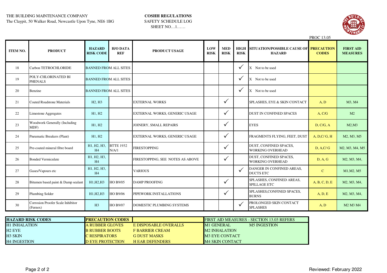## THE BUILDING MAINTENANCE COMPANY **COSHH REGULATIONS**

The Claypit, 50 Walker Road, Newcastle Upon Tyne, NE6 1BG

## SAFETY SCHEDULE LOG SHEET NO…1……



|                 |                                               |                                   |                               |                                  |                    |                           |                            |                                                         | <b>PROC 13.05</b> |                                     |
|-----------------|-----------------------------------------------|-----------------------------------|-------------------------------|----------------------------------|--------------------|---------------------------|----------------------------|---------------------------------------------------------|-------------------|-------------------------------------|
| <b>ITEM NO.</b> | <b>PRODUCT</b>                                | <b>HAZARD</b><br><b>RISK CODE</b> | <b>H/O DATA</b><br><b>REF</b> | PRODUCT USAGE                    | LOW<br><b>RISK</b> | <b>MED</b><br><b>RISK</b> | <b>HIGH</b><br><b>RISK</b> | SITUATION/POSSIBLE CAUSE OF PRECAUTION<br><b>HAZARD</b> | <b>CODES</b>      | <b>FIRST AID</b><br><b>MEASURES</b> |
| 18              | Carbon TETROCHLORIDE                          | <b>BANNED FROM ALL SITES</b>      |                               |                                  |                    |                           | $\checkmark$               | X Not to be used                                        |                   |                                     |
| 19              | POLY-CHLORINATED BI<br><b>PHENALS</b>         | <b>BANNED FROM ALL SITES</b>      |                               |                                  |                    |                           | $\checkmark$               | X Not to be used                                        |                   |                                     |
| 20              | Benzine                                       | <b>BANNED FROM ALL SITES</b>      |                               |                                  |                    |                           | $\checkmark$               | X Not to be used                                        |                   |                                     |
| 21              | <b>Coated Roadstone Materials</b>             | H <sub>2</sub> , H <sub>3</sub>   |                               | <b>EXTERNAL WORKS</b>            |                    | $\checkmark$              |                            | SPLASHES, EYE & SKIN CONTACT                            | A, D              | M3, M4                              |
| 22              | Limestone Aggregates                          | H1, H2                            |                               | EXTERNAL WORKS, GENERIC USAGE    |                    | $\checkmark$              |                            | <b>DUST IN CONFINED SPACES</b>                          | A, C/G            | M2                                  |
| 23              | Woodwork Generally (Including<br>MDF)         | H1, H2                            |                               | JOINERY, SMALL REPAIRS           |                    | ✓                         |                            | <b>EYES</b>                                             | D, C/G, A         | M2,M3                               |
| 24              | Pneumatic Breakers (Plant)                    | H1, H2                            |                               | EXTERNAL WORKS, GENERIC USAGE    |                    | ✓                         |                            | FRAGMENTS FLYING, FEET, DUST                            | A, D, C/G, H      | M2, M3, M5                          |
| 25              | Pre-coated mineral fibre board                | H1, H2, H3,<br>H <sub>4</sub>     | <b>BTTE 1932</b><br>N/A/1     | <b>FIRESTOPPING</b>              |                    | ✓                         |                            | DUST, CONFINED SPACES,<br><b>WORKING OVERHEAD</b>       | D, A, C/G         | M2, M3, M4, M5                      |
| 26              | <b>Bonded Vermiculate</b>                     | H1, H2, H3,<br>H <sub>4</sub>     |                               | FIRESTOPPING, SEE NOTES AS ABOVE |                    | $\checkmark$              |                            | DUST, CONFINED SPACES,<br><b>WORKING OVERHEAD</b>       | D, A, G           | M2, M3, M4,                         |
| 27              | Gases/Vapours etc                             | H1, H2, H3,<br>H <sub>4</sub>     |                               | <b>VARIOUS</b>                   |                    |                           | $\checkmark$               | DANGER IN CONFINED AREAS,<br><b>DUCTS ETC</b>           | $\mathbf C$       | M1, M2, M5                          |
| 28              | Bitumen based paint & Damp sealant            | H1, H2, H3                        | HO B9/05                      | <b>DAMP PROOFING</b>             |                    | $\checkmark$              |                            | SPLASHES, CONFINED AREAS,<br>SPILLAGE ETC               | A, B, C, D, E     | M2, M3, M4,                         |
| 29              | Plumbing Solder                               | H1, H2, H3                        | HO B9/06                      | PIPEWORK INSTALLATIONS           |                    | ✓                         |                            | SPLASHES, CONFINED SPACES,<br><b>BURNS</b>              | A, D, E           | M2, M3, M4,                         |
| 30              | Corrosion Proofer Scale Inhibitor<br>(Fernox) | H3                                | HO B9/07                      | <b>DOMESTIC PLUMBING SYSTEMS</b> |                    |                           | $\checkmark$               | PROLONGED SKIN CONTACT<br><b>SPLASHES</b>               | A, D              | M2 M3 M4                            |

| <b>HAZARD RISK CODES</b> | <b>PRECAUTION CODES</b> |                        |                        | <b>FIRST AID MEASURES - SECTION 13.03 REFERS</b> |
|--------------------------|-------------------------|------------------------|------------------------|--------------------------------------------------|
| <b>H1 INHALATION</b>     | A RUBBER GLOVES         | E DISPOSABLE OVERALLS  | M <sub>1</sub> GENERAL | <b>M5 INGESTION</b>                              |
| H <sub>2</sub> EYE       | <b>B RUBBER BOOTS</b>   | <b>F BARRIER CREAM</b> | <b>M2 INHALATION</b>   |                                                  |
| H3 SKIN                  | <b>C RESPIRATORS</b>    | <b>G DUST MASKS</b>    | <b>M3 EYE CONTACT</b>  |                                                  |
| <b>H4 INGESTION</b>      | <b>DEYE PROTECTION</b>  | <b>H EAR DEFENDERS</b> | <b>M4 SKIN CONTACT</b> |                                                  |